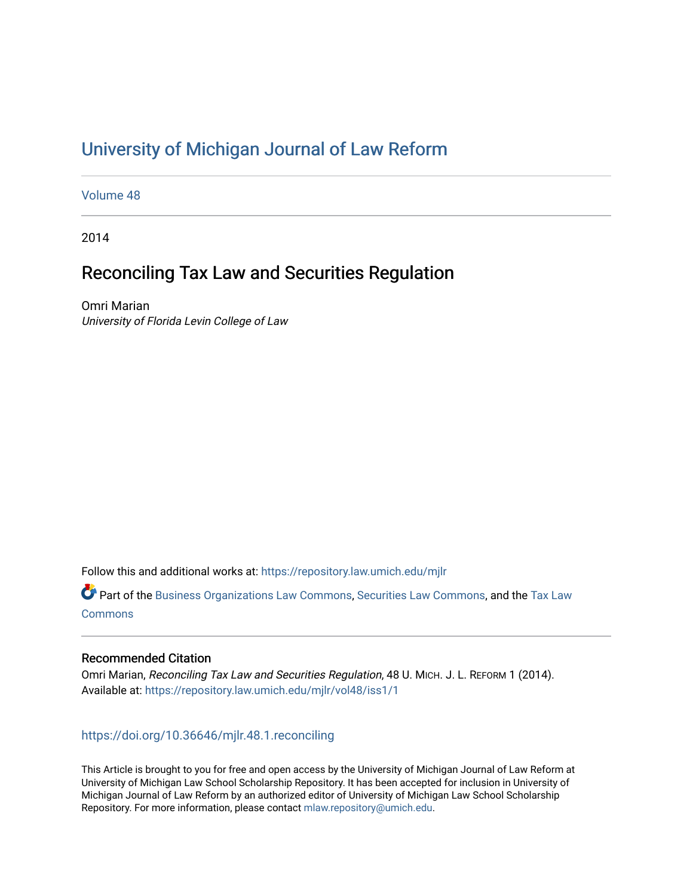# [University of Michigan Journal of Law Reform](https://repository.law.umich.edu/mjlr)

[Volume 48](https://repository.law.umich.edu/mjlr/vol48)

2014

# Reconciling Tax Law and Securities Regulation

Omri Marian University of Florida Levin College of Law

Follow this and additional works at: [https://repository.law.umich.edu/mjlr](https://repository.law.umich.edu/mjlr?utm_source=repository.law.umich.edu%2Fmjlr%2Fvol48%2Fiss1%2F1&utm_medium=PDF&utm_campaign=PDFCoverPages) 

Part of the [Business Organizations Law Commons](https://network.bepress.com/hgg/discipline/900?utm_source=repository.law.umich.edu%2Fmjlr%2Fvol48%2Fiss1%2F1&utm_medium=PDF&utm_campaign=PDFCoverPages), [Securities Law Commons,](https://network.bepress.com/hgg/discipline/619?utm_source=repository.law.umich.edu%2Fmjlr%2Fvol48%2Fiss1%2F1&utm_medium=PDF&utm_campaign=PDFCoverPages) and the [Tax Law](https://network.bepress.com/hgg/discipline/898?utm_source=repository.law.umich.edu%2Fmjlr%2Fvol48%2Fiss1%2F1&utm_medium=PDF&utm_campaign=PDFCoverPages)  **[Commons](https://network.bepress.com/hgg/discipline/898?utm_source=repository.law.umich.edu%2Fmjlr%2Fvol48%2Fiss1%2F1&utm_medium=PDF&utm_campaign=PDFCoverPages)** 

# Recommended Citation

Omri Marian, Reconciling Tax Law and Securities Regulation, 48 U. MICH. J. L. REFORM 1 (2014). Available at: [https://repository.law.umich.edu/mjlr/vol48/iss1/1](https://repository.law.umich.edu/mjlr/vol48/iss1/1?utm_source=repository.law.umich.edu%2Fmjlr%2Fvol48%2Fiss1%2F1&utm_medium=PDF&utm_campaign=PDFCoverPages) 

# <https://doi.org/10.36646/mjlr.48.1.reconciling>

This Article is brought to you for free and open access by the University of Michigan Journal of Law Reform at University of Michigan Law School Scholarship Repository. It has been accepted for inclusion in University of Michigan Journal of Law Reform by an authorized editor of University of Michigan Law School Scholarship Repository. For more information, please contact [mlaw.repository@umich.edu](mailto:mlaw.repository@umich.edu).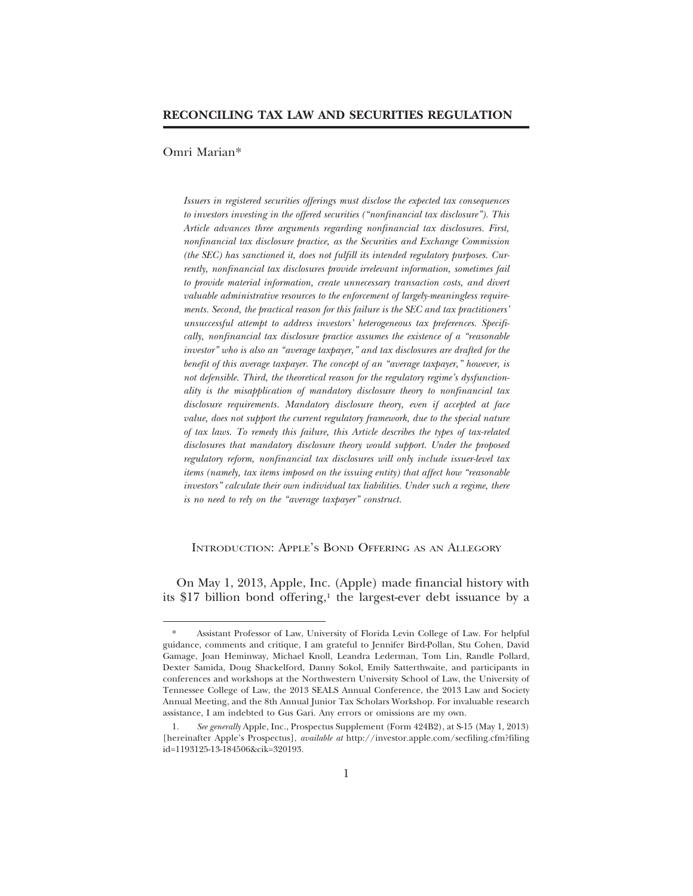#### Omri Marian\*

*Issuers in registered securities offerings must disclose the expected tax consequences to investors investing in the offered securities ("nonfinancial tax disclosure"). This Article advances three arguments regarding nonfinancial tax disclosures. First, nonfinancial tax disclosure practice, as the Securities and Exchange Commission (the SEC) has sanctioned it, does not fulfill its intended regulatory purposes. Currently, nonfinancial tax disclosures provide irrelevant information, sometimes fail to provide material information, create unnecessary transaction costs, and divert valuable administrative resources to the enforcement of largely-meaningless requirements. Second, the practical reason for this failure is the SEC and tax practitioners' unsuccessful attempt to address investors' heterogeneous tax preferences. Specifically, nonfinancial tax disclosure practice assumes the existence of a "reasonable investor" who is also an "average taxpayer," and tax disclosures are drafted for the benefit of this average taxpayer. The concept of an "average taxpayer," however, is not defensible. Third, the theoretical reason for the regulatory regime's dysfunctionality is the misapplication of mandatory disclosure theory to nonfinancial tax disclosure requirements. Mandatory disclosure theory, even if accepted at face value, does not support the current regulatory framework, due to the special nature of tax laws. To remedy this failure, this Article describes the types of tax-related disclosures that mandatory disclosure theory would support. Under the proposed regulatory reform, nonfinancial tax disclosures will only include issuer-level tax items (namely, tax items imposed on the issuing entity) that affect how "reasonable investors" calculate their own individual tax liabilities. Under such a regime, there is no need to rely on the "average taxpayer" construct.*

## INTRODUCTION: APPLE'S BOND OFFERING AS AN ALLEGORY

On May 1, 2013, Apple, Inc. (Apple) made financial history with its \$17 billion bond offering,<sup>1</sup> the largest-ever debt issuance by a

<sup>\*</sup> Assistant Professor of Law, University of Florida Levin College of Law. For helpful guidance, comments and critique, I am grateful to Jennifer Bird-Pollan, Stu Cohen, David Gamage, Joan Heminway, Michael Knoll, Leandra Lederman, Tom Lin, Randle Pollard, Dexter Samida, Doug Shackelford, Danny Sokol, Emily Satterthwaite, and participants in conferences and workshops at the Northwestern University School of Law, the University of Tennessee College of Law, the 2013 SEALS Annual Conference, the 2013 Law and Society Annual Meeting, and the 8th Annual Junior Tax Scholars Workshop. For invaluable research assistance, I am indebted to Gus Gari. Any errors or omissions are my own.

<sup>1.</sup> *See generally* Apple, Inc., Prospectus Supplement (Form 424B2), at S-15 (May 1, 2013) [hereinafter Apple's Prospectus], *available at* http://investor.apple.com/secfiling.cfm?filing id=1193125-13-184506&cik=320193.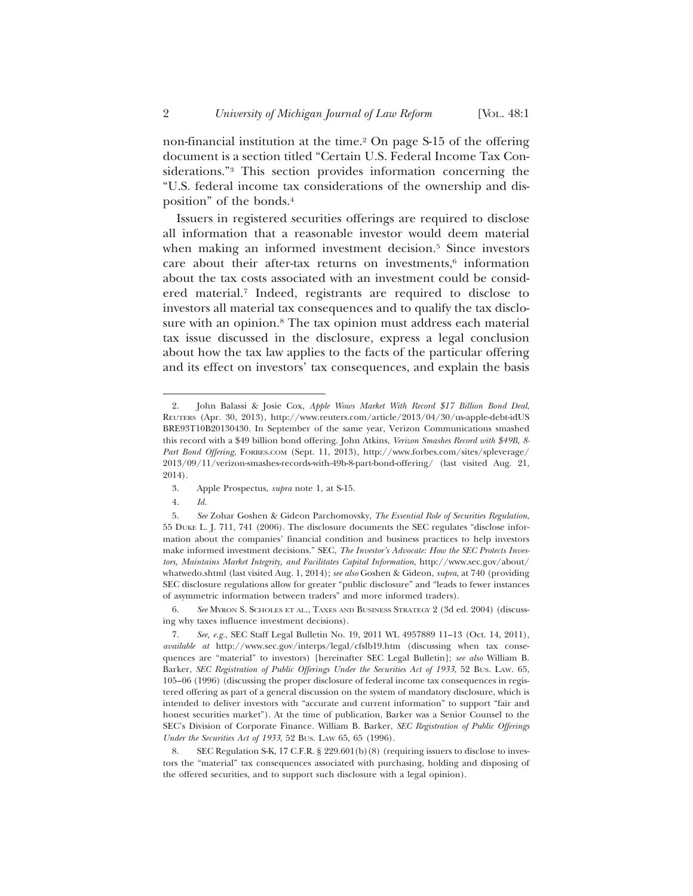non-financial institution at the time.<sup>2</sup> On page S-15 of the offering document is a section titled "Certain U.S. Federal Income Tax Considerations."3 This section provides information concerning the "U.S. federal income tax considerations of the ownership and disposition" of the bonds.4

Issuers in registered securities offerings are required to disclose all information that a reasonable investor would deem material when making an informed investment decision.<sup>5</sup> Since investors care about their after-tax returns on investments, $6$  information about the tax costs associated with an investment could be considered material.7 Indeed, registrants are required to disclose to investors all material tax consequences and to qualify the tax disclosure with an opinion.<sup>8</sup> The tax opinion must address each material tax issue discussed in the disclosure, express a legal conclusion about how the tax law applies to the facts of the particular offering and its effect on investors' tax consequences, and explain the basis

- 3. Apple Prospectus, *supra* note 1, at S-15.
- 4. *Id.*

6. *See* MYRON S. SCHOLES ET AL., TAXES AND BUSINESS STRATEGY 2 (3d ed. 2004) (discussing why taxes influence investment decisions).

<sup>2.</sup> John Balassi & Josie Cox, *Apple Wows Market With Record \$17 Billion Bond Deal*, REUTERS (Apr. 30, 2013), http://www.reuters.com/article/2013/04/30/us-apple-debt-idUS BRE93T10B20130430. In September of the same year, Verizon Communications smashed this record with a \$49 billion bond offering. John Atkins, *Verizon Smashes Record with \$49B, 8- Part Bond Offering*, FORBES.COM (Sept. 11, 2013), http://www.forbes.com/sites/spleverage/ 2013/09/11/verizon-smashes-records-with-49b-8-part-bond-offering/ (last visited Aug. 21, 2014).

<sup>5.</sup> *See* Zohar Goshen & Gideon Parchomovsky, *The Essential Role of Securities Regulation*, 55 DUKE L. J. 711, 741 (2006). The disclosure documents the SEC regulates "disclose information about the companies' financial condition and business practices to help investors make informed investment decisions." SEC, *The Investor's Advocate: How the SEC Protects Investors, Maintains Market Integrity, and Facilitates Capital Information*, http://www.sec.gov/about/ whatwedo.shtml (last visited Aug. 1, 2014); *see also* Goshen & Gideon, *supra*, at 740 (providing SEC disclosure regulations allow for greater "public disclosure" and "leads to fewer instances of asymmetric information between traders" and more informed traders).

<sup>7.</sup> *See, e.g.*, SEC Staff Legal Bulletin No. 19, 2011 WL 4957889 11–13 (Oct. 14, 2011), *available at* http://www.sec.gov/interps/legal/cfslb19.htm (discussing when tax consequences are "material" to investors) [hereinafter SEC Legal Bulletin]; *see also* William B. Barker, *SEC Registration of Public Offerings Under the Securities Act of 1933*, 52 BUS. LAW. 65, 105–06 (1996) (discussing the proper disclosure of federal income tax consequences in registered offering as part of a general discussion on the system of mandatory disclosure, which is intended to deliver investors with "accurate and current information" to support "fair and honest securities market"). At the time of publication, Barker was a Senior Counsel to the SEC's Division of Corporate Finance*.* William B. Barker, *SEC Registration of Public Offerings Under the Securities Act of 1933*, 52 BUS. LAW 65, 65 (1996).

<sup>8.</sup> SEC Regulation S-K, 17 C.F.R. § 229.601(b)(8) (requiring issuers to disclose to investors the "material" tax consequences associated with purchasing, holding and disposing of the offered securities, and to support such disclosure with a legal opinion).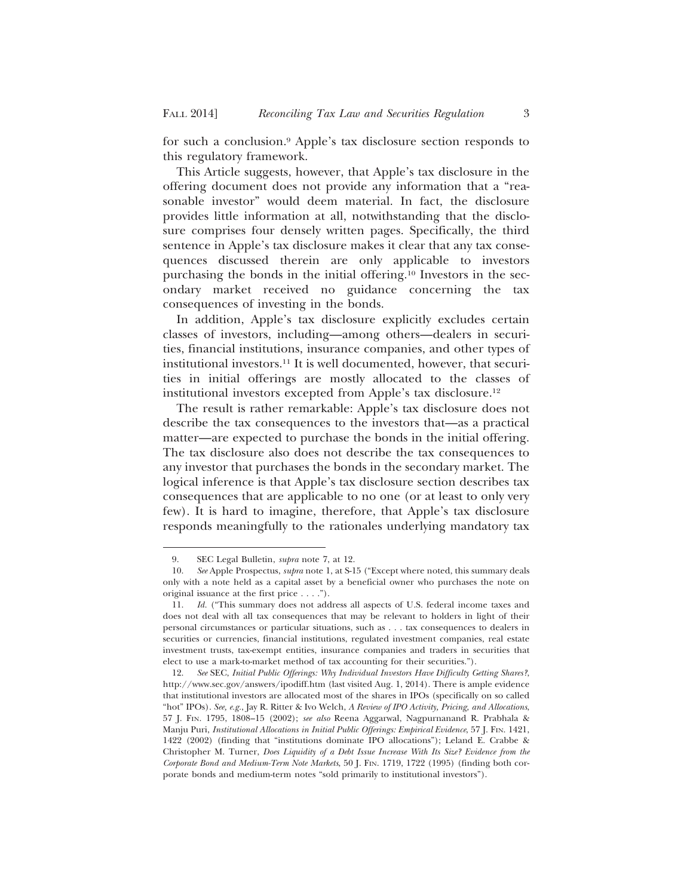for such a conclusion.9 Apple's tax disclosure section responds to this regulatory framework.

This Article suggests, however, that Apple's tax disclosure in the offering document does not provide any information that a "reasonable investor" would deem material. In fact, the disclosure provides little information at all, notwithstanding that the disclosure comprises four densely written pages. Specifically, the third sentence in Apple's tax disclosure makes it clear that any tax consequences discussed therein are only applicable to investors purchasing the bonds in the initial offering.10 Investors in the secondary market received no guidance concerning the tax consequences of investing in the bonds.

In addition, Apple's tax disclosure explicitly excludes certain classes of investors, including—among others—dealers in securities, financial institutions, insurance companies, and other types of institutional investors.11 It is well documented, however, that securities in initial offerings are mostly allocated to the classes of institutional investors excepted from Apple's tax disclosure.12

The result is rather remarkable: Apple's tax disclosure does not describe the tax consequences to the investors that—as a practical matter—are expected to purchase the bonds in the initial offering. The tax disclosure also does not describe the tax consequences to any investor that purchases the bonds in the secondary market. The logical inference is that Apple's tax disclosure section describes tax consequences that are applicable to no one (or at least to only very few). It is hard to imagine, therefore, that Apple's tax disclosure responds meaningfully to the rationales underlying mandatory tax

<sup>9.</sup> SEC Legal Bulletin, *supra* note 7, at 12.

<sup>10.</sup> *See* Apple Prospectus, *supra* note 1, at S-15 ("Except where noted, this summary deals only with a note held as a capital asset by a beneficial owner who purchases the note on original issuance at the first price . . . .").

<sup>11.</sup> *Id.* ("This summary does not address all aspects of U.S. federal income taxes and does not deal with all tax consequences that may be relevant to holders in light of their personal circumstances or particular situations, such as . . . tax consequences to dealers in securities or currencies, financial institutions, regulated investment companies, real estate investment trusts, tax-exempt entities, insurance companies and traders in securities that elect to use a mark-to-market method of tax accounting for their securities.").

<sup>12.</sup> *See* SEC, *Initial Public Offerings: Why Individual Investors Have Difficulty Getting Shares?*, http://www.sec.gov/answers/ipodiff.htm (last visited Aug. 1, 2014). There is ample evidence that institutional investors are allocated most of the shares in IPOs (specifically on so called "hot" IPOs). *See, e.g.*, Jay R. Ritter & Ivo Welch, *A Review of IPO Activity, Pricing, and Allocations*, 57 J. FIN. 1795, 1808–15 (2002); *see also* Reena Aggarwal, Nagpurnanand R. Prabhala & Manju Puri, *Institutional Allocations in Initial Public Offerings: Empirical Evidence*, 57 J. FIN. 1421, 1422 (2002) (finding that "institutions dominate IPO allocations"); Leland E. Crabbe & Christopher M. Turner, *Does Liquidity of a Debt Issue Increase With Its Size? Evidence from the Corporate Bond and Medium-Term Note Markets*, 50 J. FIN. 1719, 1722 (1995) (finding both corporate bonds and medium-term notes "sold primarily to institutional investors").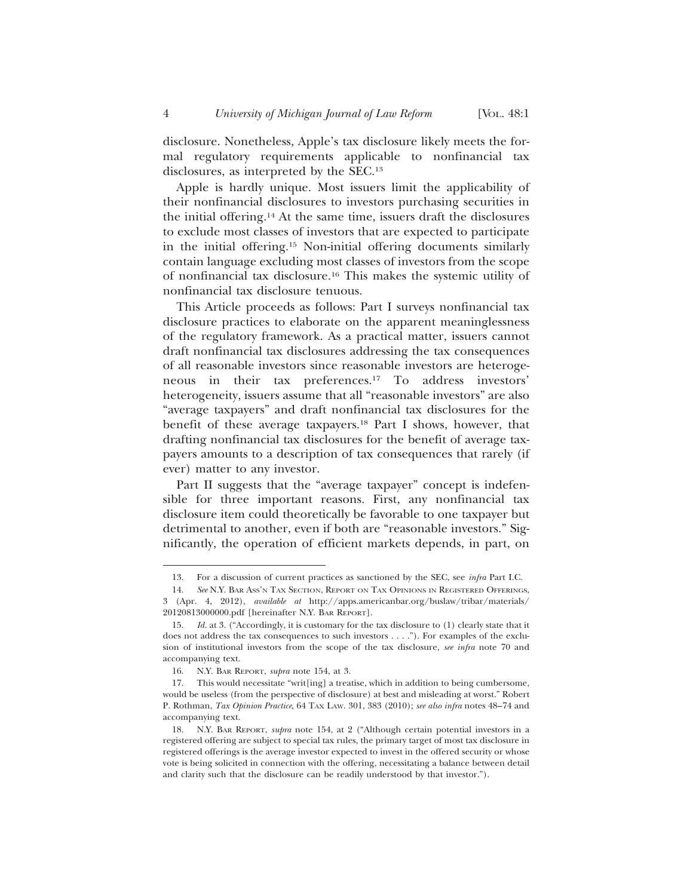disclosure. Nonetheless, Apple's tax disclosure likely meets the formal regulatory requirements applicable to nonfinancial tax disclosures, as interpreted by the SEC.13

Apple is hardly unique. Most issuers limit the applicability of their nonfinancial disclosures to investors purchasing securities in the initial offering.14 At the same time, issuers draft the disclosures to exclude most classes of investors that are expected to participate in the initial offering.15 Non-initial offering documents similarly contain language excluding most classes of investors from the scope of nonfinancial tax disclosure.16 This makes the systemic utility of nonfinancial tax disclosure tenuous.

This Article proceeds as follows: Part I surveys nonfinancial tax disclosure practices to elaborate on the apparent meaninglessness of the regulatory framework. As a practical matter, issuers cannot draft nonfinancial tax disclosures addressing the tax consequences of all reasonable investors since reasonable investors are heterogeneous in their tax preferences.17 To address investors' heterogeneity, issuers assume that all "reasonable investors" are also "average taxpayers" and draft nonfinancial tax disclosures for the benefit of these average taxpayers.18 Part I shows, however, that drafting nonfinancial tax disclosures for the benefit of average taxpayers amounts to a description of tax consequences that rarely (if ever) matter to any investor.

Part II suggests that the "average taxpayer" concept is indefensible for three important reasons. First, any nonfinancial tax disclosure item could theoretically be favorable to one taxpayer but detrimental to another, even if both are "reasonable investors." Significantly, the operation of efficient markets depends, in part, on

<sup>13.</sup> For a discussion of current practices as sanctioned by the SEC, see *infra* Part I.C.

<sup>14.</sup> *See* N.Y. BAR ASS'N TAX SECTION, REPORT ON TAX OPINIONS IN REGISTERED OFFERINGS, 3 (Apr. 4, 2012), *available at* http://apps.americanbar.org/buslaw/tribar/materials/ 20120813000000.pdf [hereinafter N.Y. BAR REPORT].

<sup>15.</sup> *Id.* at 3. ("Accordingly, it is customary for the tax disclosure to (1) clearly state that it does not address the tax consequences to such investors . . . ."). For examples of the exclusion of institutional investors from the scope of the tax disclosure, *see infra* note 70 and accompanying text.

<sup>16.</sup> N.Y. BAR REPORT, *supra* note 154, at 3.

<sup>17.</sup> This would necessitate "writ[ing] a treatise, which in addition to being cumbersome, would be useless (from the perspective of disclosure) at best and misleading at worst." Robert P. Rothman, *Tax Opinion Practice*, 64 TAX LAW. 301, 383 (2010); *see also infra* notes 48–74 and accompanying text.

<sup>18.</sup> N.Y. BAR REPORT, *supra* note 154, at 2 ("Although certain potential investors in a registered offering are subject to special tax rules, the primary target of most tax disclosure in registered offerings is the average investor expected to invest in the offered security or whose vote is being solicited in connection with the offering, necessitating a balance between detail and clarity such that the disclosure can be readily understood by that investor.").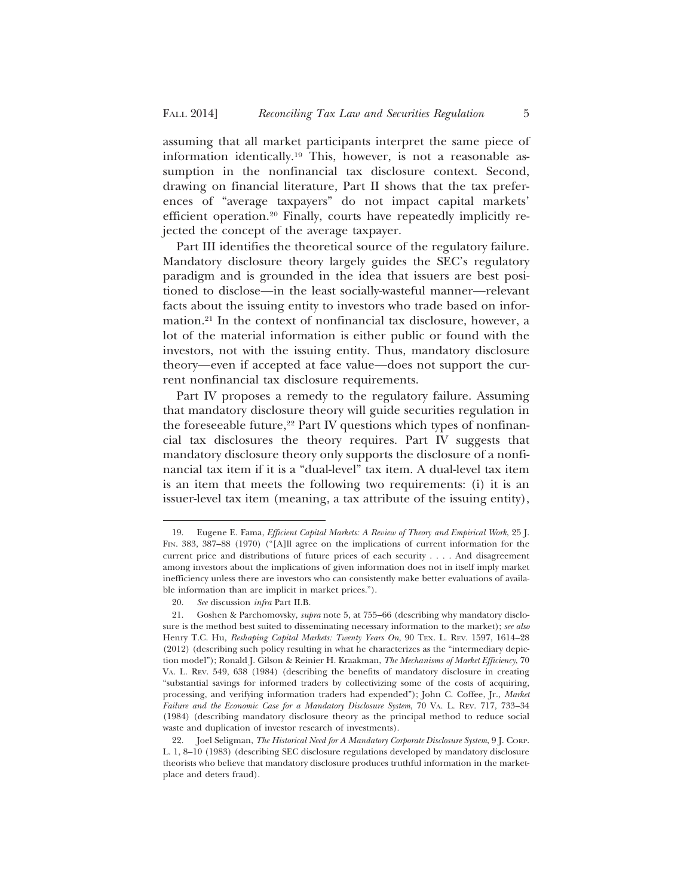assuming that all market participants interpret the same piece of information identically.19 This, however, is not a reasonable assumption in the nonfinancial tax disclosure context. Second, drawing on financial literature, Part II shows that the tax preferences of "average taxpayers" do not impact capital markets' efficient operation.20 Finally, courts have repeatedly implicitly rejected the concept of the average taxpayer.

Part III identifies the theoretical source of the regulatory failure. Mandatory disclosure theory largely guides the SEC's regulatory paradigm and is grounded in the idea that issuers are best positioned to disclose—in the least socially-wasteful manner—relevant facts about the issuing entity to investors who trade based on information.21 In the context of nonfinancial tax disclosure, however, a lot of the material information is either public or found with the investors, not with the issuing entity. Thus, mandatory disclosure theory—even if accepted at face value—does not support the current nonfinancial tax disclosure requirements.

Part IV proposes a remedy to the regulatory failure. Assuming that mandatory disclosure theory will guide securities regulation in the foreseeable future, $22$  Part IV questions which types of nonfinancial tax disclosures the theory requires. Part IV suggests that mandatory disclosure theory only supports the disclosure of a nonfinancial tax item if it is a "dual-level" tax item. A dual-level tax item is an item that meets the following two requirements: (i) it is an issuer-level tax item (meaning, a tax attribute of the issuing entity),

<sup>19.</sup> Eugene E. Fama, *Efficient Capital Markets: A Review of Theory and Empirical Work*, 25 J. FIN. 383, 387–88 (1970) ("[A]ll agree on the implications of current information for the current price and distributions of future prices of each security . . . . And disagreement among investors about the implications of given information does not in itself imply market inefficiency unless there are investors who can consistently make better evaluations of available information than are implicit in market prices.").

<sup>20.</sup> *See* discussion *infra* Part II.B.

<sup>21.</sup> Goshen & Parchomovsky, *supra* note 5, at 755–66 (describing why mandatory disclosure is the method best suited to disseminating necessary information to the market); *see also* Henry T.C. Hu*, Reshaping Capital Markets: Twenty Years On*, 90 TEX. L. REV. 1597, 1614–28 (2012) (describing such policy resulting in what he characterizes as the "intermediary depiction model"); Ronald J. Gilson & Reinier H. Kraakman, *The Mechanisms of Market Efficiency*, 70 VA. L. REV. 549, 638 (1984) (describing the benefits of mandatory disclosure in creating "substantial savings for informed traders by collectivizing some of the costs of acquiring, processing, and verifying information traders had expended"); John C. Coffee, Jr., *Market Failure and the Economic Case for a Mandatory Disclosure System*, 70 VA. L. REV. 717, 733–34 (1984) (describing mandatory disclosure theory as the principal method to reduce social waste and duplication of investor research of investments).

<sup>22.</sup> Joel Seligman, *The Historical Need for A Mandatory Corporate Disclosure System*, 9 J. CORP. L. 1, 8–10 (1983) (describing SEC disclosure regulations developed by mandatory disclosure theorists who believe that mandatory disclosure produces truthful information in the marketplace and deters fraud).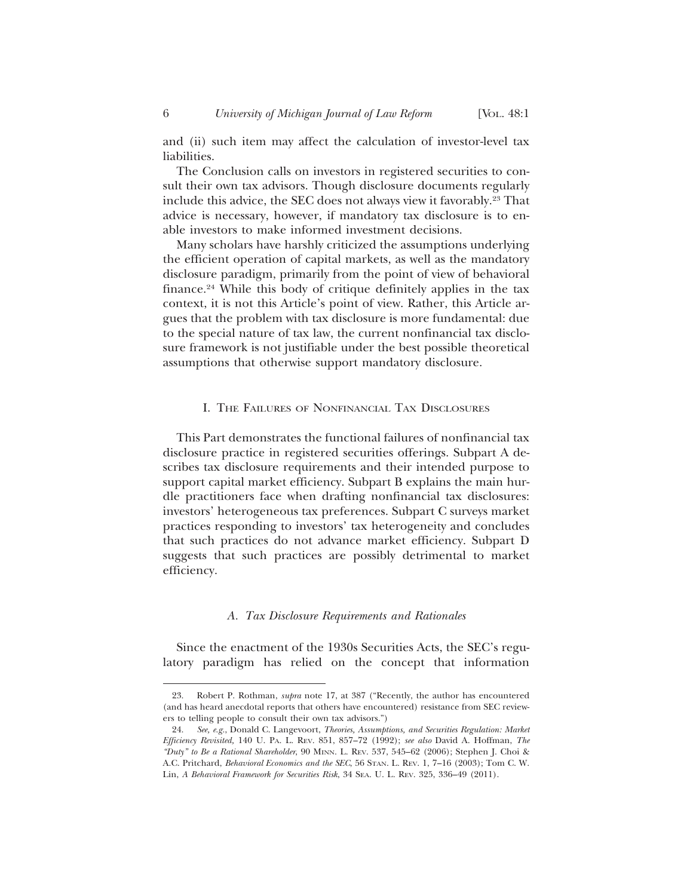and (ii) such item may affect the calculation of investor-level tax liabilities.

The Conclusion calls on investors in registered securities to consult their own tax advisors. Though disclosure documents regularly include this advice, the SEC does not always view it favorably.23 That advice is necessary, however, if mandatory tax disclosure is to enable investors to make informed investment decisions.

Many scholars have harshly criticized the assumptions underlying the efficient operation of capital markets, as well as the mandatory disclosure paradigm, primarily from the point of view of behavioral finance.24 While this body of critique definitely applies in the tax context, it is not this Article's point of view. Rather, this Article argues that the problem with tax disclosure is more fundamental: due to the special nature of tax law, the current nonfinancial tax disclosure framework is not justifiable under the best possible theoretical assumptions that otherwise support mandatory disclosure.

#### I. THE FAILURES OF NONFINANCIAL TAX DISCLOSURES

This Part demonstrates the functional failures of nonfinancial tax disclosure practice in registered securities offerings. Subpart A describes tax disclosure requirements and their intended purpose to support capital market efficiency. Subpart B explains the main hurdle practitioners face when drafting nonfinancial tax disclosures: investors' heterogeneous tax preferences. Subpart C surveys market practices responding to investors' tax heterogeneity and concludes that such practices do not advance market efficiency. Subpart D suggests that such practices are possibly detrimental to market efficiency.

#### *A. Tax Disclosure Requirements and Rationales*

Since the enactment of the 1930s Securities Acts, the SEC's regulatory paradigm has relied on the concept that information

<sup>23.</sup> Robert P. Rothman, *supra* note 17, at 387 ("Recently, the author has encountered (and has heard anecdotal reports that others have encountered) resistance from SEC reviewers to telling people to consult their own tax advisors.")

<sup>24.</sup> *See, e.g.*, Donald C. Langevoort, *Theories, Assumptions, and Securities Regulation: Market Efficiency Revisited,* 140 U. PA. L. REV. 851, 857–72 (1992); *see also* David A. Hoffman, *The "Duty" to Be a Rational Shareholder*, 90 MINN. L. REV. 537, 545–62 (2006); Stephen J. Choi & A.C. Pritchard, *Behavioral Economics and the SEC*, 56 STAN. L. REV. 1, 7–16 (2003); Tom C. W. Lin, *A Behavioral Framework for Securities Risk*, 34 SEA. U. L. REV. 325, 336–49 (2011).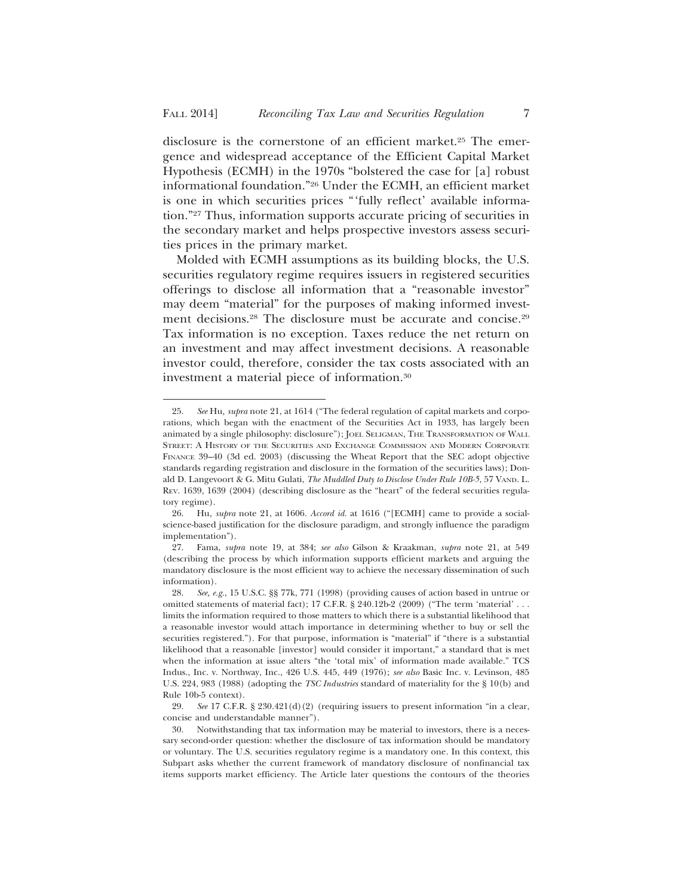disclosure is the cornerstone of an efficient market.25 The emergence and widespread acceptance of the Efficient Capital Market Hypothesis (ECMH) in the 1970s "bolstered the case for [a] robust informational foundation."26 Under the ECMH, an efficient market is one in which securities prices "'fully reflect' available information."27 Thus, information supports accurate pricing of securities in the secondary market and helps prospective investors assess securities prices in the primary market.

Molded with ECMH assumptions as its building blocks, the U.S. securities regulatory regime requires issuers in registered securities offerings to disclose all information that a "reasonable investor" may deem "material" for the purposes of making informed investment decisions.<sup>28</sup> The disclosure must be accurate and concise.<sup>29</sup> Tax information is no exception. Taxes reduce the net return on an investment and may affect investment decisions. A reasonable investor could, therefore, consider the tax costs associated with an investment a material piece of information.30

<sup>25.</sup> *See* Hu*, supra* note 21, at 1614 ("The federal regulation of capital markets and corporations, which began with the enactment of the Securities Act in 1933, has largely been animated by a single philosophy: disclosure"); JOEL SELIGMAN, THE TRANSFORMATION OF WALL STREET: A HISTORY OF THE SECURITIES AND EXCHANGE COMMISSION AND MODERN CORPORATE FINANCE 39–40 (3d ed. 2003) (discussing the Wheat Report that the SEC adopt objective standards regarding registration and disclosure in the formation of the securities laws); Donald D. Langevoort & G. Mitu Gulati, *The Muddled Duty to Disclose Under Rule 10B-5*, 57 VAND. L. REV. 1639, 1639 (2004) (describing disclosure as the "heart" of the federal securities regulatory regime).

<sup>26.</sup> Hu*, supra* note 21, at 1606. *Accord id.* at 1616 ("[ECMH] came to provide a socialscience-based justification for the disclosure paradigm, and strongly influence the paradigm implementation").

<sup>27.</sup> Fama, *supra* note 19, at 384; *see also* Gilson & Kraakman, *supra* note 21, at 549 (describing the process by which information supports efficient markets and arguing the mandatory disclosure is the most efficient way to achieve the necessary dissemination of such information).

<sup>28.</sup> *See, e.g.*, 15 U.S.C. §§ 77k, 771 (1998) (providing causes of action based in untrue or omitted statements of material fact); 17 C.F.R. § 240.12b-2 (2009) ("The term 'material' . . . limits the information required to those matters to which there is a substantial likelihood that a reasonable investor would attach importance in determining whether to buy or sell the securities registered."). For that purpose, information is "material" if "there is a substantial likelihood that a reasonable [investor] would consider it important," a standard that is met when the information at issue alters "the 'total mix' of information made available." TCS Indus., Inc. v. Northway, Inc., 426 U.S. 445, 449 (1976); *see also* Basic Inc. v. Levinson, 485 U.S. 224, 983 (1988) (adopting the *TSC Industries* standard of materiality for the § 10(b) and Rule 10b-5 context).

<sup>29.</sup> *See* 17 C.F.R. § 230.421(d)(2) (requiring issuers to present information "in a clear, concise and understandable manner").

<sup>30.</sup> Notwithstanding that tax information may be material to investors, there is a necessary second-order question: whether the disclosure of tax information should be mandatory or voluntary. The U.S. securities regulatory regime is a mandatory one. In this context, this Subpart asks whether the current framework of mandatory disclosure of nonfinancial tax items supports market efficiency. The Article later questions the contours of the theories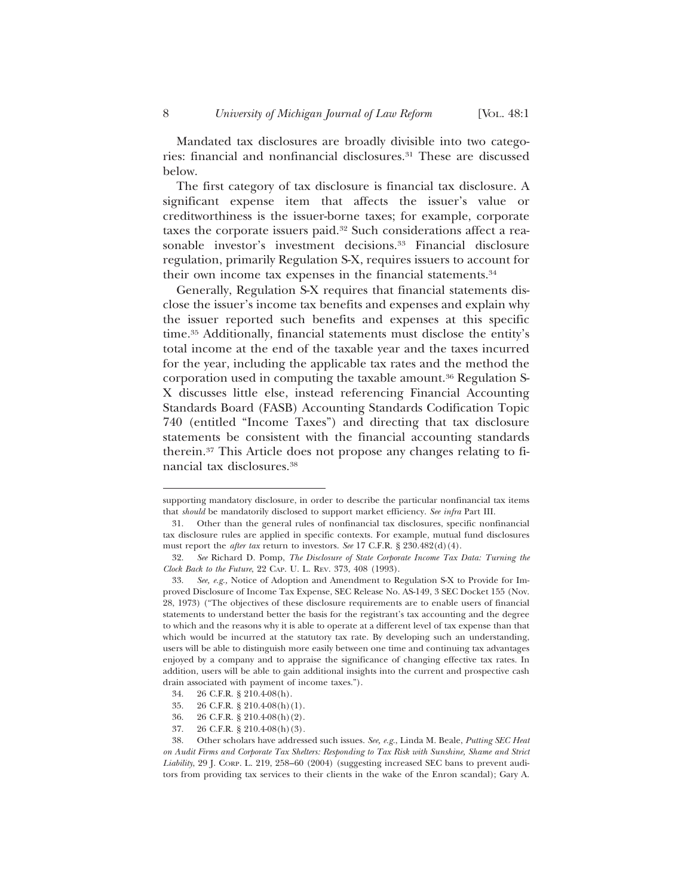Mandated tax disclosures are broadly divisible into two categories: financial and nonfinancial disclosures.31 These are discussed below.

The first category of tax disclosure is financial tax disclosure. A significant expense item that affects the issuer's value or creditworthiness is the issuer-borne taxes; for example, corporate taxes the corporate issuers paid.32 Such considerations affect a reasonable investor's investment decisions.<sup>33</sup> Financial disclosure regulation, primarily Regulation S-X, requires issuers to account for their own income tax expenses in the financial statements.34

Generally, Regulation S-X requires that financial statements disclose the issuer's income tax benefits and expenses and explain why the issuer reported such benefits and expenses at this specific time.35 Additionally, financial statements must disclose the entity's total income at the end of the taxable year and the taxes incurred for the year, including the applicable tax rates and the method the corporation used in computing the taxable amount.36 Regulation S-X discusses little else, instead referencing Financial Accounting Standards Board (FASB) Accounting Standards Codification Topic 740 (entitled "Income Taxes") and directing that tax disclosure statements be consistent with the financial accounting standards therein.37 This Article does not propose any changes relating to financial tax disclosures.38

supporting mandatory disclosure, in order to describe the particular nonfinancial tax items that *should* be mandatorily disclosed to support market efficiency. *See infra* Part III.

<sup>31.</sup> Other than the general rules of nonfinancial tax disclosures, specific nonfinancial tax disclosure rules are applied in specific contexts. For example, mutual fund disclosures must report the *after tax* return to investors. *See* 17 C.F.R. § 230.482(d)(4).

<sup>32.</sup> *See* Richard D. Pomp, *The Disclosure of State Corporate Income Tax Data: Turning the Clock Back to the Future*, 22 CAP. U. L. REV. 373, 408 (1993).

<sup>33.</sup> *See, e.g.,* Notice of Adoption and Amendment to Regulation S-X to Provide for Improved Disclosure of Income Tax Expense, SEC Release No. AS-149, 3 SEC Docket 155 (Nov. 28, 1973) ("The objectives of these disclosure requirements are to enable users of financial statements to understand better the basis for the registrant's tax accounting and the degree to which and the reasons why it is able to operate at a different level of tax expense than that which would be incurred at the statutory tax rate. By developing such an understanding, users will be able to distinguish more easily between one time and continuing tax advantages enjoyed by a company and to appraise the significance of changing effective tax rates. In addition, users will be able to gain additional insights into the current and prospective cash drain associated with payment of income taxes.").

<sup>34. 26</sup> C.F.R. § 210.4-08(h).

<sup>35. 26</sup> C.F.R. § 210.4-08(h)(1).

<sup>36. 26</sup> C.F.R. § 210.4-08(h)(2).

<sup>37. 26</sup> C.F.R. § 210.4-08(h)(3)*.*

<sup>38.</sup> Other scholars have addressed such issues. *See, e.g.*, Linda M. Beale, *Putting SEC Heat on Audit Firms and Corporate Tax Shelters: Responding to Tax Risk with Sunshine, Shame and Strict Liability*, 29 J. CORP. L. 219, 258–60 (2004) (suggesting increased SEC bans to prevent auditors from providing tax services to their clients in the wake of the Enron scandal); Gary A.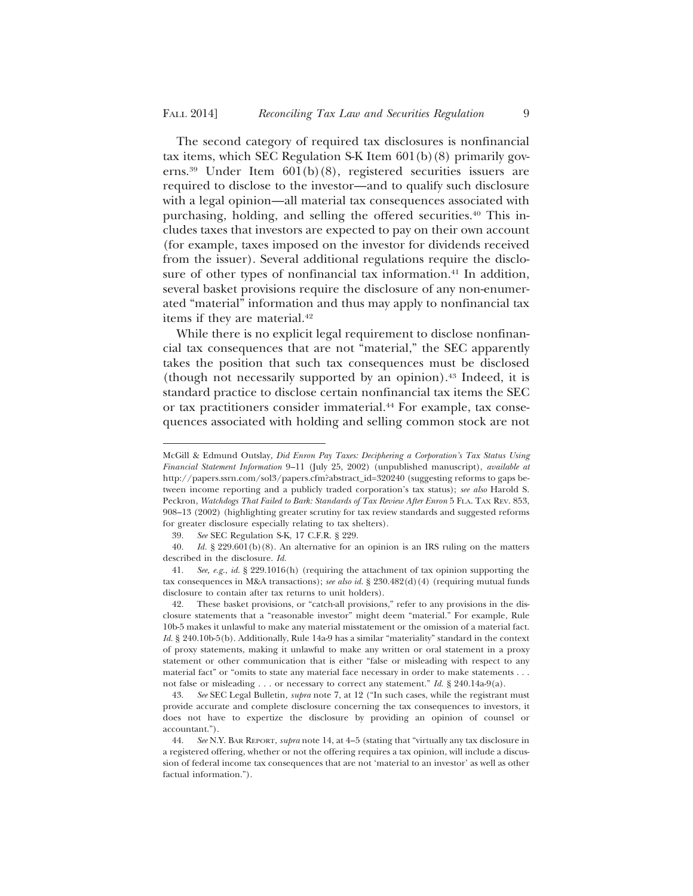The second category of required tax disclosures is nonfinancial tax items, which SEC Regulation S-K Item 601(b)(8) primarily governs.39 Under Item 601(b)(8), registered securities issuers are required to disclose to the investor—and to qualify such disclosure with a legal opinion—all material tax consequences associated with purchasing, holding, and selling the offered securities.40 This includes taxes that investors are expected to pay on their own account (for example, taxes imposed on the investor for dividends received from the issuer). Several additional regulations require the disclosure of other types of nonfinancial tax information.<sup>41</sup> In addition, several basket provisions require the disclosure of any non-enumerated "material" information and thus may apply to nonfinancial tax items if they are material.<sup>42</sup>

While there is no explicit legal requirement to disclose nonfinancial tax consequences that are not "material," the SEC apparently takes the position that such tax consequences must be disclosed (though not necessarily supported by an opinion).43 Indeed, it is standard practice to disclose certain nonfinancial tax items the SEC or tax practitioners consider immaterial.<sup>44</sup> For example, tax consequences associated with holding and selling common stock are not

McGill & Edmund Outslay*, Did Enron Pay Taxes: Deciphering a Corporation's Tax Status Using Financial Statement Information* 9–11 (July 25, 2002) (unpublished manuscript), *available at* http://papers.ssrn.com/sol3/papers.cfm?abstract\_id=320240 (suggesting reforms to gaps between income reporting and a publicly traded corporation's tax status); *see also* Harold S. Peckron, *Watchdogs That Failed to Bark: Standards of Tax Review After Enron* 5 FLA. TAX REV. 853, 908–13 (2002) (highlighting greater scrutiny for tax review standards and suggested reforms for greater disclosure especially relating to tax shelters).<br>39. See SEC Regulation S-K, 17 C.F.R. § 229.

<sup>39.</sup> *See* SEC Regulation S-K, 17 C.F.R. § 229.

<sup>40.</sup> *Id.* § 229.601(b)(8). An alternative for an opinion is an IRS ruling on the matters described in the disclosure. *Id.*

<sup>41.</sup> *See, e.g.*, *id.* § 229.1016(h) (requiring the attachment of tax opinion supporting the tax consequences in M&A transactions); *see also id.* § 230.482(d)(4) (requiring mutual funds disclosure to contain after tax returns to unit holders).

<sup>42.</sup> These basket provisions, or "catch-all provisions," refer to any provisions in the disclosure statements that a "reasonable investor" might deem "material." For example, Rule 10b-5 makes it unlawful to make any material misstatement or the omission of a material fact. *Id.* § 240.10b-5(b). Additionally, Rule 14a-9 has a similar "materiality" standard in the context of proxy statements, making it unlawful to make any written or oral statement in a proxy statement or other communication that is either "false or misleading with respect to any material fact" or "omits to state any material face necessary in order to make statements . . . not false or misleading . . . or necessary to correct any statement." *Id.* § 240.14a-9(a).

<sup>43.</sup> *See* SEC Legal Bulletin*, supra* note 7, at 12 ("In such cases, while the registrant must provide accurate and complete disclosure concerning the tax consequences to investors, it does not have to expertize the disclosure by providing an opinion of counsel or accountant.").

<sup>44.</sup> *See* N.Y. BAR REPORT, *supra* note 14, at 4–5 (stating that "virtually any tax disclosure in a registered offering, whether or not the offering requires a tax opinion, will include a discussion of federal income tax consequences that are not 'material to an investor' as well as other factual information.").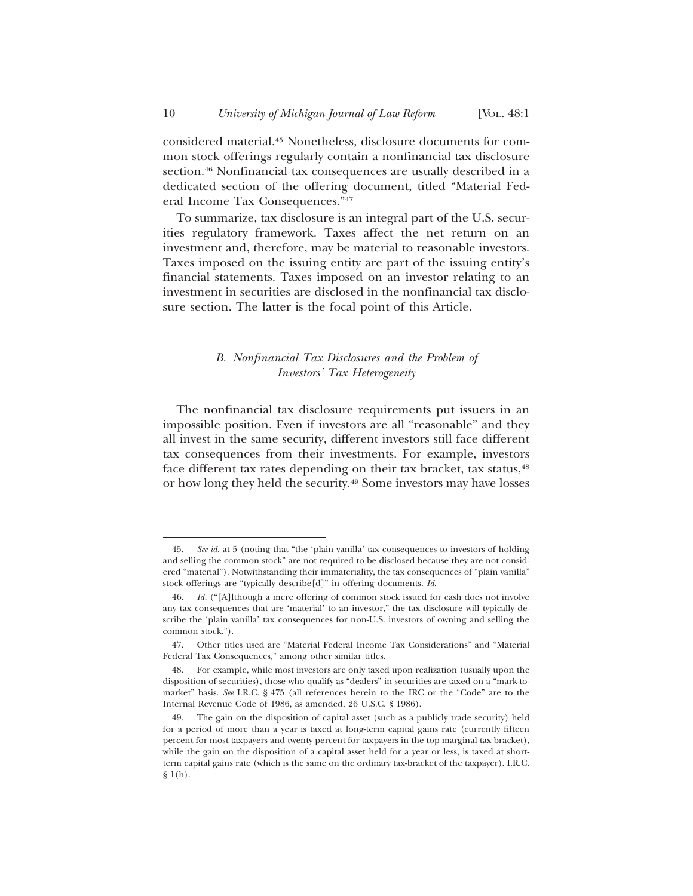considered material.45 Nonetheless, disclosure documents for common stock offerings regularly contain a nonfinancial tax disclosure section.<sup>46</sup> Nonfinancial tax consequences are usually described in a dedicated section of the offering document, titled "Material Federal Income Tax Consequences."47

To summarize, tax disclosure is an integral part of the U.S. securities regulatory framework. Taxes affect the net return on an investment and, therefore, may be material to reasonable investors. Taxes imposed on the issuing entity are part of the issuing entity's financial statements. Taxes imposed on an investor relating to an investment in securities are disclosed in the nonfinancial tax disclosure section. The latter is the focal point of this Article.

# *B. Nonfinancial Tax Disclosures and the Problem of Investors' Tax Heterogeneity*

The nonfinancial tax disclosure requirements put issuers in an impossible position. Even if investors are all "reasonable" and they all invest in the same security, different investors still face different tax consequences from their investments. For example, investors face different tax rates depending on their tax bracket, tax status,<sup>48</sup> or how long they held the security.49 Some investors may have losses

<sup>45.</sup> *See id.* at 5 (noting that "the 'plain vanilla' tax consequences to investors of holding and selling the common stock" are not required to be disclosed because they are not considered "material"). Notwithstanding their immateriality, the tax consequences of "plain vanilla" stock offerings are "typically describe[d]" in offering documents. *Id*.

Id. ("[A]lthough a mere offering of common stock issued for cash does not involve any tax consequences that are 'material' to an investor," the tax disclosure will typically describe the 'plain vanilla' tax consequences for non-U.S. investors of owning and selling the common stock.").

<sup>47.</sup> Other titles used are "Material Federal Income Tax Considerations" and "Material Federal Tax Consequences," among other similar titles.

<sup>48.</sup> For example, while most investors are only taxed upon realization (usually upon the disposition of securities), those who qualify as "dealers" in securities are taxed on a "mark-tomarket" basis. *See* I.R.C. § 475 (all references herein to the IRC or the "Code" are to the Internal Revenue Code of 1986, as amended, 26 U.S.C. § 1986).

<sup>49.</sup> The gain on the disposition of capital asset (such as a publicly trade security) held for a period of more than a year is taxed at long-term capital gains rate (currently fifteen percent for most taxpayers and twenty percent for taxpayers in the top marginal tax bracket), while the gain on the disposition of a capital asset held for a year or less, is taxed at shortterm capital gains rate (which is the same on the ordinary tax-bracket of the taxpayer). I.R.C.  $$1(h).$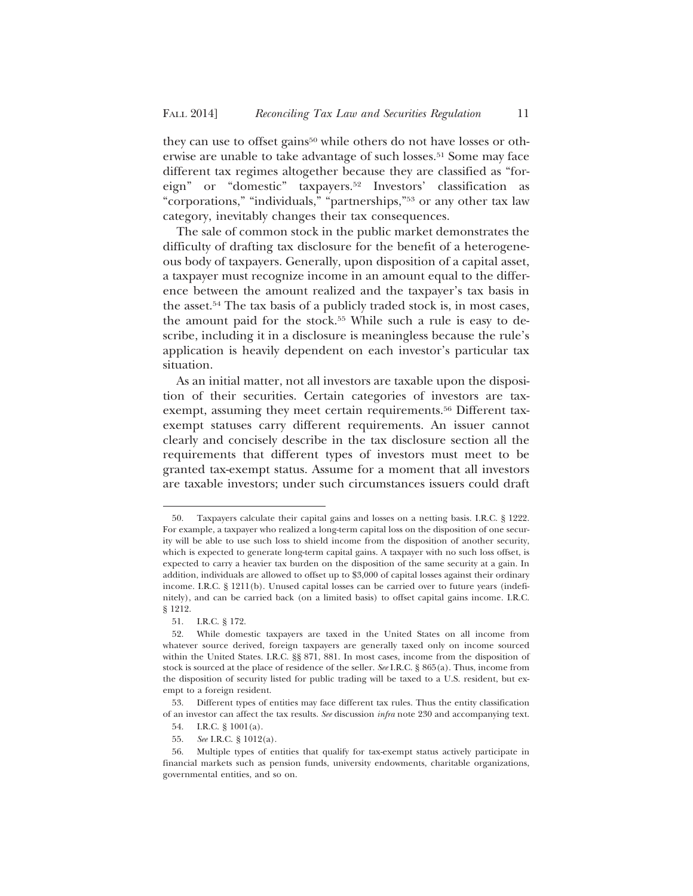they can use to offset gains<sup>50</sup> while others do not have losses or otherwise are unable to take advantage of such losses.<sup>51</sup> Some may face different tax regimes altogether because they are classified as "foreign" or "domestic" taxpayers.52 Investors' classification as "corporations," "individuals," "partnerships,"53 or any other tax law category, inevitably changes their tax consequences.

The sale of common stock in the public market demonstrates the difficulty of drafting tax disclosure for the benefit of a heterogeneous body of taxpayers. Generally, upon disposition of a capital asset, a taxpayer must recognize income in an amount equal to the difference between the amount realized and the taxpayer's tax basis in the asset.54 The tax basis of a publicly traded stock is, in most cases, the amount paid for the stock.<sup>55</sup> While such a rule is easy to describe, including it in a disclosure is meaningless because the rule's application is heavily dependent on each investor's particular tax situation.

As an initial matter, not all investors are taxable upon the disposition of their securities. Certain categories of investors are taxexempt, assuming they meet certain requirements.<sup>56</sup> Different taxexempt statuses carry different requirements. An issuer cannot clearly and concisely describe in the tax disclosure section all the requirements that different types of investors must meet to be granted tax-exempt status. Assume for a moment that all investors are taxable investors; under such circumstances issuers could draft

<sup>50.</sup> Taxpayers calculate their capital gains and losses on a netting basis. I.R.C. § 1222. For example, a taxpayer who realized a long-term capital loss on the disposition of one security will be able to use such loss to shield income from the disposition of another security, which is expected to generate long-term capital gains. A taxpayer with no such loss offset, is expected to carry a heavier tax burden on the disposition of the same security at a gain. In addition, individuals are allowed to offset up to \$3,000 of capital losses against their ordinary income. I.R.C. § 1211(b). Unused capital losses can be carried over to future years (indefinitely), and can be carried back (on a limited basis) to offset capital gains income. I.R.C. § 1212.

<sup>51.</sup> I.R.C. § 172.

<sup>52.</sup> While domestic taxpayers are taxed in the United States on all income from whatever source derived, foreign taxpayers are generally taxed only on income sourced within the United States. I.R.C. §§ 871, 881. In most cases, income from the disposition of stock is sourced at the place of residence of the seller. *See* I.R.C. § 865(a). Thus, income from the disposition of security listed for public trading will be taxed to a U.S. resident, but exempt to a foreign resident.

<sup>53.</sup> Different types of entities may face different tax rules. Thus the entity classification of an investor can affect the tax results. *See* discussion *infra* note 230 and accompanying text.

<sup>54.</sup> I.R.C. § 1001(a).

<sup>55.</sup> *See* I.R.C. § 1012(a).

<sup>56.</sup> Multiple types of entities that qualify for tax-exempt status actively participate in financial markets such as pension funds, university endowments, charitable organizations, governmental entities, and so on.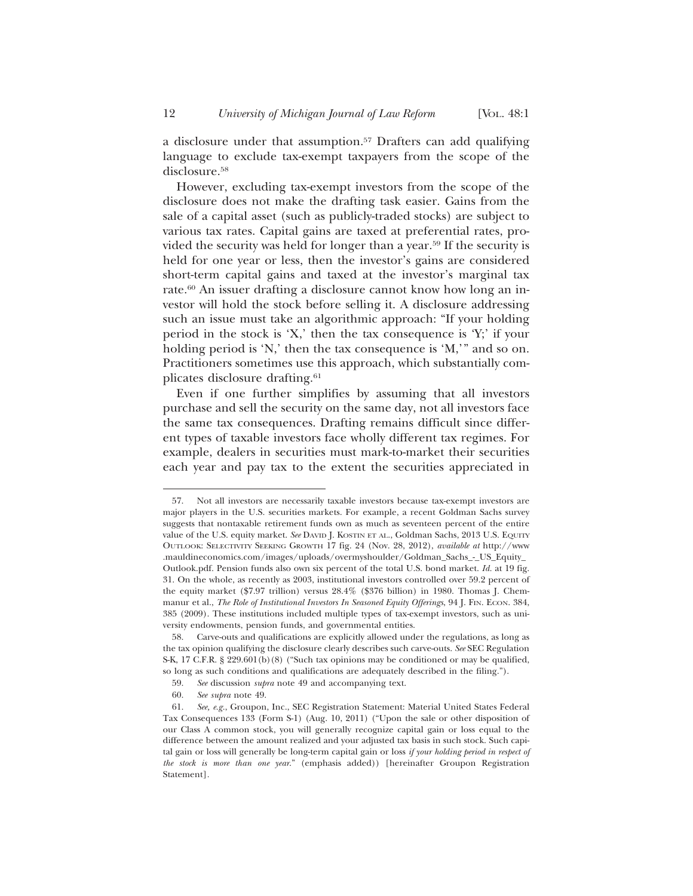a disclosure under that assumption.57 Drafters can add qualifying language to exclude tax-exempt taxpayers from the scope of the disclosure.58

However, excluding tax-exempt investors from the scope of the disclosure does not make the drafting task easier. Gains from the sale of a capital asset (such as publicly-traded stocks) are subject to various tax rates. Capital gains are taxed at preferential rates, provided the security was held for longer than a year.59 If the security is held for one year or less, then the investor's gains are considered short-term capital gains and taxed at the investor's marginal tax rate.60 An issuer drafting a disclosure cannot know how long an investor will hold the stock before selling it. A disclosure addressing such an issue must take an algorithmic approach: "If your holding period in the stock is 'X,' then the tax consequence is 'Y;' if your holding period is 'N,' then the tax consequence is 'M,'" and so on. Practitioners sometimes use this approach, which substantially complicates disclosure drafting.61

Even if one further simplifies by assuming that all investors purchase and sell the security on the same day, not all investors face the same tax consequences. Drafting remains difficult since different types of taxable investors face wholly different tax regimes. For example, dealers in securities must mark-to-market their securities each year and pay tax to the extent the securities appreciated in

<sup>57.</sup> Not all investors are necessarily taxable investors because tax-exempt investors are major players in the U.S. securities markets. For example, a recent Goldman Sachs survey suggests that nontaxable retirement funds own as much as seventeen percent of the entire value of the U.S. equity market. *See* DAVID J. KOSTIN ET AL., Goldman Sachs, 2013 U.S. EQUITY OUTLOOK: SELECTIVITY SEEKING GROWTH 17 fig. 24 (Nov. 28, 2012), *available at* http://www .mauldineconomics.com/images/uploads/overmyshoulder/Goldman\_Sachs\_-\_US\_Equity\_ Outlook.pdf. Pension funds also own six percent of the total U.S. bond market. *Id.* at 19 fig. 31. On the whole, as recently as 2003, institutional investors controlled over 59.2 percent of the equity market (\$7.97 trillion) versus 28.4% (\$376 billion) in 1980. Thomas J. Chemmanur et al., *The Role of Institutional Investors In Seasoned Equity Offerings*, 94 J. FIN. ECON. 384, 385 (2009). These institutions included multiple types of tax-exempt investors, such as university endowments, pension funds, and governmental entities.

<sup>58.</sup> Carve-outs and qualifications are explicitly allowed under the regulations, as long as the tax opinion qualifying the disclosure clearly describes such carve-outs. *See* SEC Regulation S-K, 17 C.F.R. § 229.601(b)(8) ("Such tax opinions may be conditioned or may be qualified, so long as such conditions and qualifications are adequately described in the filing.").

<sup>59.</sup> *See* discussion *supra* note 49 and accompanying text.

<sup>60.</sup> *See supra* note 49.

<sup>61.</sup> *See, e.g.*, Groupon, Inc., SEC Registration Statement: Material United States Federal Tax Consequences 133 (Form S-1) (Aug. 10, 2011) ("Upon the sale or other disposition of our Class A common stock, you will generally recognize capital gain or loss equal to the difference between the amount realized and your adjusted tax basis in such stock. Such capital gain or loss will generally be long-term capital gain or loss *if your holding period in respect of the stock is more than one year*." (emphasis added)) [hereinafter Groupon Registration Statement]*.*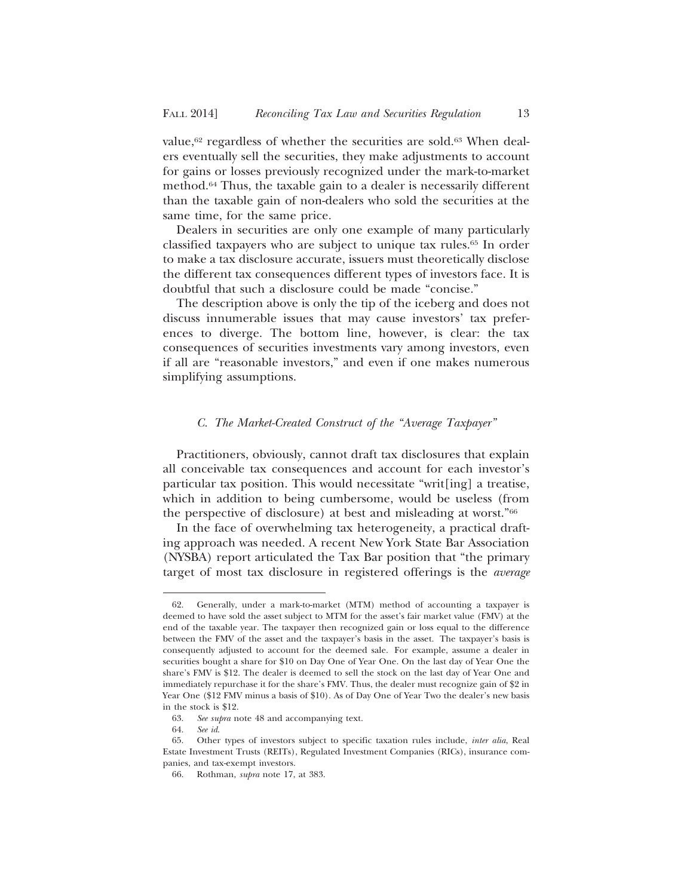value,<sup>62</sup> regardless of whether the securities are sold.<sup>63</sup> When dealers eventually sell the securities, they make adjustments to account for gains or losses previously recognized under the mark-to-market method.64 Thus, the taxable gain to a dealer is necessarily different than the taxable gain of non-dealers who sold the securities at the same time, for the same price.

Dealers in securities are only one example of many particularly classified taxpayers who are subject to unique tax rules.65 In order to make a tax disclosure accurate, issuers must theoretically disclose the different tax consequences different types of investors face. It is doubtful that such a disclosure could be made "concise."

The description above is only the tip of the iceberg and does not discuss innumerable issues that may cause investors' tax preferences to diverge. The bottom line, however, is clear: the tax consequences of securities investments vary among investors, even if all are "reasonable investors," and even if one makes numerous simplifying assumptions.

### *C. The Market-Created Construct of the "Average Taxpayer"*

Practitioners, obviously, cannot draft tax disclosures that explain all conceivable tax consequences and account for each investor's particular tax position. This would necessitate "writ[ing] a treatise, which in addition to being cumbersome, would be useless (from the perspective of disclosure) at best and misleading at worst."66

In the face of overwhelming tax heterogeneity, a practical drafting approach was needed. A recent New York State Bar Association (NYSBA) report articulated the Tax Bar position that "the primary target of most tax disclosure in registered offerings is the *average*

<sup>62.</sup> Generally, under a mark-to-market (MTM) method of accounting a taxpayer is deemed to have sold the asset subject to MTM for the asset's fair market value (FMV) at the end of the taxable year. The taxpayer then recognized gain or loss equal to the difference between the FMV of the asset and the taxpayer's basis in the asset. The taxpayer's basis is consequently adjusted to account for the deemed sale. For example, assume a dealer in securities bought a share for \$10 on Day One of Year One. On the last day of Year One the share's FMV is \$12. The dealer is deemed to sell the stock on the last day of Year One and immediately repurchase it for the share's FMV. Thus, the dealer must recognize gain of \$2 in Year One (\$12 FMV minus a basis of \$10). As of Day One of Year Two the dealer's new basis in the stock is \$12.

<sup>63.</sup> *See supra* note 48 and accompanying text.

<sup>64.</sup> *See id*.

<sup>65.</sup> Other types of investors subject to specific taxation rules include, *inter alia*, Real Estate Investment Trusts (REITs), Regulated Investment Companies (RICs), insurance companies, and tax-exempt investors.

<sup>66.</sup> Rothman, *supra* note 17, at 383.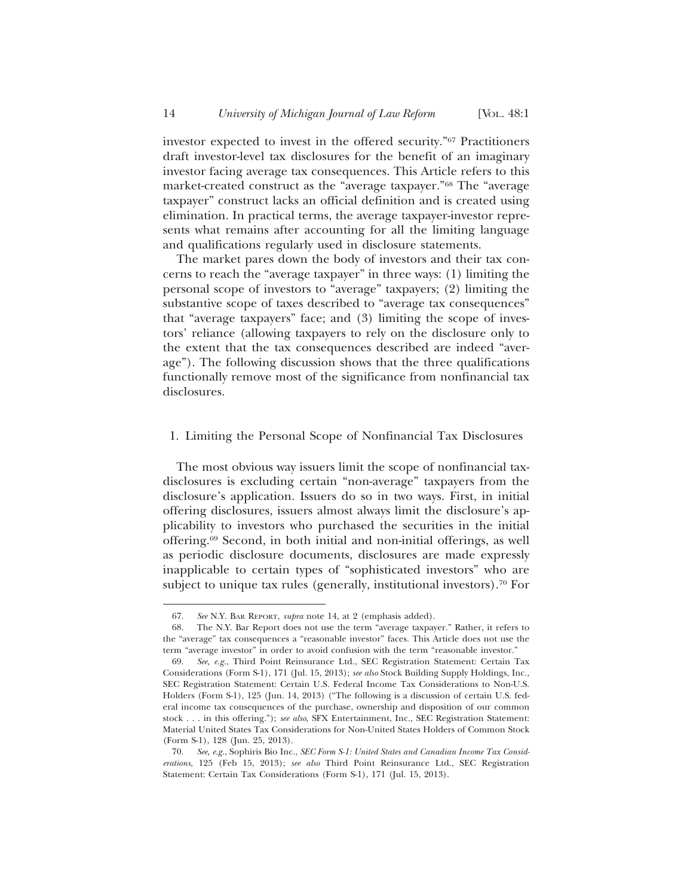investor expected to invest in the offered security."67 Practitioners draft investor-level tax disclosures for the benefit of an imaginary investor facing average tax consequences. This Article refers to this market-created construct as the "average taxpayer."68 The "average taxpayer" construct lacks an official definition and is created using elimination. In practical terms, the average taxpayer-investor represents what remains after accounting for all the limiting language and qualifications regularly used in disclosure statements.

The market pares down the body of investors and their tax concerns to reach the "average taxpayer" in three ways: (1) limiting the personal scope of investors to "average" taxpayers; (2) limiting the substantive scope of taxes described to "average tax consequences" that "average taxpayers" face; and (3) limiting the scope of investors' reliance (allowing taxpayers to rely on the disclosure only to the extent that the tax consequences described are indeed "average"). The following discussion shows that the three qualifications functionally remove most of the significance from nonfinancial tax disclosures.

## 1. Limiting the Personal Scope of Nonfinancial Tax Disclosures

The most obvious way issuers limit the scope of nonfinancial taxdisclosures is excluding certain "non-average" taxpayers from the disclosure's application. Issuers do so in two ways. First, in initial offering disclosures, issuers almost always limit the disclosure's applicability to investors who purchased the securities in the initial offering.69 Second, in both initial and non-initial offerings, as well as periodic disclosure documents, disclosures are made expressly inapplicable to certain types of "sophisticated investors" who are subject to unique tax rules (generally, institutional investors).<sup>70</sup> For

<sup>67.</sup> *See* N.Y. BAR REPORT, *supra* note 14, at 2 (emphasis added).

<sup>68.</sup> The N.Y. Bar Report does not use the term "average taxpayer." Rather, it refers to the "average" tax consequences a "reasonable investor" faces. This Article does not use the term "average investor" in order to avoid confusion with the term "reasonable investor."

<sup>69.</sup> *See, e.g.*, Third Point Reinsurance Ltd., SEC Registration Statement: Certain Tax Considerations (Form S-1), 171 (Jul. 15, 2013); *see also* Stock Building Supply Holdings, Inc., SEC Registration Statement: Certain U.S. Federal Income Tax Considerations to Non-U.S. Holders (Form S-1), 125 (Jun. 14, 2013) ("The following is a discussion of certain U.S. federal income tax consequences of the purchase, ownership and disposition of our common stock . . . in this offering."); *see also*, SFX Entertainment, Inc., SEC Registration Statement: Material United States Tax Considerations for Non-United States Holders of Common Stock (Form S-1), 128 (Jun. 25, 2013).

<sup>70.</sup> *See, e.g.*, Sophiris Bio Inc., *SEC Form S-1: United States and Canadian Income Tax Considerations*, 125 (Feb 15, 2013); *see also* Third Point Reinsurance Ltd., SEC Registration Statement: Certain Tax Considerations (Form S-1), 171 (Jul. 15, 2013).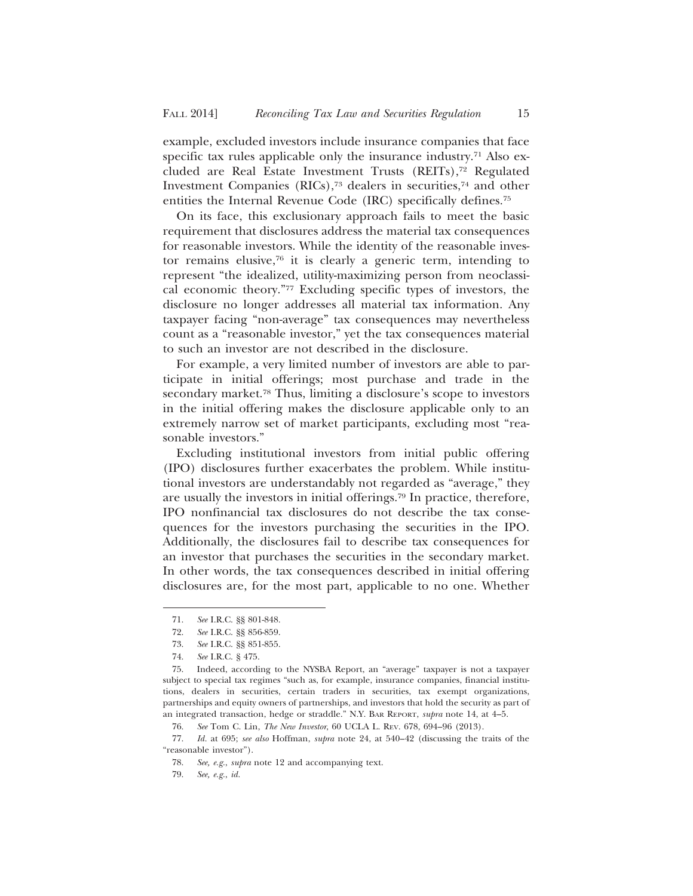example, excluded investors include insurance companies that face specific tax rules applicable only the insurance industry.<sup>71</sup> Also excluded are Real Estate Investment Trusts (REITs),72 Regulated Investment Companies (RICs),73 dealers in securities,74 and other entities the Internal Revenue Code (IRC) specifically defines.75

On its face, this exclusionary approach fails to meet the basic requirement that disclosures address the material tax consequences for reasonable investors. While the identity of the reasonable investor remains elusive,76 it is clearly a generic term, intending to represent "the idealized, utility-maximizing person from neoclassical economic theory."77 Excluding specific types of investors, the disclosure no longer addresses all material tax information. Any taxpayer facing "non-average" tax consequences may nevertheless count as a "reasonable investor," yet the tax consequences material to such an investor are not described in the disclosure.

For example, a very limited number of investors are able to participate in initial offerings; most purchase and trade in the secondary market.<sup>78</sup> Thus, limiting a disclosure's scope to investors in the initial offering makes the disclosure applicable only to an extremely narrow set of market participants, excluding most "reasonable investors."

Excluding institutional investors from initial public offering (IPO) disclosures further exacerbates the problem. While institutional investors are understandably not regarded as "average," they are usually the investors in initial offerings.79 In practice, therefore, IPO nonfinancial tax disclosures do not describe the tax consequences for the investors purchasing the securities in the IPO. Additionally, the disclosures fail to describe tax consequences for an investor that purchases the securities in the secondary market. In other words, the tax consequences described in initial offering disclosures are, for the most part, applicable to no one. Whether

<sup>71.</sup> *See* I.R.C. §§ 801-848.

<sup>72.</sup> *See* I.R.C. §§ 856-859.

<sup>73.</sup> *See* I.R.C. §§ 851-855.

<sup>74.</sup> *See* I.R.C. § 475.

<sup>75.</sup> Indeed, according to the NYSBA Report, an "average" taxpayer is not a taxpayer subject to special tax regimes "such as, for example, insurance companies, financial institutions, dealers in securities, certain traders in securities, tax exempt organizations, partnerships and equity owners of partnerships, and investors that hold the security as part of an integrated transaction, hedge or straddle." N.Y. BAR REPORT, *supra* note 14, at 4–5.

<sup>76.</sup> *See* Tom C. Lin, *The New Investor*, 60 UCLA L. REV. 678, 694–96 (2013).

<sup>77.</sup> *Id.* at 695; *see also* Hoffman, *supra* note 24, at 540–42 (discussing the traits of the "reasonable investor").

<sup>78.</sup> *See, e.g.*, *supra* note 12 and accompanying text.

<sup>79.</sup> *See, e.g.*, *id.*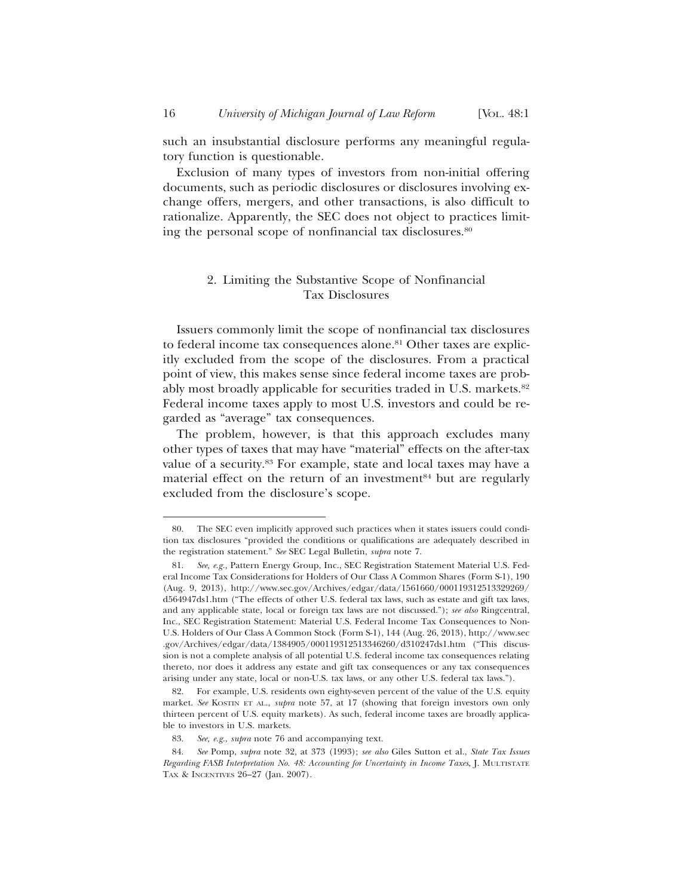such an insubstantial disclosure performs any meaningful regulatory function is questionable.

Exclusion of many types of investors from non-initial offering documents, such as periodic disclosures or disclosures involving exchange offers, mergers, and other transactions, is also difficult to rationalize. Apparently, the SEC does not object to practices limiting the personal scope of nonfinancial tax disclosures.80

## 2. Limiting the Substantive Scope of Nonfinancial Tax Disclosures

Issuers commonly limit the scope of nonfinancial tax disclosures to federal income tax consequences alone.81 Other taxes are explicitly excluded from the scope of the disclosures. From a practical point of view, this makes sense since federal income taxes are probably most broadly applicable for securities traded in U.S. markets.<sup>82</sup> Federal income taxes apply to most U.S. investors and could be regarded as "average" tax consequences.

The problem, however, is that this approach excludes many other types of taxes that may have "material" effects on the after-tax value of a security.83 For example, state and local taxes may have a material effect on the return of an investment<sup>84</sup> but are regularly excluded from the disclosure's scope.

<sup>80.</sup> The SEC even implicitly approved such practices when it states issuers could condition tax disclosures "provided the conditions or qualifications are adequately described in the registration statement." *See* SEC Legal Bulletin, *supra* note 7.

<sup>81.</sup> *See, e.g.,* Pattern Energy Group, Inc., SEC Registration Statement Material U.S. Federal Income Tax Considerations for Holders of Our Class A Common Shares (Form S-1), 190 (Aug. 9, 2013), http://www.sec.gov/Archives/edgar/data/1561660/000119312513329269/ d564947ds1.htm ("The effects of other U.S. federal tax laws, such as estate and gift tax laws, and any applicable state, local or foreign tax laws are not discussed."); *see also* Ringcentral, Inc., SEC Registration Statement: Material U.S. Federal Income Tax Consequences to Non-U.S. Holders of Our Class A Common Stock (Form S-1), 144 (Aug. 26, 2013), http://www.sec .gov/Archives/edgar/data/1384905/000119312513346260/d310247ds1.htm ("This discussion is not a complete analysis of all potential U.S. federal income tax consequences relating thereto, nor does it address any estate and gift tax consequences or any tax consequences arising under any state, local or non-U.S. tax laws, or any other U.S. federal tax laws.").

<sup>82.</sup> For example, U.S. residents own eighty-seven percent of the value of the U.S. equity market. *See* KOSTIN ET AL., *supra* note 57, at 17 (showing that foreign investors own only thirteen percent of U.S. equity markets). As such, federal income taxes are broadly applicable to investors in U.S. markets.

<sup>83.</sup> *See, e.g.*, *supra* note 76 and accompanying text.

<sup>84.</sup> *See* Pomp, *supra* note 32, at 373 (1993); *see also* Giles Sutton et al., *State Tax Issues Regarding FASB Interpretation No. 48: Accounting for Uncertainty in Income Taxes*, J. MULTISTATE TAX & INCENTIVES 26–27 (Jan. 2007).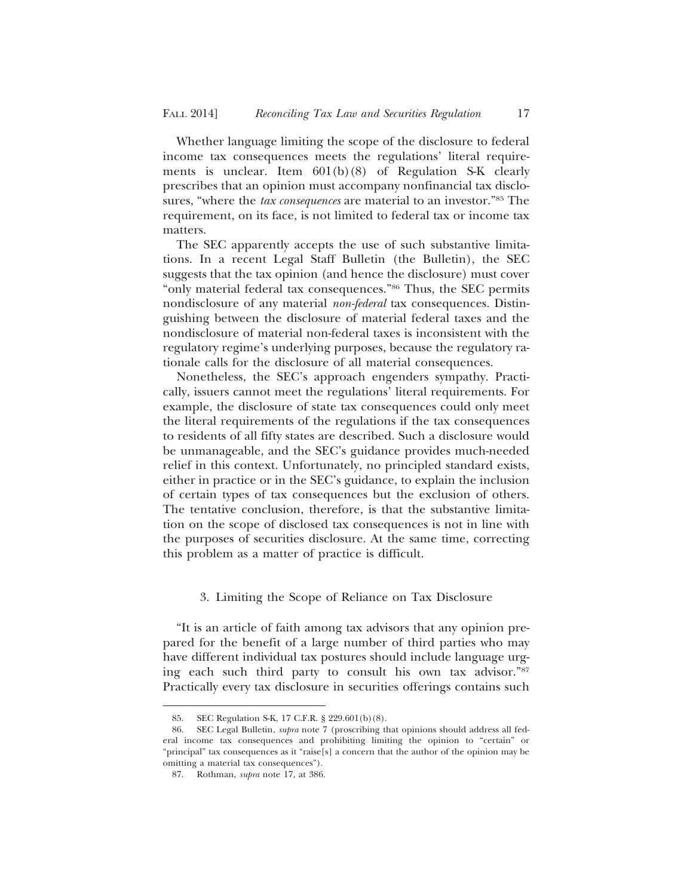Whether language limiting the scope of the disclosure to federal income tax consequences meets the regulations' literal requirements is unclear. Item 601(b)(8) of Regulation S-K clearly prescribes that an opinion must accompany nonfinancial tax disclosures, "where the *tax consequences* are material to an investor."85 The requirement, on its face, is not limited to federal tax or income tax matters.

The SEC apparently accepts the use of such substantive limitations. In a recent Legal Staff Bulletin (the Bulletin), the SEC suggests that the tax opinion (and hence the disclosure) must cover "only material federal tax consequences."86 Thus, the SEC permits nondisclosure of any material *non-federal* tax consequences. Distinguishing between the disclosure of material federal taxes and the nondisclosure of material non-federal taxes is inconsistent with the regulatory regime's underlying purposes, because the regulatory rationale calls for the disclosure of all material consequences.

Nonetheless, the SEC's approach engenders sympathy. Practically, issuers cannot meet the regulations' literal requirements. For example, the disclosure of state tax consequences could only meet the literal requirements of the regulations if the tax consequences to residents of all fifty states are described. Such a disclosure would be unmanageable, and the SEC's guidance provides much-needed relief in this context. Unfortunately, no principled standard exists, either in practice or in the SEC's guidance, to explain the inclusion of certain types of tax consequences but the exclusion of others. The tentative conclusion, therefore, is that the substantive limitation on the scope of disclosed tax consequences is not in line with the purposes of securities disclosure. At the same time, correcting this problem as a matter of practice is difficult.

#### 3. Limiting the Scope of Reliance on Tax Disclosure

"It is an article of faith among tax advisors that any opinion prepared for the benefit of a large number of third parties who may have different individual tax postures should include language urging each such third party to consult his own tax advisor."87 Practically every tax disclosure in securities offerings contains such

<sup>85.</sup> SEC Regulation S-K, 17 C.F.R. § 229.601(b)(8).

<sup>86.</sup> SEC Legal Bulletin, *supra* note 7 (proscribing that opinions should address all federal income tax consequences and prohibiting limiting the opinion to "certain" or "principal" tax consequences as it "raise[s] a concern that the author of the opinion may be omitting a material tax consequences").

<sup>87.</sup> Rothman, *supra* note 17, at 386.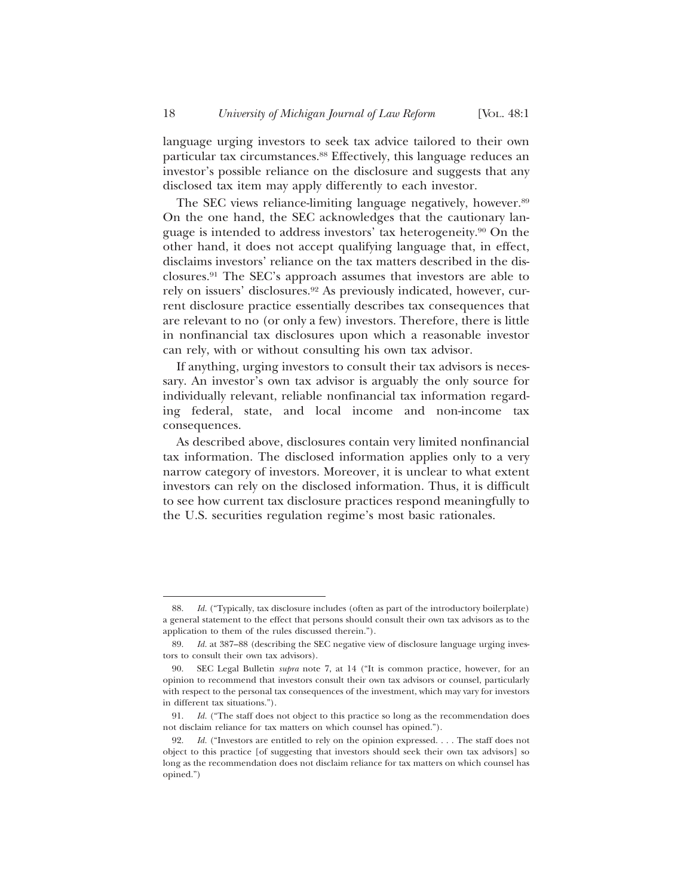language urging investors to seek tax advice tailored to their own particular tax circumstances.<sup>88</sup> Effectively, this language reduces an investor's possible reliance on the disclosure and suggests that any disclosed tax item may apply differently to each investor.

The SEC views reliance-limiting language negatively, however.<sup>89</sup> On the one hand, the SEC acknowledges that the cautionary language is intended to address investors' tax heterogeneity.90 On the other hand, it does not accept qualifying language that, in effect, disclaims investors' reliance on the tax matters described in the disclosures.91 The SEC's approach assumes that investors are able to rely on issuers' disclosures.92 As previously indicated, however, current disclosure practice essentially describes tax consequences that are relevant to no (or only a few) investors. Therefore, there is little in nonfinancial tax disclosures upon which a reasonable investor can rely, with or without consulting his own tax advisor.

If anything, urging investors to consult their tax advisors is necessary. An investor's own tax advisor is arguably the only source for individually relevant, reliable nonfinancial tax information regarding federal, state, and local income and non-income tax consequences.

As described above, disclosures contain very limited nonfinancial tax information. The disclosed information applies only to a very narrow category of investors. Moreover, it is unclear to what extent investors can rely on the disclosed information. Thus, it is difficult to see how current tax disclosure practices respond meaningfully to the U.S. securities regulation regime's most basic rationales.

<sup>88.</sup> *Id.* ("Typically, tax disclosure includes (often as part of the introductory boilerplate) a general statement to the effect that persons should consult their own tax advisors as to the application to them of the rules discussed therein.").

<sup>89.</sup> *Id.* at 387–88 (describing the SEC negative view of disclosure language urging investors to consult their own tax advisors).

<sup>90.</sup> SEC Legal Bulletin *supra* note 7, at 14 ("It is common practice, however, for an opinion to recommend that investors consult their own tax advisors or counsel, particularly with respect to the personal tax consequences of the investment, which may vary for investors in different tax situations.").

<sup>91.</sup> *Id.* ("The staff does not object to this practice so long as the recommendation does not disclaim reliance for tax matters on which counsel has opined.").

<sup>92.</sup> *Id.* ("Investors are entitled to rely on the opinion expressed. . . . The staff does not object to this practice [of suggesting that investors should seek their own tax advisors] so long as the recommendation does not disclaim reliance for tax matters on which counsel has opined.")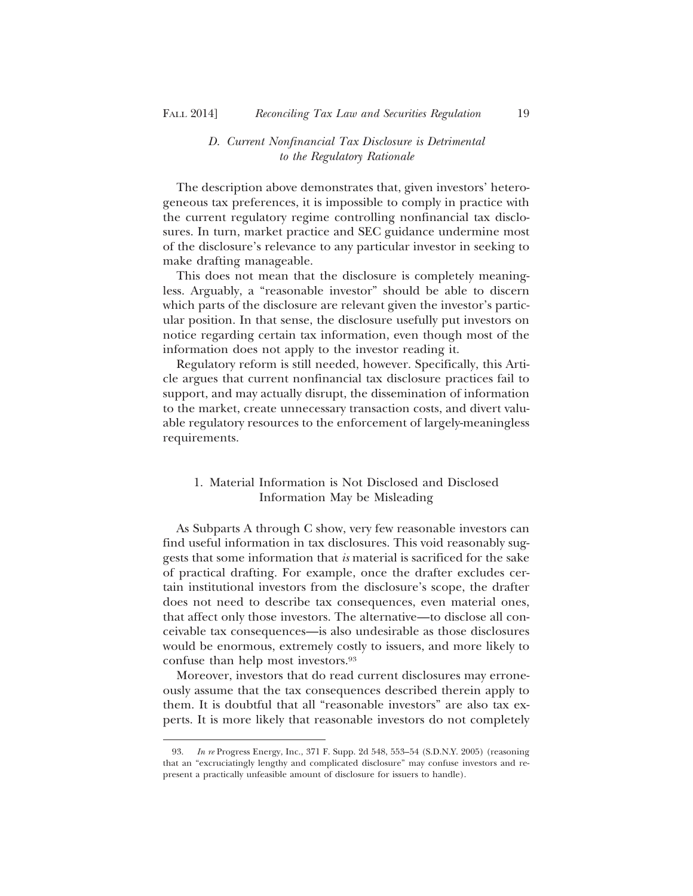## *D. Current Nonfinancial Tax Disclosure is Detrimental to the Regulatory Rationale*

The description above demonstrates that, given investors' heterogeneous tax preferences, it is impossible to comply in practice with the current regulatory regime controlling nonfinancial tax disclosures. In turn, market practice and SEC guidance undermine most of the disclosure's relevance to any particular investor in seeking to make drafting manageable.

This does not mean that the disclosure is completely meaningless. Arguably, a "reasonable investor" should be able to discern which parts of the disclosure are relevant given the investor's particular position. In that sense, the disclosure usefully put investors on notice regarding certain tax information, even though most of the information does not apply to the investor reading it.

Regulatory reform is still needed, however. Specifically, this Article argues that current nonfinancial tax disclosure practices fail to support, and may actually disrupt, the dissemination of information to the market, create unnecessary transaction costs, and divert valuable regulatory resources to the enforcement of largely-meaningless requirements.

# 1. Material Information is Not Disclosed and Disclosed Information May be Misleading

As Subparts A through C show, very few reasonable investors can find useful information in tax disclosures. This void reasonably suggests that some information that *is* material is sacrificed for the sake of practical drafting. For example, once the drafter excludes certain institutional investors from the disclosure's scope, the drafter does not need to describe tax consequences, even material ones, that affect only those investors. The alternative—to disclose all conceivable tax consequences—is also undesirable as those disclosures would be enormous, extremely costly to issuers, and more likely to confuse than help most investors.93

Moreover, investors that do read current disclosures may erroneously assume that the tax consequences described therein apply to them. It is doubtful that all "reasonable investors" are also tax experts. It is more likely that reasonable investors do not completely

<sup>93.</sup> *In re* Progress Energy, Inc., 371 F. Supp. 2d 548, 553–54 (S.D.N.Y. 2005) (reasoning that an "excruciatingly lengthy and complicated disclosure" may confuse investors and represent a practically unfeasible amount of disclosure for issuers to handle).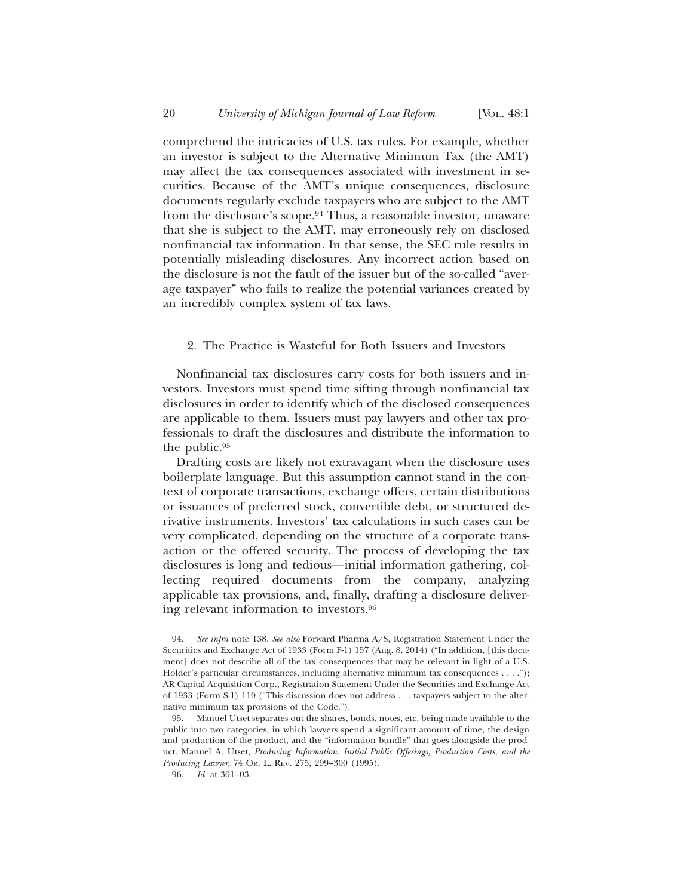comprehend the intricacies of U.S. tax rules. For example, whether an investor is subject to the Alternative Minimum Tax (the AMT) may affect the tax consequences associated with investment in securities. Because of the AMT's unique consequences, disclosure documents regularly exclude taxpayers who are subject to the AMT from the disclosure's scope.94 Thus, a reasonable investor, unaware that she is subject to the AMT, may erroneously rely on disclosed nonfinancial tax information. In that sense, the SEC rule results in potentially misleading disclosures. Any incorrect action based on the disclosure is not the fault of the issuer but of the so-called "average taxpayer" who fails to realize the potential variances created by an incredibly complex system of tax laws.

#### 2. The Practice is Wasteful for Both Issuers and Investors

Nonfinancial tax disclosures carry costs for both issuers and investors. Investors must spend time sifting through nonfinancial tax disclosures in order to identify which of the disclosed consequences are applicable to them. Issuers must pay lawyers and other tax professionals to draft the disclosures and distribute the information to the public.95

Drafting costs are likely not extravagant when the disclosure uses boilerplate language. But this assumption cannot stand in the context of corporate transactions, exchange offers, certain distributions or issuances of preferred stock, convertible debt, or structured derivative instruments. Investors' tax calculations in such cases can be very complicated, depending on the structure of a corporate transaction or the offered security. The process of developing the tax disclosures is long and tedious—initial information gathering, collecting required documents from the company, analyzing applicable tax provisions, and, finally, drafting a disclosure delivering relevant information to investors.96

<sup>94.</sup> *See infra* note 138. *See also* Forward Pharma A/S, Registration Statement Under the Securities and Exchange Act of 1933 (Form F-1) 157 (Aug. 8, 2014) ("In addition, [this document] does not describe all of the tax consequences that may be relevant in light of a U.S. Holder's particular circumstances, including alternative minimum tax consequences . . . ."); AR Capital Acquisition Corp., Registration Statement Under the Securities and Exchange Act of 1933 (Form S-1) 110 ("This discussion does not address . . . taxpayers subject to the alternative minimum tax provisions of the Code.").

<sup>95.</sup> Manuel Utset separates out the shares, bonds, notes, etc. being made available to the public into two categories, in which lawyers spend a significant amount of time, the design and production of the product, and the "information bundle" that goes alongside the product. Manuel A. Utset, *Producing Information: Initial Public Offerings, Production Costs, and the Producing Lawyer*, 74 OR. L. REV. 275, 299–300 (1995).

<sup>96.</sup> *Id.* at 301–03.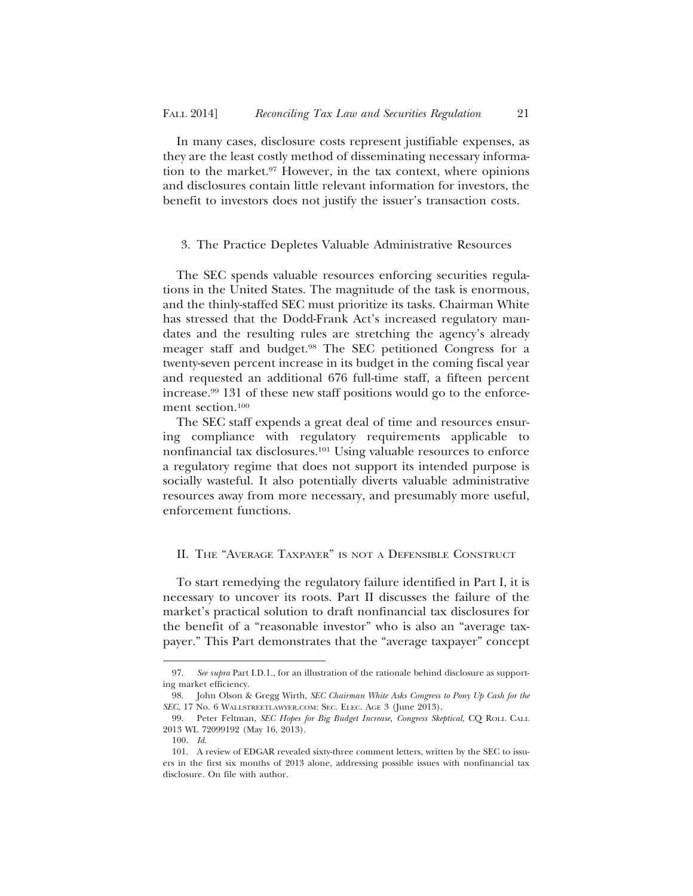In many cases, disclosure costs represent justifiable expenses, as they are the least costly method of disseminating necessary information to the market.97 However, in the tax context, where opinions and disclosures contain little relevant information for investors, the benefit to investors does not justify the issuer's transaction costs.

#### 3. The Practice Depletes Valuable Administrative Resources

The SEC spends valuable resources enforcing securities regulations in the United States. The magnitude of the task is enormous, and the thinly-staffed SEC must prioritize its tasks. Chairman White has stressed that the Dodd-Frank Act's increased regulatory mandates and the resulting rules are stretching the agency's already meager staff and budget.98 The SEC petitioned Congress for a twenty-seven percent increase in its budget in the coming fiscal year and requested an additional 676 full-time staff, a fifteen percent increase.99 131 of these new staff positions would go to the enforcement section.<sup>100</sup>

The SEC staff expends a great deal of time and resources ensuring compliance with regulatory requirements applicable to nonfinancial tax disclosures.101 Using valuable resources to enforce a regulatory regime that does not support its intended purpose is socially wasteful. It also potentially diverts valuable administrative resources away from more necessary, and presumably more useful, enforcement functions.

# II. THE "AVERAGE TAXPAYER" IS NOT A DEFENSIBLE CONSTRUCT

To start remedying the regulatory failure identified in Part I, it is necessary to uncover its roots. Part II discusses the failure of the market's practical solution to draft nonfinancial tax disclosures for the benefit of a "reasonable investor" who is also an "average taxpayer." This Part demonstrates that the "average taxpayer" concept

<sup>97.</sup> *See supra* Part I.D.1., for an illustration of the rationale behind disclosure as supporting market efficiency.

<sup>98.</sup> John Olson & Gregg Wirth, *SEC Chairman White Asks Congress to Pony Up Cash for the SEC*, 17 No. 6 WALLSTREETLAWYER.COM: SEC. ELEC. AGE 3 (June 2013).

<sup>99.</sup> Peter Feltman, *SEC Hopes for Big Budget Increase, Congress Skeptical*, CQ ROLL CALL 2013 WL 72099192 (May 16, 2013).

<sup>100.</sup> *Id*.

<sup>101.</sup> A review of EDGAR revealed sixty-three comment letters, written by the SEC to issuers in the first six months of 2013 alone, addressing possible issues with nonfinancial tax disclosure. On file with author.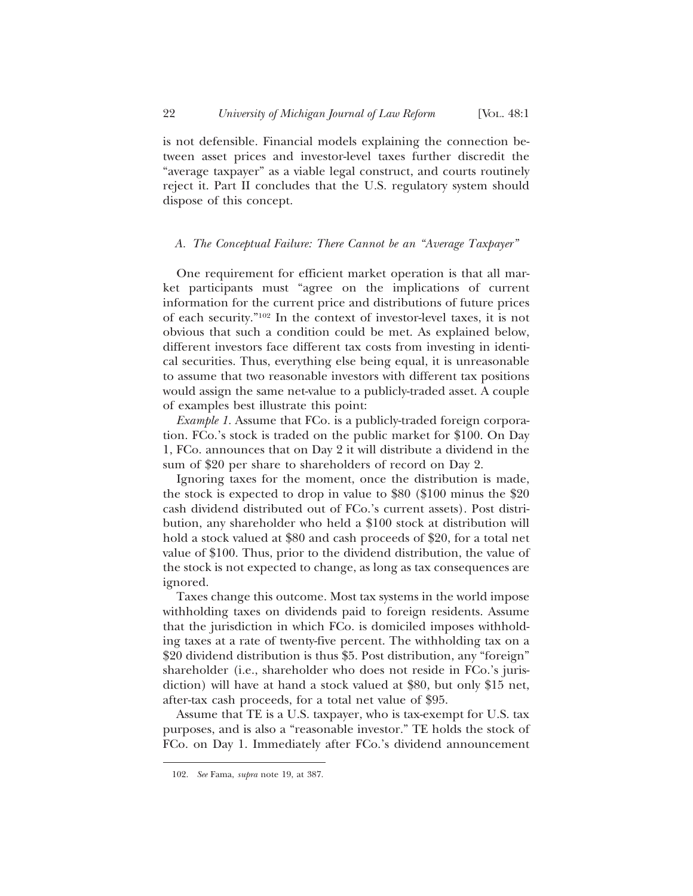is not defensible. Financial models explaining the connection between asset prices and investor-level taxes further discredit the "average taxpayer" as a viable legal construct, and courts routinely reject it. Part II concludes that the U.S. regulatory system should dispose of this concept.

## *A. The Conceptual Failure: There Cannot be an "Average Taxpayer"*

One requirement for efficient market operation is that all market participants must "agree on the implications of current information for the current price and distributions of future prices of each security."102 In the context of investor-level taxes, it is not obvious that such a condition could be met. As explained below, different investors face different tax costs from investing in identical securities. Thus, everything else being equal, it is unreasonable to assume that two reasonable investors with different tax positions would assign the same net-value to a publicly-traded asset. A couple of examples best illustrate this point:

*Example 1.* Assume that FCo. is a publicly-traded foreign corporation. FCo.'s stock is traded on the public market for \$100. On Day 1, FCo. announces that on Day 2 it will distribute a dividend in the sum of \$20 per share to shareholders of record on Day 2.

Ignoring taxes for the moment, once the distribution is made, the stock is expected to drop in value to \$80 (\$100 minus the \$20 cash dividend distributed out of FCo.'s current assets). Post distribution, any shareholder who held a \$100 stock at distribution will hold a stock valued at \$80 and cash proceeds of \$20, for a total net value of \$100. Thus, prior to the dividend distribution, the value of the stock is not expected to change, as long as tax consequences are ignored.

Taxes change this outcome. Most tax systems in the world impose withholding taxes on dividends paid to foreign residents. Assume that the jurisdiction in which FCo. is domiciled imposes withholding taxes at a rate of twenty-five percent. The withholding tax on a \$20 dividend distribution is thus \$5. Post distribution, any "foreign" shareholder (i.e., shareholder who does not reside in FCo.'s jurisdiction) will have at hand a stock valued at \$80, but only \$15 net, after-tax cash proceeds, for a total net value of \$95.

Assume that TE is a U.S. taxpayer, who is tax-exempt for U.S. tax purposes, and is also a "reasonable investor." TE holds the stock of FCo. on Day 1. Immediately after FCo.'s dividend announcement

<sup>102.</sup> *See* Fama, *supra* note 19, at 387.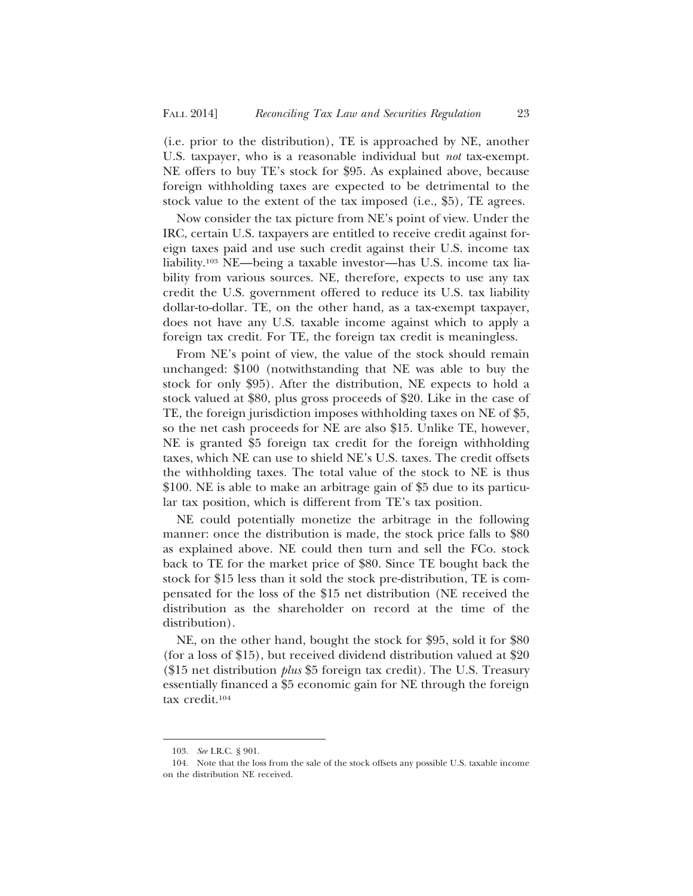(i.e. prior to the distribution), TE is approached by NE, another U.S. taxpayer, who is a reasonable individual but *not* tax-exempt. NE offers to buy TE's stock for \$95. As explained above, because foreign withholding taxes are expected to be detrimental to the stock value to the extent of the tax imposed (i.e., \$5), TE agrees.

Now consider the tax picture from NE's point of view. Under the IRC, certain U.S. taxpayers are entitled to receive credit against foreign taxes paid and use such credit against their U.S. income tax liability.103 NE—being a taxable investor—has U.S. income tax liability from various sources. NE, therefore, expects to use any tax credit the U.S. government offered to reduce its U.S. tax liability dollar-to-dollar. TE, on the other hand, as a tax-exempt taxpayer, does not have any U.S. taxable income against which to apply a foreign tax credit. For TE, the foreign tax credit is meaningless.

From NE's point of view, the value of the stock should remain unchanged: \$100 (notwithstanding that NE was able to buy the stock for only \$95). After the distribution, NE expects to hold a stock valued at \$80, plus gross proceeds of \$20. Like in the case of TE, the foreign jurisdiction imposes withholding taxes on NE of \$5, so the net cash proceeds for NE are also \$15. Unlike TE, however, NE is granted \$5 foreign tax credit for the foreign withholding taxes, which NE can use to shield NE's U.S. taxes. The credit offsets the withholding taxes. The total value of the stock to NE is thus \$100. NE is able to make an arbitrage gain of \$5 due to its particular tax position, which is different from TE's tax position.

NE could potentially monetize the arbitrage in the following manner: once the distribution is made, the stock price falls to \$80 as explained above. NE could then turn and sell the FCo. stock back to TE for the market price of \$80. Since TE bought back the stock for \$15 less than it sold the stock pre-distribution, TE is compensated for the loss of the \$15 net distribution (NE received the distribution as the shareholder on record at the time of the distribution).

NE, on the other hand, bought the stock for \$95, sold it for \$80 (for a loss of \$15), but received dividend distribution valued at \$20 (\$15 net distribution *plus* \$5 foreign tax credit). The U.S. Treasury essentially financed a \$5 economic gain for NE through the foreign tax credit.104

<sup>103.</sup> *See* I.R.C. § 901.

<sup>104.</sup> Note that the loss from the sale of the stock offsets any possible U.S. taxable income on the distribution NE received.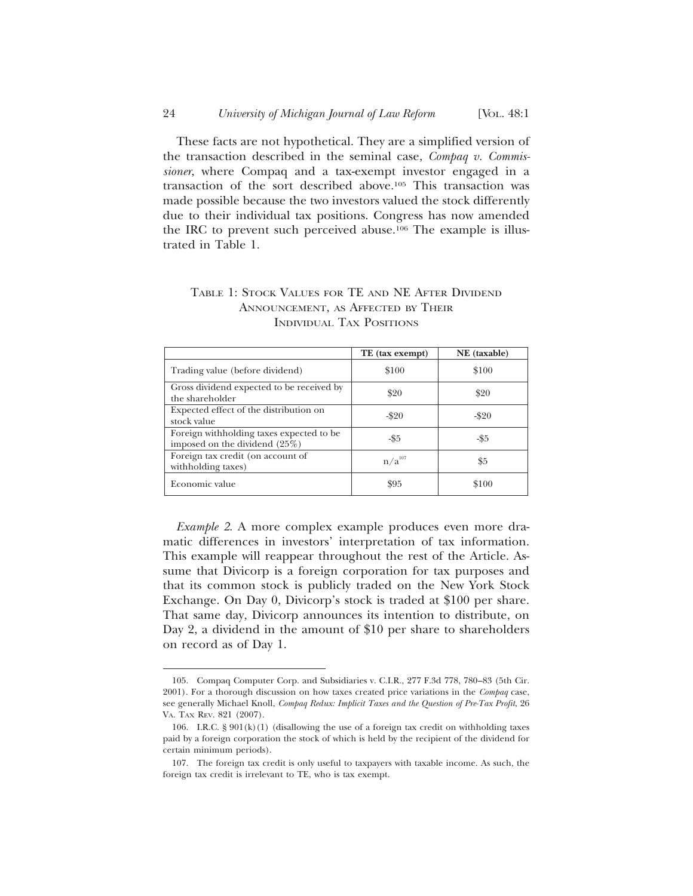These facts are not hypothetical. They are a simplified version of the transaction described in the seminal case, *Compaq v. Commissioner*, where Compaq and a tax-exempt investor engaged in a transaction of the sort described above.105 This transaction was made possible because the two investors valued the stock differently due to their individual tax positions. Congress has now amended the IRC to prevent such perceived abuse.106 The example is illustrated in Table 1.

|                                                                              | TE (tax exempt) | NE (taxable) |
|------------------------------------------------------------------------------|-----------------|--------------|
| Trading value (before dividend)                                              | \$100           | \$100        |
| Gross dividend expected to be received by<br>the shareholder                 | \$20            | \$20         |
| Expected effect of the distribution on<br>stock value                        | $-$ \$20        | $-$ \$20     |
| Foreign withholding taxes expected to be.<br>imposed on the dividend $(25%)$ | -\$5            | -\$5         |
| Foreign tax credit (on account of<br>withholding taxes)                      | $n/a^{107}$     | \$5          |
| Economic value                                                               | \$95            | \$100        |

# TABLE 1: STOCK VALUES FOR TE AND NE AFTER DIVIDEND ANNOUNCEMENT, AS AFFECTED BY THEIR INDIVIDUAL TAX POSITIONS

*Example 2*. A more complex example produces even more dramatic differences in investors' interpretation of tax information. This example will reappear throughout the rest of the Article. Assume that Divicorp is a foreign corporation for tax purposes and that its common stock is publicly traded on the New York Stock Exchange. On Day 0, Divicorp's stock is traded at \$100 per share. That same day, Divicorp announces its intention to distribute, on Day 2, a dividend in the amount of \$10 per share to shareholders on record as of Day 1.

<sup>105.</sup> Compaq Computer Corp. and Subsidiaries v. C.I.R*.*, 277 F.3d 778, 780–83 (5th Cir. 2001). For a thorough discussion on how taxes created price variations in the *Compaq* case, see generally Michael Knoll, *Compaq Redux: Implicit Taxes and the Question of Pre-Tax Profit*, 26 VA. TAX REV. 821 (2007).

<sup>106.</sup> I.R.C.  $\S 901(k)(1)$  (disallowing the use of a foreign tax credit on withholding taxes paid by a foreign corporation the stock of which is held by the recipient of the dividend for certain minimum periods).

<sup>107.</sup> The foreign tax credit is only useful to taxpayers with taxable income. As such, the foreign tax credit is irrelevant to TE, who is tax exempt.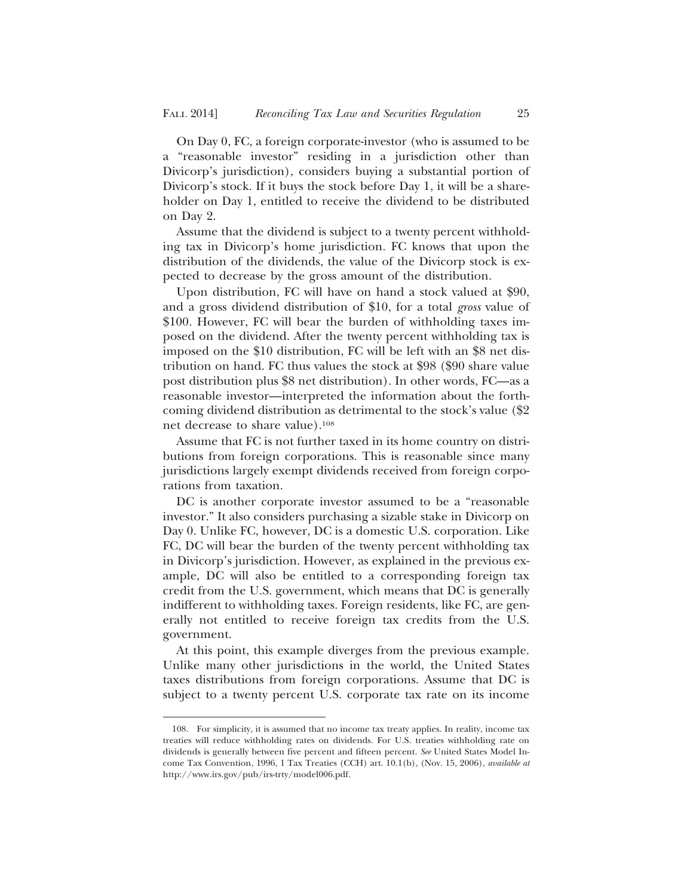On Day 0, FC, a foreign corporate-investor (who is assumed to be a "reasonable investor" residing in a jurisdiction other than Divicorp's jurisdiction), considers buying a substantial portion of Divicorp's stock. If it buys the stock before Day 1, it will be a shareholder on Day 1, entitled to receive the dividend to be distributed on Day 2.

Assume that the dividend is subject to a twenty percent withholding tax in Divicorp's home jurisdiction. FC knows that upon the distribution of the dividends, the value of the Divicorp stock is expected to decrease by the gross amount of the distribution.

Upon distribution, FC will have on hand a stock valued at \$90, and a gross dividend distribution of \$10, for a total *gross* value of \$100. However, FC will bear the burden of withholding taxes imposed on the dividend. After the twenty percent withholding tax is imposed on the \$10 distribution, FC will be left with an \$8 net distribution on hand. FC thus values the stock at \$98 (\$90 share value post distribution plus \$8 net distribution). In other words, FC—as a reasonable investor—interpreted the information about the forthcoming dividend distribution as detrimental to the stock's value (\$2 net decrease to share value).108

Assume that FC is not further taxed in its home country on distributions from foreign corporations. This is reasonable since many jurisdictions largely exempt dividends received from foreign corporations from taxation.

DC is another corporate investor assumed to be a "reasonable investor." It also considers purchasing a sizable stake in Divicorp on Day 0. Unlike FC, however, DC is a domestic U.S. corporation. Like FC, DC will bear the burden of the twenty percent withholding tax in Divicorp's jurisdiction. However, as explained in the previous example, DC will also be entitled to a corresponding foreign tax credit from the U.S. government, which means that DC is generally indifferent to withholding taxes. Foreign residents, like FC, are generally not entitled to receive foreign tax credits from the U.S. government.

At this point, this example diverges from the previous example. Unlike many other jurisdictions in the world, the United States taxes distributions from foreign corporations. Assume that DC is subject to a twenty percent U.S. corporate tax rate on its income

<sup>108.</sup> For simplicity, it is assumed that no income tax treaty applies. In reality, income tax treaties will reduce withholding rates on dividends. For U.S. treaties withholding rate on dividends is generally between five percent and fifteen percent. *See* United States Model Income Tax Convention, 1996, 1 Tax Treaties (CCH) art. 10.1(b), (Nov. 15, 2006), *available at* http://www.irs.gov/pub/irs-trty/model006.pdf.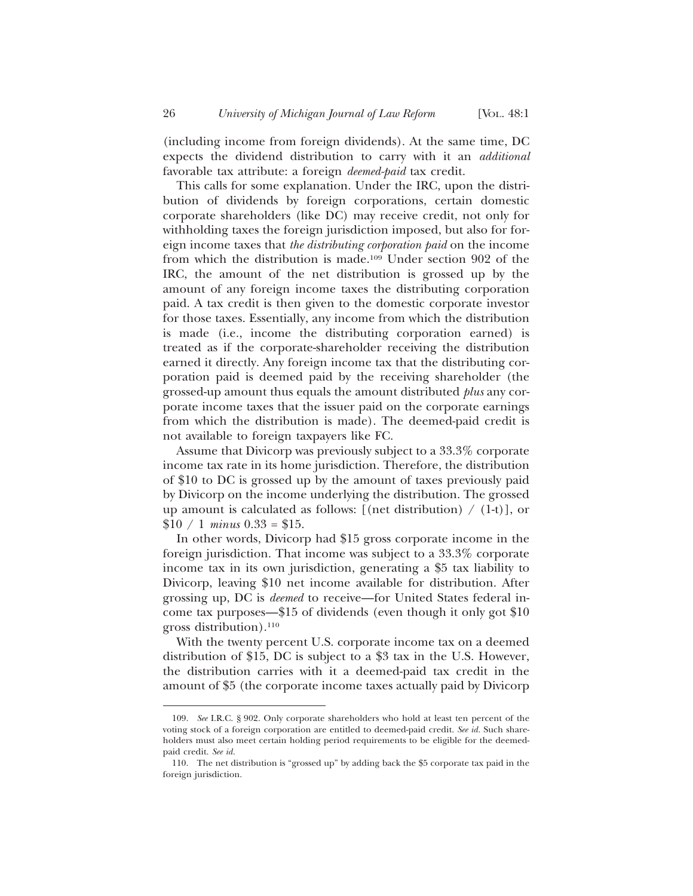(including income from foreign dividends). At the same time, DC expects the dividend distribution to carry with it an *additional* favorable tax attribute: a foreign *deemed-paid* tax credit.

This calls for some explanation. Under the IRC, upon the distribution of dividends by foreign corporations, certain domestic corporate shareholders (like DC) may receive credit, not only for withholding taxes the foreign jurisdiction imposed, but also for foreign income taxes that *the distributing corporation paid* on the income from which the distribution is made.109 Under section 902 of the IRC, the amount of the net distribution is grossed up by the amount of any foreign income taxes the distributing corporation paid. A tax credit is then given to the domestic corporate investor for those taxes. Essentially, any income from which the distribution is made (i.e., income the distributing corporation earned) is treated as if the corporate-shareholder receiving the distribution earned it directly. Any foreign income tax that the distributing corporation paid is deemed paid by the receiving shareholder (the grossed-up amount thus equals the amount distributed *plus* any corporate income taxes that the issuer paid on the corporate earnings from which the distribution is made). The deemed-paid credit is not available to foreign taxpayers like FC.

Assume that Divicorp was previously subject to a 33.3% corporate income tax rate in its home jurisdiction. Therefore, the distribution of \$10 to DC is grossed up by the amount of taxes previously paid by Divicorp on the income underlying the distribution. The grossed up amount is calculated as follows: [(net distribution)  $/$  (1-t)], or  $$10 / 1 \, minus \, 0.33 = $15.$ 

In other words, Divicorp had \$15 gross corporate income in the foreign jurisdiction. That income was subject to a 33.3% corporate income tax in its own jurisdiction, generating a \$5 tax liability to Divicorp, leaving \$10 net income available for distribution. After grossing up, DC is *deemed* to receive—for United States federal income tax purposes—\$15 of dividends (even though it only got \$10 gross distribution).110

With the twenty percent U.S. corporate income tax on a deemed distribution of \$15, DC is subject to a \$3 tax in the U.S. However, the distribution carries with it a deemed-paid tax credit in the amount of \$5 (the corporate income taxes actually paid by Divicorp

<sup>109.</sup> *See* I.R.C. § 902. Only corporate shareholders who hold at least ten percent of the voting stock of a foreign corporation are entitled to deemed-paid credit. *See id.* Such shareholders must also meet certain holding period requirements to be eligible for the deemedpaid credit. *See id.*

<sup>110.</sup> The net distribution is "grossed up" by adding back the \$5 corporate tax paid in the foreign jurisdiction.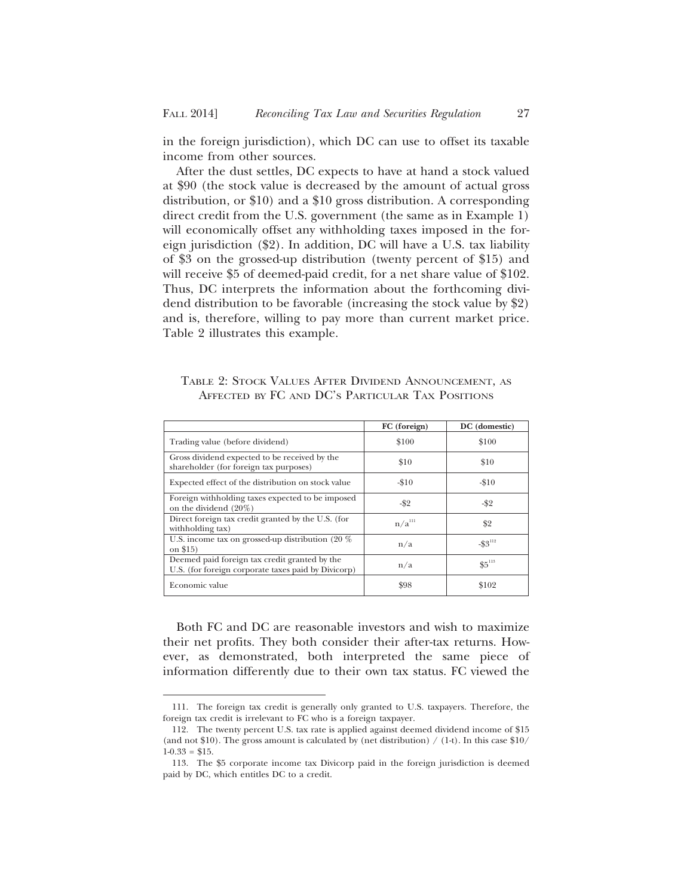in the foreign jurisdiction), which DC can use to offset its taxable income from other sources.

After the dust settles, DC expects to have at hand a stock valued at \$90 (the stock value is decreased by the amount of actual gross distribution, or \$10) and a \$10 gross distribution. A corresponding direct credit from the U.S. government (the same as in Example 1) will economically offset any withholding taxes imposed in the foreign jurisdiction (\$2). In addition, DC will have a U.S. tax liability of \$3 on the grossed-up distribution (twenty percent of \$15) and will receive \$5 of deemed-paid credit, for a net share value of \$102. Thus, DC interprets the information about the forthcoming dividend distribution to be favorable (increasing the stock value by \$2) and is, therefore, willing to pay more than current market price. Table 2 illustrates this example.

TABLE 2: STOCK VALUES AFTER DIVIDEND ANNOUNCEMENT, AS AFFECTED BY FC AND DC'S PARTICULAR TAX POSITIONS

|                                                                                                      | FC (foreign)       | DC (domestic)          |
|------------------------------------------------------------------------------------------------------|--------------------|------------------------|
| Trading value (before dividend)                                                                      | \$100              | \$100                  |
| Gross dividend expected to be received by the<br>shareholder (for foreign tax purposes)              | \$10               | \$10                   |
| Expected effect of the distribution on stock value                                                   | $-10$              | $-10$                  |
| Foreign withholding taxes expected to be imposed<br>on the dividend $(20\%)$                         | -\$2               | -\$2                   |
| Direct foreign tax credit granted by the U.S. (for<br>withholding tax)                               | n/a <sup>iii</sup> | \$2                    |
| U.S. income tax on grossed-up distribution (20 %)<br>on \$15)                                        | n/a                | $-$ \$3 <sup>112</sup> |
| Deemed paid foreign tax credit granted by the<br>U.S. (for foreign corporate taxes paid by Divicorp) | n/a                | $$5^{113}$             |
| Economic value                                                                                       | \$98               | \$102                  |

Both FC and DC are reasonable investors and wish to maximize their net profits. They both consider their after-tax returns. However, as demonstrated, both interpreted the same piece of information differently due to their own tax status. FC viewed the

<sup>111.</sup> The foreign tax credit is generally only granted to U.S. taxpayers. Therefore, the foreign tax credit is irrelevant to FC who is a foreign taxpayer.

<sup>112.</sup> The twenty percent U.S. tax rate is applied against deemed dividend income of \$15 (and not \$10). The gross amount is calculated by (net distribution) / (1-t). In this case \$10/  $1-0.33 = $15$ .

<sup>113.</sup> The \$5 corporate income tax Divicorp paid in the foreign jurisdiction is deemed paid by DC, which entitles DC to a credit.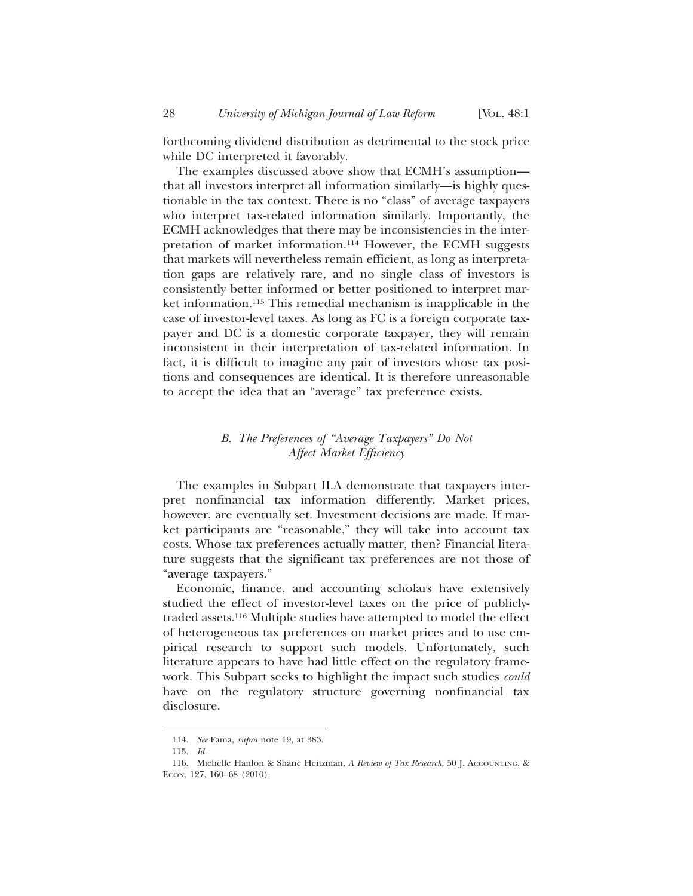forthcoming dividend distribution as detrimental to the stock price while DC interpreted it favorably.

The examples discussed above show that ECMH's assumption that all investors interpret all information similarly—is highly questionable in the tax context. There is no "class" of average taxpayers who interpret tax-related information similarly. Importantly, the ECMH acknowledges that there may be inconsistencies in the interpretation of market information.114 However, the ECMH suggests that markets will nevertheless remain efficient, as long as interpretation gaps are relatively rare, and no single class of investors is consistently better informed or better positioned to interpret market information.115 This remedial mechanism is inapplicable in the case of investor-level taxes. As long as FC is a foreign corporate taxpayer and DC is a domestic corporate taxpayer, they will remain inconsistent in their interpretation of tax-related information. In fact, it is difficult to imagine any pair of investors whose tax positions and consequences are identical. It is therefore unreasonable to accept the idea that an "average" tax preference exists.

# *B. The Preferences of "Average Taxpayers" Do Not Affect Market Efficiency*

The examples in Subpart II.A demonstrate that taxpayers interpret nonfinancial tax information differently. Market prices, however, are eventually set. Investment decisions are made. If market participants are "reasonable," they will take into account tax costs. Whose tax preferences actually matter, then? Financial literature suggests that the significant tax preferences are not those of "average taxpayers."

Economic, finance, and accounting scholars have extensively studied the effect of investor-level taxes on the price of publiclytraded assets.116 Multiple studies have attempted to model the effect of heterogeneous tax preferences on market prices and to use empirical research to support such models. Unfortunately, such literature appears to have had little effect on the regulatory framework. This Subpart seeks to highlight the impact such studies *could* have on the regulatory structure governing nonfinancial tax disclosure.

<sup>114.</sup> *See* Fama, *supra* note 19, at 383.

<sup>115.</sup> *Id.*

<sup>116.</sup> Michelle Hanlon & Shane Heitzman, *A Review of Tax Research*, 50 J. ACCOUNTING. & ECON. 127, 160–68 (2010).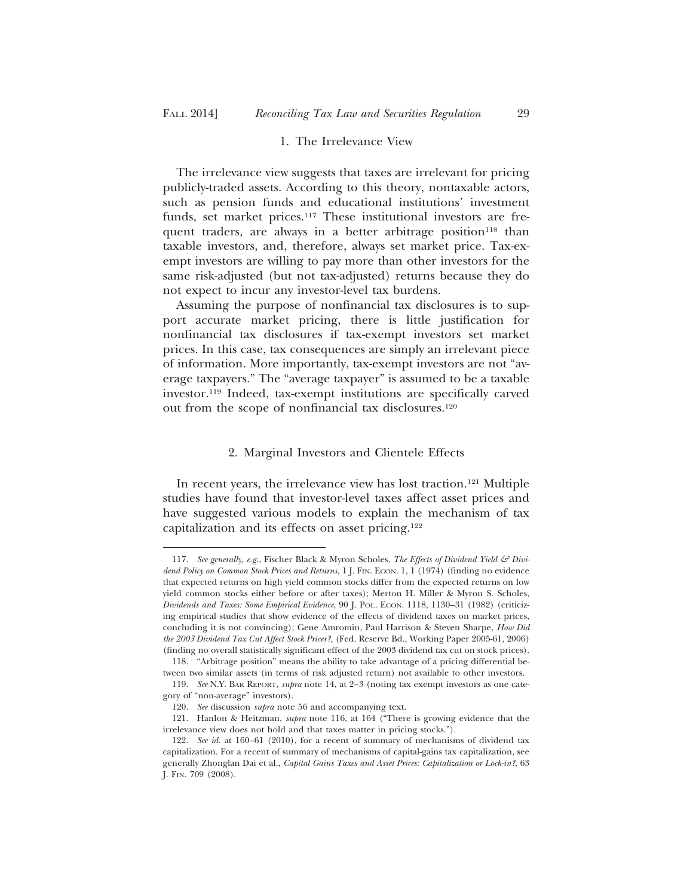## 1. The Irrelevance View

The irrelevance view suggests that taxes are irrelevant for pricing publicly-traded assets. According to this theory, nontaxable actors, such as pension funds and educational institutions' investment funds, set market prices.<sup>117</sup> These institutional investors are frequent traders, are always in a better arbitrage position<sup>118</sup> than taxable investors, and, therefore, always set market price. Tax-exempt investors are willing to pay more than other investors for the same risk-adjusted (but not tax-adjusted) returns because they do not expect to incur any investor-level tax burdens.

Assuming the purpose of nonfinancial tax disclosures is to support accurate market pricing, there is little justification for nonfinancial tax disclosures if tax-exempt investors set market prices. In this case, tax consequences are simply an irrelevant piece of information. More importantly, tax-exempt investors are not "average taxpayers." The "average taxpayer" is assumed to be a taxable investor.119 Indeed, tax-exempt institutions are specifically carved out from the scope of nonfinancial tax disclosures.120

#### 2. Marginal Investors and Clientele Effects

In recent years, the irrelevance view has lost traction.121 Multiple studies have found that investor-level taxes affect asset prices and have suggested various models to explain the mechanism of tax capitalization and its effects on asset pricing.122

<sup>117.</sup> *See generally, e.g.*, Fischer Black & Myron Scholes, *The Effects of Dividend Yield & Dividend Policy on Common Stock Prices and Returns*, 1 J. FIN. ECON. 1, 1 (1974) (finding no evidence that expected returns on high yield common stocks differ from the expected returns on low yield common stocks either before or after taxes); Merton H. Miller & Myron S. Scholes, *Dividends and Taxes: Some Empirical Evidence*, 90 J. POL. ECON. 1118, 1130–31 (1982) (criticizing empirical studies that show evidence of the effects of dividend taxes on market prices, concluding it is not convincing); Gene Amromin, Paul Harrison & Steven Sharpe, *How Did the 2003 Dividend Tax Cut Affect Stock Prices?,* (Fed. Reserve Bd., Working Paper 2005-61, 2006) (finding no overall statistically significant effect of the 2003 dividend tax cut on stock prices).

<sup>118. &</sup>quot;Arbitrage position" means the ability to take advantage of a pricing differential between two similar assets (in terms of risk adjusted return) not available to other investors.

<sup>119.</sup> *See* N.Y. BAR REPORT, *supra* note 14, at 2–3 (noting tax exempt investors as one category of "non-average" investors).

<sup>120.</sup> *See* discussion *supra* note 56 and accompanying text.

<sup>121.</sup> Hanlon & Heitzman, *supra* note 116, at 164 ("There is growing evidence that the irrelevance view does not hold and that taxes matter in pricing stocks.").

<sup>122.</sup> *See id.* at 160–61 (2010), for a recent of summary of mechanisms of dividend tax capitalization. For a recent of summary of mechanisms of capital-gains tax capitalization, see generally Zhonglan Dai et al., *Capital Gains Taxes and Asset Prices: Capitalization or Lock-in?*, 63 J. FIN. 709 (2008).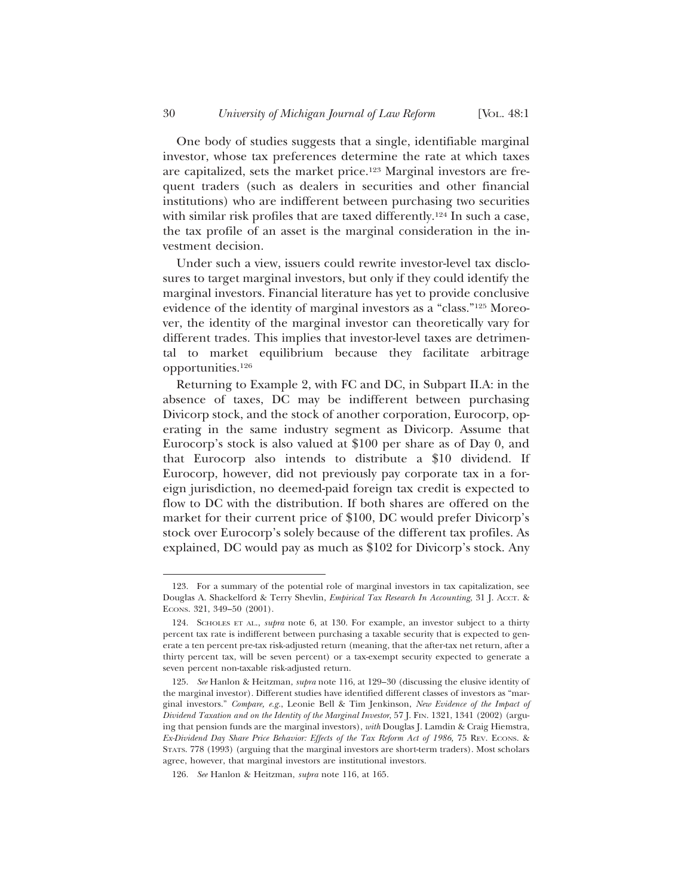One body of studies suggests that a single, identifiable marginal investor, whose tax preferences determine the rate at which taxes are capitalized, sets the market price.123 Marginal investors are frequent traders (such as dealers in securities and other financial institutions) who are indifferent between purchasing two securities with similar risk profiles that are taxed differently.<sup>124</sup> In such a case, the tax profile of an asset is the marginal consideration in the investment decision.

Under such a view, issuers could rewrite investor-level tax disclosures to target marginal investors, but only if they could identify the marginal investors. Financial literature has yet to provide conclusive evidence of the identity of marginal investors as a "class."125 Moreover, the identity of the marginal investor can theoretically vary for different trades. This implies that investor-level taxes are detrimental to market equilibrium because they facilitate arbitrage opportunities.126

Returning to Example 2, with FC and DC, in Subpart II.A: in the absence of taxes, DC may be indifferent between purchasing Divicorp stock, and the stock of another corporation, Eurocorp, operating in the same industry segment as Divicorp. Assume that Eurocorp's stock is also valued at \$100 per share as of Day 0, and that Eurocorp also intends to distribute a \$10 dividend. If Eurocorp, however, did not previously pay corporate tax in a foreign jurisdiction, no deemed-paid foreign tax credit is expected to flow to DC with the distribution. If both shares are offered on the market for their current price of \$100, DC would prefer Divicorp's stock over Eurocorp's solely because of the different tax profiles. As explained, DC would pay as much as \$102 for Divicorp's stock. Any

<sup>123.</sup> For a summary of the potential role of marginal investors in tax capitalization, see Douglas A. Shackelford & Terry Shevlin, *Empirical Tax Research In Accounting*, 31 J. ACCT. & ECONS. 321, 349–50 (2001).

<sup>124.</sup> SCHOLES ET AL., *supra* note 6, at 130. For example, an investor subject to a thirty percent tax rate is indifferent between purchasing a taxable security that is expected to generate a ten percent pre-tax risk-adjusted return (meaning, that the after-tax net return, after a thirty percent tax, will be seven percent) or a tax-exempt security expected to generate a seven percent non-taxable risk-adjusted return.

<sup>125.</sup> *See* Hanlon & Heitzman, *supra* note 116, at 129–30 (discussing the elusive identity of the marginal investor). Different studies have identified different classes of investors as "marginal investors." *Compare, e.g.*, Leonie Bell & Tim Jenkinson, *New Evidence of the Impact of Dividend Taxation and on the Identity of the Marginal Investor*, 57 J. FIN. 1321, 1341 (2002) (arguing that pension funds are the marginal investors), *with* Douglas J. Lamdin & Craig Hiemstra, *Ex-Dividend Day Share Price Behavior: Effects of the Tax Reform Act of 1986,* 75 REV. ECONS. & STATS. 778 (1993) (arguing that the marginal investors are short-term traders). Most scholars agree, however, that marginal investors are institutional investors.

<sup>126.</sup> *See* Hanlon & Heitzman, *supra* note 116, at 165.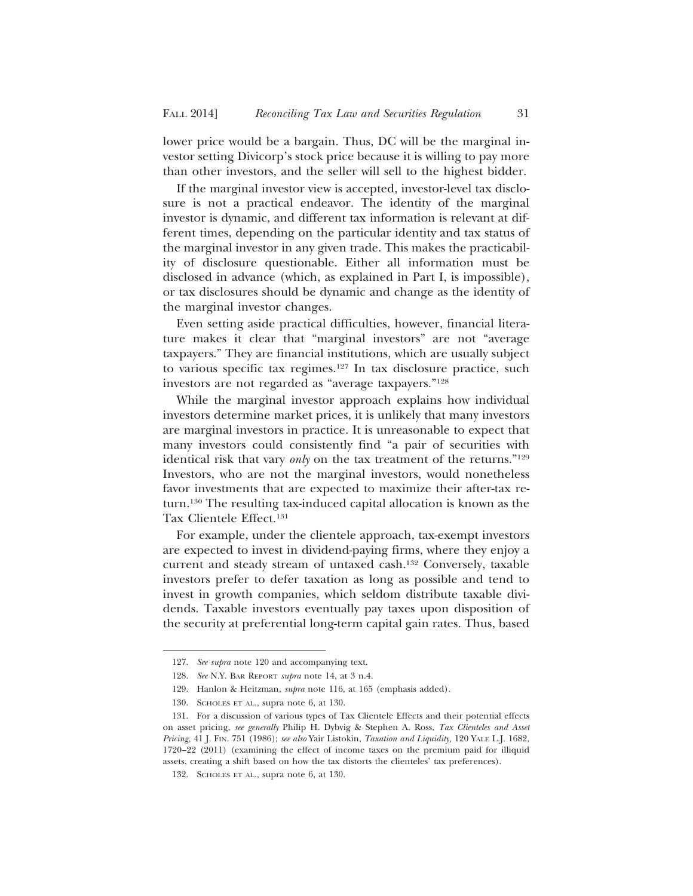lower price would be a bargain. Thus, DC will be the marginal investor setting Divicorp's stock price because it is willing to pay more than other investors, and the seller will sell to the highest bidder.

If the marginal investor view is accepted, investor-level tax disclosure is not a practical endeavor. The identity of the marginal investor is dynamic, and different tax information is relevant at different times, depending on the particular identity and tax status of the marginal investor in any given trade. This makes the practicability of disclosure questionable. Either all information must be disclosed in advance (which, as explained in Part I, is impossible), or tax disclosures should be dynamic and change as the identity of the marginal investor changes.

Even setting aside practical difficulties, however, financial literature makes it clear that "marginal investors" are not "average taxpayers." They are financial institutions, which are usually subject to various specific tax regimes.127 In tax disclosure practice, such investors are not regarded as "average taxpayers."128

While the marginal investor approach explains how individual investors determine market prices, it is unlikely that many investors are marginal investors in practice. It is unreasonable to expect that many investors could consistently find "a pair of securities with identical risk that vary *only* on the tax treatment of the returns."129 Investors, who are not the marginal investors, would nonetheless favor investments that are expected to maximize their after-tax return.130 The resulting tax-induced capital allocation is known as the Tax Clientele Effect.131

For example, under the clientele approach, tax-exempt investors are expected to invest in dividend-paying firms, where they enjoy a current and steady stream of untaxed cash.132 Conversely, taxable investors prefer to defer taxation as long as possible and tend to invest in growth companies, which seldom distribute taxable dividends. Taxable investors eventually pay taxes upon disposition of the security at preferential long-term capital gain rates. Thus, based

<sup>127.</sup> *See supra* note 120 and accompanying text.

<sup>128.</sup> *See* N.Y. BAR REPORT *supra* note 14, at 3 n.4.

<sup>129.</sup> Hanlon & Heitzman, *supra* note 116, at 165 (emphasis added).

<sup>130.</sup> SCHOLES ET AL., supra note 6, at 130.

<sup>131.</sup> For a discussion of various types of Tax Clientele Effects and their potential effects on asset pricing, *see generally* Philip H. Dybvig & Stephen A. Ross, *Tax Clienteles and Asset Pricing,* 41 J. FIN. 751 (1986); *see also* Yair Listokin, *Taxation and Liquidity,* 120 YALE L.J. 1682, 1720–22 (2011) (examining the effect of income taxes on the premium paid for illiquid assets, creating a shift based on how the tax distorts the clienteles' tax preferences).

<sup>132.</sup> SCHOLES ET AL., supra note 6, at 130.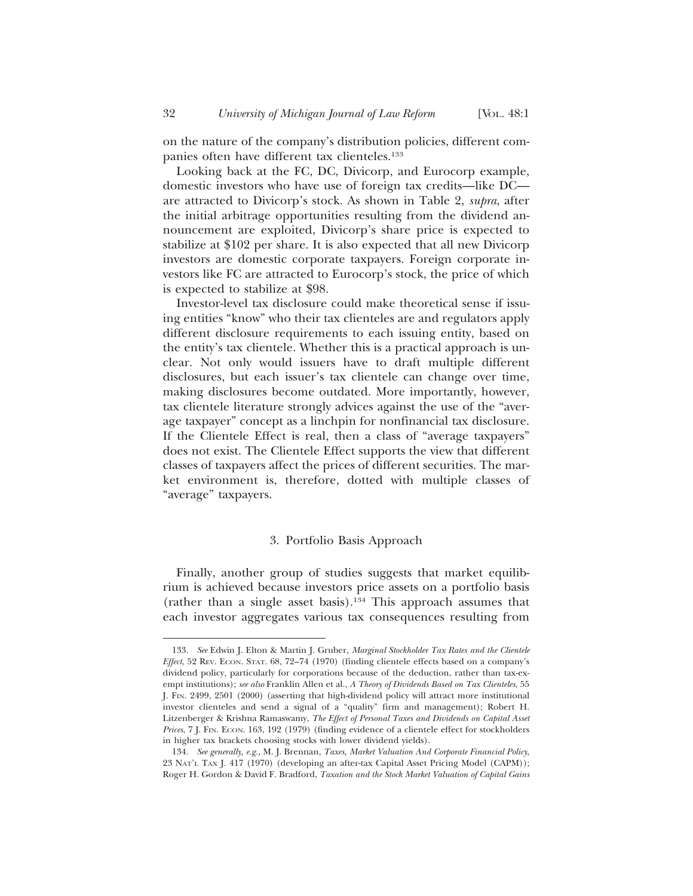on the nature of the company's distribution policies, different companies often have different tax clienteles.133

Looking back at the FC, DC, Divicorp, and Eurocorp example, domestic investors who have use of foreign tax credits—like DC are attracted to Divicorp's stock. As shown in Table 2, *supra*, after the initial arbitrage opportunities resulting from the dividend announcement are exploited, Divicorp's share price is expected to stabilize at \$102 per share. It is also expected that all new Divicorp investors are domestic corporate taxpayers. Foreign corporate investors like FC are attracted to Eurocorp's stock, the price of which is expected to stabilize at \$98.

Investor-level tax disclosure could make theoretical sense if issuing entities "know" who their tax clienteles are and regulators apply different disclosure requirements to each issuing entity, based on the entity's tax clientele. Whether this is a practical approach is unclear. Not only would issuers have to draft multiple different disclosures, but each issuer's tax clientele can change over time, making disclosures become outdated. More importantly, however, tax clientele literature strongly advices against the use of the "average taxpayer" concept as a linchpin for nonfinancial tax disclosure. If the Clientele Effect is real, then a class of "average taxpayers" does not exist. The Clientele Effect supports the view that different classes of taxpayers affect the prices of different securities. The market environment is, therefore, dotted with multiple classes of "average" taxpayers.

## 3. Portfolio Basis Approach

Finally, another group of studies suggests that market equilibrium is achieved because investors price assets on a portfolio basis (rather than a single asset basis).134 This approach assumes that each investor aggregates various tax consequences resulting from

<sup>133.</sup> *See* Edwin J. Elton & Martin J. Gruber, *Marginal Stockholder Tax Rates and the Clientele Effect*, 52 REV. ECON. STAT. 68, 72–74 (1970) (finding clientele effects based on a company's dividend policy, particularly for corporations because of the deduction, rather than tax-exempt institutions); *see also* Franklin Allen et al., *A Theory of Dividends Based on Tax Clienteles*, 55 J. FIN. 2499, 2501 (2000) (asserting that high-dividend policy will attract more institutional investor clienteles and send a signal of a "quality" firm and management); Robert H. Litzenberger & Krishna Ramaswamy, *The Effect of Personal Taxes and Dividends on Capital Asset Prices*, 7 J. FIN. ECON. 163, 192 (1979) (finding evidence of a clientele effect for stockholders in higher tax brackets choosing stocks with lower dividend yields).

<sup>134.</sup> *See generally, e.g.,* M. J. Brennan, *Taxes, Market Valuation And Corporate Financial Policy*, 23 NAT'L TAX J. 417 (1970) (developing an after-tax Capital Asset Pricing Model (CAPM)); Roger H. Gordon & David F. Bradford, *Taxation and the Stock Market Valuation of Capital Gains*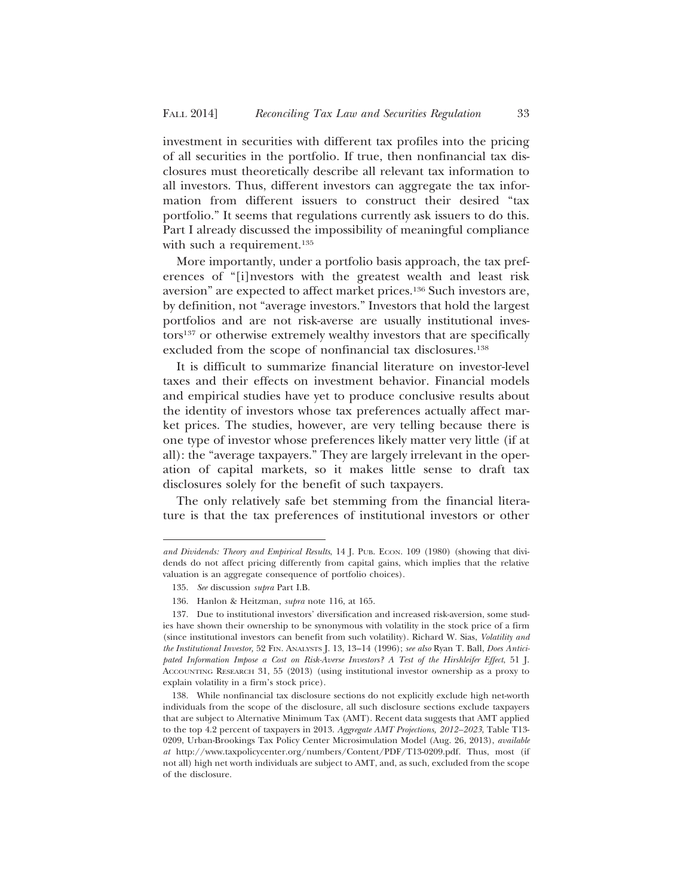investment in securities with different tax profiles into the pricing of all securities in the portfolio. If true, then nonfinancial tax disclosures must theoretically describe all relevant tax information to all investors. Thus, different investors can aggregate the tax information from different issuers to construct their desired "tax portfolio." It seems that regulations currently ask issuers to do this. Part I already discussed the impossibility of meaningful compliance with such a requirement.<sup>135</sup>

More importantly, under a portfolio basis approach, the tax preferences of "[i]nvestors with the greatest wealth and least risk aversion" are expected to affect market prices.136 Such investors are, by definition, not "average investors." Investors that hold the largest portfolios and are not risk-averse are usually institutional investors137 or otherwise extremely wealthy investors that are specifically excluded from the scope of nonfinancial tax disclosures.<sup>138</sup>

It is difficult to summarize financial literature on investor-level taxes and their effects on investment behavior. Financial models and empirical studies have yet to produce conclusive results about the identity of investors whose tax preferences actually affect market prices. The studies, however, are very telling because there is one type of investor whose preferences likely matter very little (if at all): the "average taxpayers." They are largely irrelevant in the operation of capital markets, so it makes little sense to draft tax disclosures solely for the benefit of such taxpayers.

The only relatively safe bet stemming from the financial literature is that the tax preferences of institutional investors or other

*and Dividends: Theory and Empirical Results*, 14 J. PUB. ECON. 109 (1980) (showing that dividends do not affect pricing differently from capital gains, which implies that the relative valuation is an aggregate consequence of portfolio choices).

<sup>135.</sup> *See* discussion *supra* Part I.B.

<sup>136.</sup> Hanlon & Heitzman, *supra* note 116, at 165.

<sup>137.</sup> Due to institutional investors' diversification and increased risk-aversion, some studies have shown their ownership to be synonymous with volatility in the stock price of a firm (since institutional investors can benefit from such volatility). Richard W. Sias, *Volatility and the Institutional Investor,* 52 FIN. ANALYSTS J. 13, 13–14 (1996); *see also* Ryan T. Ball, *Does Anticipated Information Impose a Cost on Risk-Averse Investors? A Test of the Hirshleifer Effect*, 51 J. ACCOUNTING RESEARCH 31, 55 (2013) (using institutional investor ownership as a proxy to explain volatility in a firm's stock price).

<sup>138.</sup> While nonfinancial tax disclosure sections do not explicitly exclude high net-worth individuals from the scope of the disclosure, all such disclosure sections exclude taxpayers that are subject to Alternative Minimum Tax (AMT). Recent data suggests that AMT applied to the top 4.2 percent of taxpayers in 2013. *Aggregate AMT Projections, 2012–2023*, Table T13- 0209, Urban-Brookings Tax Policy Center Microsimulation Model (Aug. 26, 2013), *available at* http://www.taxpolicycenter.org/numbers/Content/PDF/T13-0209.pdf. Thus, most (if not all) high net worth individuals are subject to AMT, and, as such, excluded from the scope of the disclosure.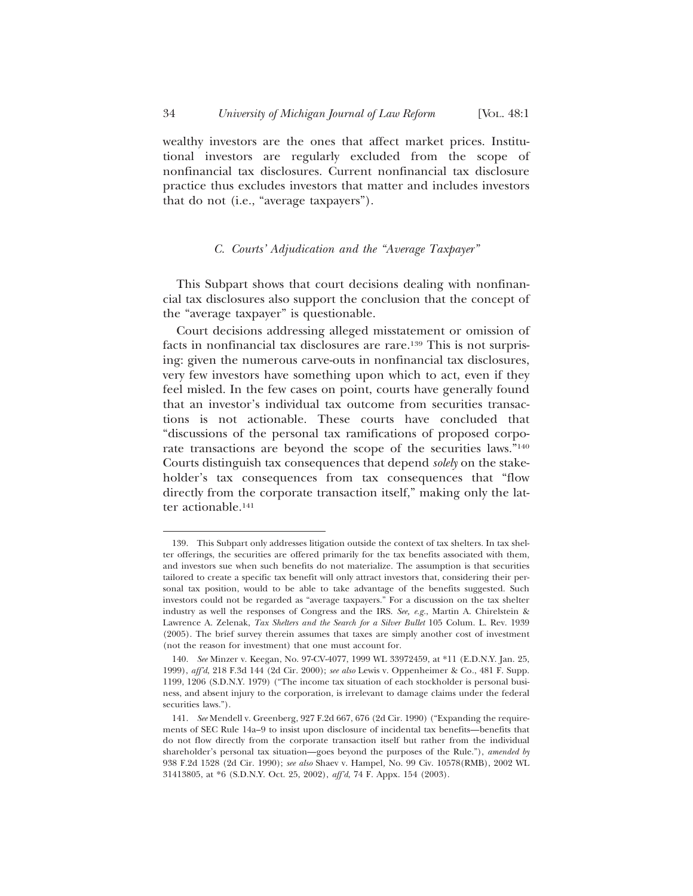wealthy investors are the ones that affect market prices. Institutional investors are regularly excluded from the scope of nonfinancial tax disclosures. Current nonfinancial tax disclosure practice thus excludes investors that matter and includes investors that do not (i.e., "average taxpayers").

## *C. Courts' Adjudication and the "Average Taxpayer"*

This Subpart shows that court decisions dealing with nonfinancial tax disclosures also support the conclusion that the concept of the "average taxpayer" is questionable.

Court decisions addressing alleged misstatement or omission of facts in nonfinancial tax disclosures are rare.139 This is not surprising: given the numerous carve-outs in nonfinancial tax disclosures, very few investors have something upon which to act, even if they feel misled. In the few cases on point, courts have generally found that an investor's individual tax outcome from securities transactions is not actionable. These courts have concluded that "discussions of the personal tax ramifications of proposed corporate transactions are beyond the scope of the securities laws."140 Courts distinguish tax consequences that depend *solely* on the stakeholder's tax consequences from tax consequences that "flow directly from the corporate transaction itself," making only the latter actionable.141

<sup>139.</sup> This Subpart only addresses litigation outside the context of tax shelters. In tax shelter offerings, the securities are offered primarily for the tax benefits associated with them, and investors sue when such benefits do not materialize. The assumption is that securities tailored to create a specific tax benefit will only attract investors that, considering their personal tax position, would to be able to take advantage of the benefits suggested. Such investors could not be regarded as "average taxpayers." For a discussion on the tax shelter industry as well the responses of Congress and the IRS. *See, e.g.*, Martin A. Chirelstein & Lawrence A. Zelenak, *Tax Shelters and the Search for a Silver Bullet* 105 Colum. L. Rev. 1939 (2005). The brief survey therein assumes that taxes are simply another cost of investment (not the reason for investment) that one must account for.

<sup>140.</sup> *See* Minzer v. Keegan, No. 97-CV-4077, 1999 WL 33972459, at \*11 (E.D.N.Y. Jan. 25, 1999), *aff'd*, 218 F.3d 144 (2d Cir. 2000); *see also* Lewis v. Oppenheimer & Co*.*, 481 F. Supp. 1199, 1206 (S.D.N.Y. 1979) ("The income tax situation of each stockholder is personal business, and absent injury to the corporation, is irrelevant to damage claims under the federal securities laws.").

<sup>141.</sup> *See* Mendell v. Greenberg, 927 F.2d 667, 676 (2d Cir. 1990) ("Expanding the requirements of SEC Rule 14a–9 to insist upon disclosure of incidental tax benefits—benefits that do not flow directly from the corporate transaction itself but rather from the individual shareholder's personal tax situation—goes beyond the purposes of the Rule."), *amended by* 938 F.2d 1528 (2d Cir. 1990); *see also* Shaev v. Hampel*,* No. 99 Civ. 10578(RMB), 2002 WL 31413805, at \*6 (S.D.N.Y. Oct. 25, 2002), *aff'd*, 74 F. Appx. 154 (2003).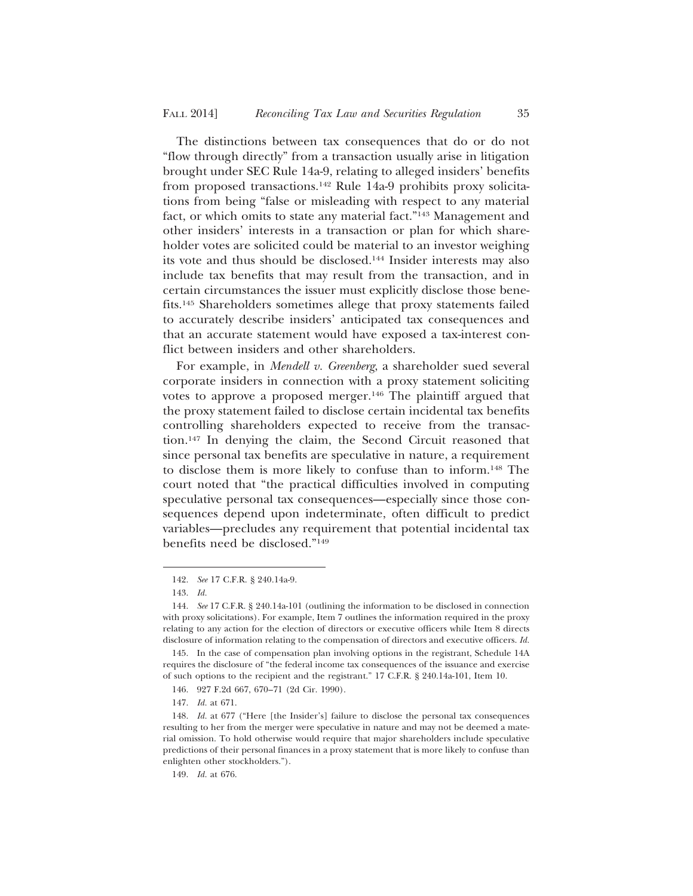The distinctions between tax consequences that do or do not "flow through directly" from a transaction usually arise in litigation brought under SEC Rule 14a-9, relating to alleged insiders' benefits from proposed transactions.<sup>142</sup> Rule 14a-9 prohibits proxy solicitations from being "false or misleading with respect to any material fact, or which omits to state any material fact."143 Management and other insiders' interests in a transaction or plan for which shareholder votes are solicited could be material to an investor weighing its vote and thus should be disclosed.144 Insider interests may also include tax benefits that may result from the transaction, and in certain circumstances the issuer must explicitly disclose those benefits.145 Shareholders sometimes allege that proxy statements failed to accurately describe insiders' anticipated tax consequences and that an accurate statement would have exposed a tax-interest conflict between insiders and other shareholders.

For example, in *Mendell v. Greenberg*, a shareholder sued several corporate insiders in connection with a proxy statement soliciting votes to approve a proposed merger.146 The plaintiff argued that the proxy statement failed to disclose certain incidental tax benefits controlling shareholders expected to receive from the transaction.147 In denying the claim, the Second Circuit reasoned that since personal tax benefits are speculative in nature, a requirement to disclose them is more likely to confuse than to inform.148 The court noted that "the practical difficulties involved in computing speculative personal tax consequences—especially since those consequences depend upon indeterminate, often difficult to predict variables—precludes any requirement that potential incidental tax benefits need be disclosed."149

<sup>142.</sup> *See* 17 C.F.R. § 240.14a-9.

<sup>143.</sup> *Id.*

<sup>144.</sup> *See* 17 C.F.R. § 240.14a-101 (outlining the information to be disclosed in connection with proxy solicitations). For example, Item 7 outlines the information required in the proxy relating to any action for the election of directors or executive officers while Item 8 directs disclosure of information relating to the compensation of directors and executive officers. *Id.*

<sup>145.</sup> In the case of compensation plan involving options in the registrant, Schedule 14A requires the disclosure of "the federal income tax consequences of the issuance and exercise of such options to the recipient and the registrant." 17 C.F.R. § 240.14a-101, Item 10.

<sup>146. 927</sup> F.2d 667, 670–71 (2d Cir. 1990).

<sup>147.</sup> *Id.* at 671.

<sup>148.</sup> *Id.* at 677 ("Here [the Insider's] failure to disclose the personal tax consequences resulting to her from the merger were speculative in nature and may not be deemed a material omission. To hold otherwise would require that major shareholders include speculative predictions of their personal finances in a proxy statement that is more likely to confuse than enlighten other stockholders.").

<sup>149.</sup> *Id.* at 676.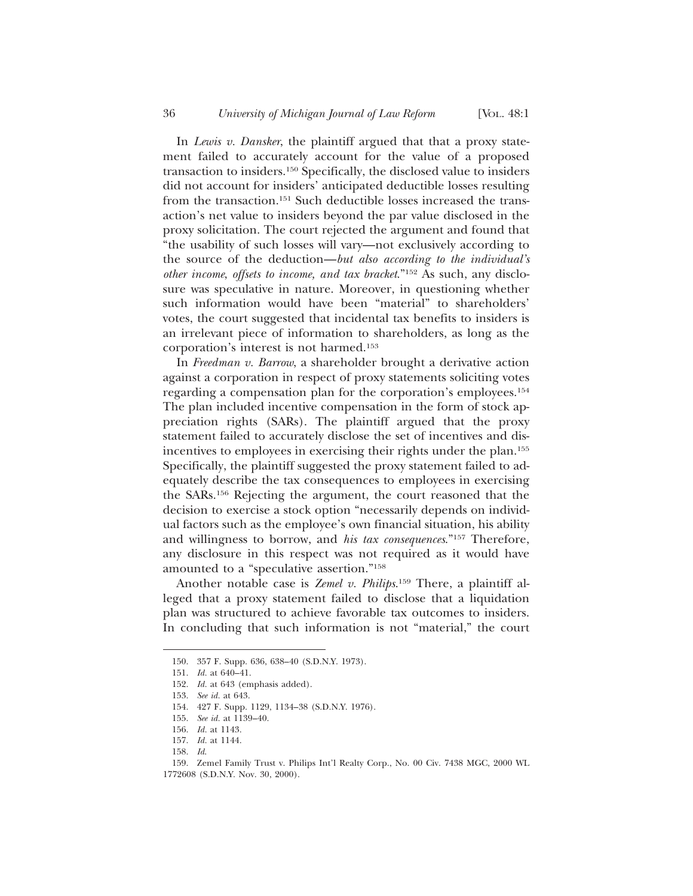In *Lewis v. Dansker*, the plaintiff argued that that a proxy statement failed to accurately account for the value of a proposed transaction to insiders.150 Specifically, the disclosed value to insiders did not account for insiders' anticipated deductible losses resulting from the transaction.151 Such deductible losses increased the transaction's net value to insiders beyond the par value disclosed in the proxy solicitation. The court rejected the argument and found that "the usability of such losses will vary—not exclusively according to the source of the deduction—*but also according to the individual's other income*, *offsets to income, and tax bracket*."152 As such, any disclosure was speculative in nature. Moreover, in questioning whether such information would have been "material" to shareholders' votes, the court suggested that incidental tax benefits to insiders is an irrelevant piece of information to shareholders, as long as the corporation's interest is not harmed.153

In *Freedman v. Barrow*, a shareholder brought a derivative action against a corporation in respect of proxy statements soliciting votes regarding a compensation plan for the corporation's employees.154 The plan included incentive compensation in the form of stock appreciation rights (SARs). The plaintiff argued that the proxy statement failed to accurately disclose the set of incentives and disincentives to employees in exercising their rights under the plan.155 Specifically, the plaintiff suggested the proxy statement failed to adequately describe the tax consequences to employees in exercising the SARs.156 Rejecting the argument, the court reasoned that the decision to exercise a stock option "necessarily depends on individual factors such as the employee's own financial situation, his ability and willingness to borrow, and *his tax consequences*."157 Therefore, any disclosure in this respect was not required as it would have amounted to a "speculative assertion."158

Another notable case is *Zemel v. Philips*. 159 There, a plaintiff alleged that a proxy statement failed to disclose that a liquidation plan was structured to achieve favorable tax outcomes to insiders. In concluding that such information is not "material," the court

<sup>150. 357</sup> F. Supp. 636, 638–40 (S.D.N.Y. 1973).

<sup>151.</sup> *Id.* at 640–41.

<sup>152.</sup> *Id.* at 643 (emphasis added).

<sup>153.</sup> *See id.* at 643.

<sup>154. 427</sup> F. Supp. 1129, 1134–38 (S.D.N.Y. 1976).

<sup>155.</sup> *See id.* at 1139–40.

<sup>156.</sup> *Id.* at 1143.

<sup>157.</sup> *Id.* at 1144.

<sup>158.</sup> *Id*.

<sup>159.</sup> Zemel Family Trust v. Philips Int'l Realty Corp., No. 00 Civ. 7438 MGC, 2000 WL 1772608 (S.D.N.Y. Nov. 30, 2000).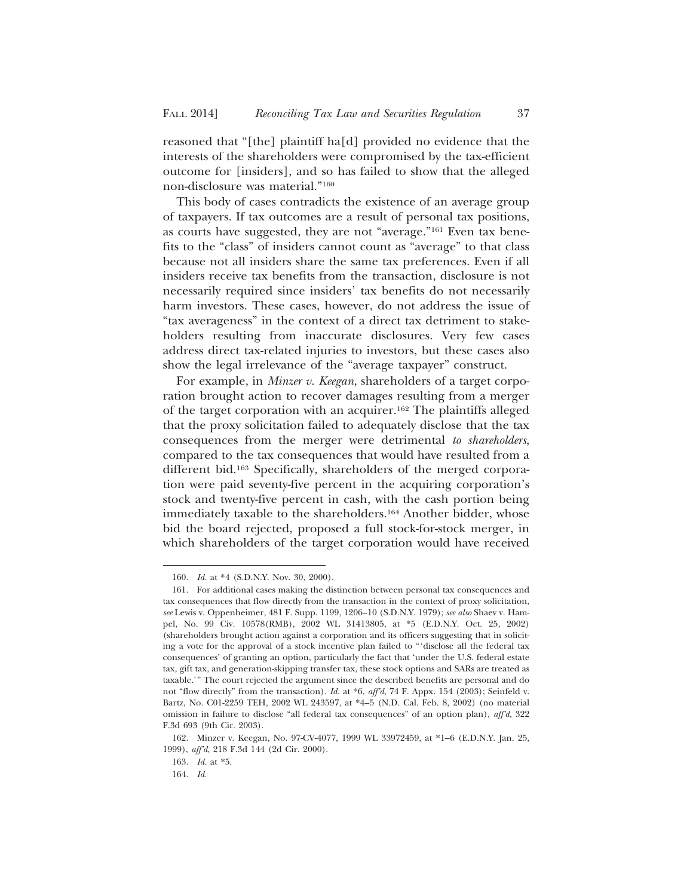reasoned that "[the] plaintiff ha[d] provided no evidence that the interests of the shareholders were compromised by the tax-efficient outcome for [insiders], and so has failed to show that the alleged non-disclosure was material."160

This body of cases contradicts the existence of an average group of taxpayers. If tax outcomes are a result of personal tax positions, as courts have suggested, they are not "average."161 Even tax benefits to the "class" of insiders cannot count as "average" to that class because not all insiders share the same tax preferences. Even if all insiders receive tax benefits from the transaction, disclosure is not necessarily required since insiders' tax benefits do not necessarily harm investors. These cases, however, do not address the issue of "tax averageness" in the context of a direct tax detriment to stakeholders resulting from inaccurate disclosures. Very few cases address direct tax-related injuries to investors, but these cases also show the legal irrelevance of the "average taxpayer" construct.

For example, in *Minzer v. Keegan*, shareholders of a target corporation brought action to recover damages resulting from a merger of the target corporation with an acquirer.162 The plaintiffs alleged that the proxy solicitation failed to adequately disclose that the tax consequences from the merger were detrimental *to shareholders*, compared to the tax consequences that would have resulted from a different bid.163 Specifically, shareholders of the merged corporation were paid seventy-five percent in the acquiring corporation's stock and twenty-five percent in cash, with the cash portion being immediately taxable to the shareholders.<sup>164</sup> Another bidder, whose bid the board rejected, proposed a full stock-for-stock merger, in which shareholders of the target corporation would have received

<sup>160.</sup> *Id.* at \*4 (S.D.N.Y. Nov. 30, 2000).

<sup>161.</sup> For additional cases making the distinction between personal tax consequences and tax consequences that flow directly from the transaction in the context of proxy solicitation, *see* Lewis v. Oppenheimer, 481 F. Supp. 1199, 1206–10 (S.D.N.Y. 1979); *see also* Shaev v. Hampel, No. 99 Civ. 10578(RMB), 2002 WL 31413805, at \*5 (E.D.N.Y. Oct. 25, 2002) (shareholders brought action against a corporation and its officers suggesting that in soliciting a vote for the approval of a stock incentive plan failed to "'disclose all the federal tax consequences' of granting an option, particularly the fact that 'under the U.S. federal estate tax, gift tax, and generation-skipping transfer tax, these stock options and SARs are treated as taxable.'" The court rejected the argument since the described benefits are personal and do not "flow directly" from the transaction). *Id.* at \*6, *aff'd*, 74 F. Appx. 154 (2003); Seinfeld v. Bartz, No. C01-2259 TEH, 2002 WL 243597, at \*4–5 (N.D. Cal. Feb. 8, 2002) (no material omission in failure to disclose "all federal tax consequences" of an option plan), *aff'd*, 322 F.3d 693 (9th Cir. 2003).

<sup>162.</sup> Minzer v. Keegan, No. 97-CV-4077, 1999 WL 33972459, at \*1–6 (E.D.N.Y. Jan. 25, 1999), *aff'd*, 218 F.3d 144 (2d Cir. 2000).

<sup>163.</sup> *Id.* at \*5.

<sup>164.</sup> *Id.*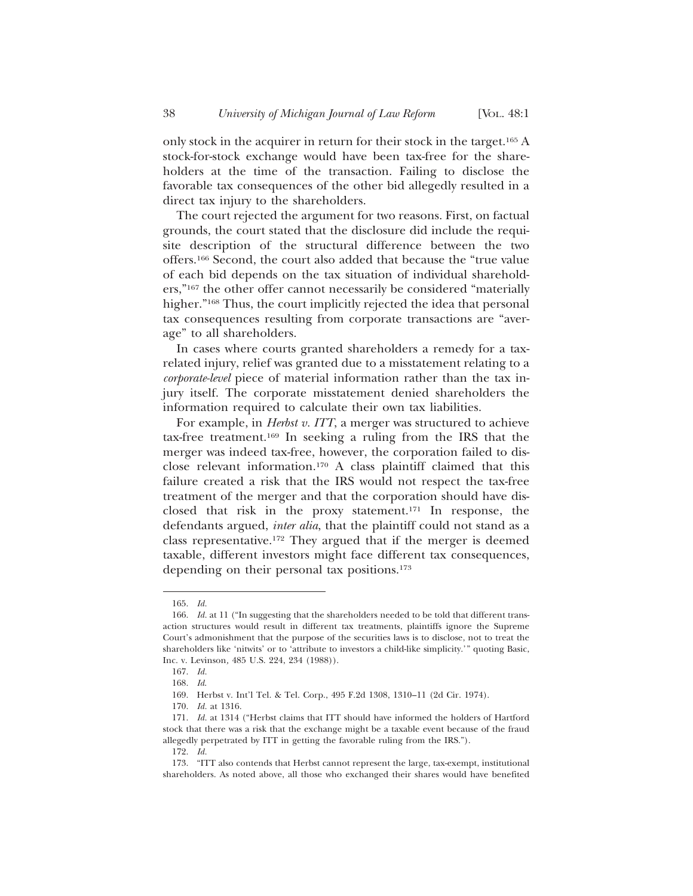only stock in the acquirer in return for their stock in the target.165 A stock-for-stock exchange would have been tax-free for the shareholders at the time of the transaction. Failing to disclose the favorable tax consequences of the other bid allegedly resulted in a direct tax injury to the shareholders.

The court rejected the argument for two reasons. First, on factual grounds, the court stated that the disclosure did include the requisite description of the structural difference between the two offers.166 Second, the court also added that because the "true value of each bid depends on the tax situation of individual shareholders,"167 the other offer cannot necessarily be considered "materially higher."168 Thus, the court implicitly rejected the idea that personal tax consequences resulting from corporate transactions are "average" to all shareholders.

In cases where courts granted shareholders a remedy for a taxrelated injury, relief was granted due to a misstatement relating to a *corporate-level* piece of material information rather than the tax injury itself. The corporate misstatement denied shareholders the information required to calculate their own tax liabilities.

For example, in *Herbst v. ITT*, a merger was structured to achieve tax-free treatment.169 In seeking a ruling from the IRS that the merger was indeed tax-free, however, the corporation failed to disclose relevant information.170 A class plaintiff claimed that this failure created a risk that the IRS would not respect the tax-free treatment of the merger and that the corporation should have disclosed that risk in the proxy statement.171 In response, the defendants argued, *inter alia*, that the plaintiff could not stand as a class representative.172 They argued that if the merger is deemed taxable, different investors might face different tax consequences, depending on their personal tax positions.173

<sup>165.</sup> *Id.*

<sup>166.</sup> *Id.* at 11 ("In suggesting that the shareholders needed to be told that different transaction structures would result in different tax treatments, plaintiffs ignore the Supreme Court's admonishment that the purpose of the securities laws is to disclose, not to treat the shareholders like 'nitwits' or to 'attribute to investors a child-like simplicity.'" quoting Basic, Inc. v. Levinson*,* 485 U.S. 224, 234 (1988)).

<sup>167.</sup> *Id.*

<sup>168.</sup> *Id*.

<sup>169.</sup> Herbst v. Int'l Tel. & Tel. Corp., 495 F.2d 1308, 1310–11 (2d Cir. 1974).

<sup>170.</sup> *Id.* at 1316.

<sup>171.</sup> *Id.* at 1314 ("Herbst claims that ITT should have informed the holders of Hartford stock that there was a risk that the exchange might be a taxable event because of the fraud allegedly perpetrated by ITT in getting the favorable ruling from the IRS.").

<sup>172.</sup> *Id.*

<sup>173. &</sup>quot;ITT also contends that Herbst cannot represent the large, tax-exempt, institutional shareholders. As noted above, all those who exchanged their shares would have benefited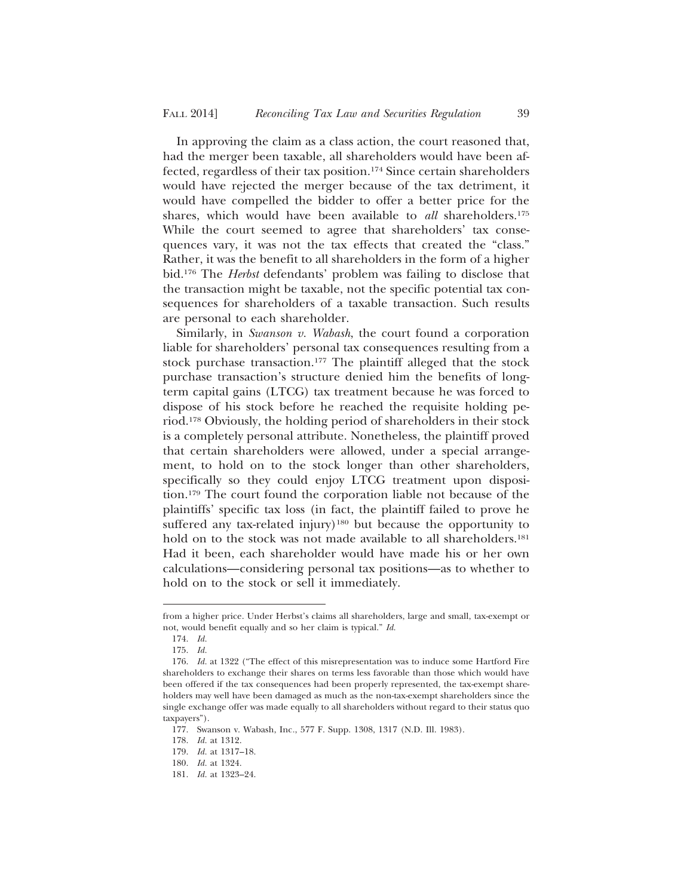In approving the claim as a class action, the court reasoned that, had the merger been taxable, all shareholders would have been affected, regardless of their tax position.174 Since certain shareholders would have rejected the merger because of the tax detriment, it would have compelled the bidder to offer a better price for the shares, which would have been available to *all* shareholders.<sup>175</sup> While the court seemed to agree that shareholders' tax consequences vary, it was not the tax effects that created the "class." Rather, it was the benefit to all shareholders in the form of a higher bid.176 The *Herbst* defendants' problem was failing to disclose that the transaction might be taxable, not the specific potential tax consequences for shareholders of a taxable transaction. Such results are personal to each shareholder.

Similarly, in *Swanson v. Wabash*, the court found a corporation liable for shareholders' personal tax consequences resulting from a stock purchase transaction.177 The plaintiff alleged that the stock purchase transaction's structure denied him the benefits of longterm capital gains (LTCG) tax treatment because he was forced to dispose of his stock before he reached the requisite holding period.178 Obviously, the holding period of shareholders in their stock is a completely personal attribute. Nonetheless, the plaintiff proved that certain shareholders were allowed, under a special arrangement, to hold on to the stock longer than other shareholders, specifically so they could enjoy LTCG treatment upon disposition.179 The court found the corporation liable not because of the plaintiffs' specific tax loss (in fact, the plaintiff failed to prove he suffered any tax-related injury)<sup>180</sup> but because the opportunity to hold on to the stock was not made available to all shareholders.<sup>181</sup> Had it been, each shareholder would have made his or her own calculations—considering personal tax positions—as to whether to hold on to the stock or sell it immediately.

from a higher price. Under Herbst's claims all shareholders, large and small, tax-exempt or not, would benefit equally and so her claim is typical." *Id.*

<sup>174.</sup> *Id.*

<sup>175.</sup> *Id.*

<sup>176.</sup> *Id.* at 1322 ("The effect of this misrepresentation was to induce some Hartford Fire shareholders to exchange their shares on terms less favorable than those which would have been offered if the tax consequences had been properly represented, the tax-exempt shareholders may well have been damaged as much as the non-tax-exempt shareholders since the single exchange offer was made equally to all shareholders without regard to their status quo taxpayers").

<sup>177.</sup> Swanson v. Wabash, Inc*.*, 577 F. Supp. 1308, 1317 (N.D. Ill. 1983).

<sup>178.</sup> *Id.* at 1312.

<sup>179.</sup> *Id.* at 1317–18.

<sup>180.</sup> *Id.* at 1324.

<sup>181.</sup> *Id.* at 1323–24.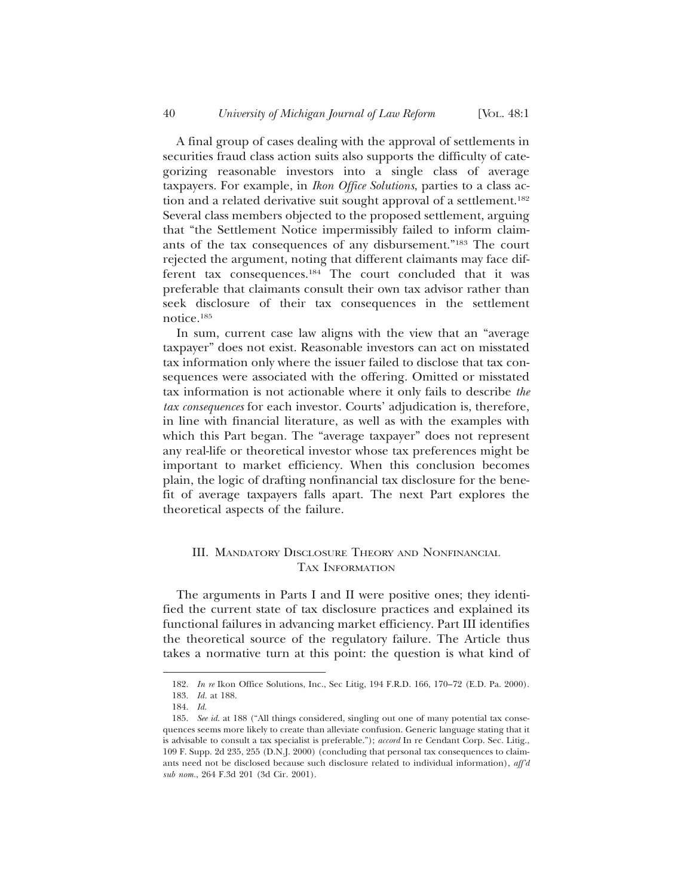A final group of cases dealing with the approval of settlements in securities fraud class action suits also supports the difficulty of categorizing reasonable investors into a single class of average taxpayers. For example, in *Ikon Office Solutions*, parties to a class action and a related derivative suit sought approval of a settlement.<sup>182</sup> Several class members objected to the proposed settlement, arguing that "the Settlement Notice impermissibly failed to inform claimants of the tax consequences of any disbursement."183 The court rejected the argument, noting that different claimants may face different tax consequences.<sup>184</sup> The court concluded that it was preferable that claimants consult their own tax advisor rather than seek disclosure of their tax consequences in the settlement notice.185

In sum, current case law aligns with the view that an "average taxpayer" does not exist. Reasonable investors can act on misstated tax information only where the issuer failed to disclose that tax consequences were associated with the offering. Omitted or misstated tax information is not actionable where it only fails to describe *the tax consequences* for each investor. Courts' adjudication is, therefore, in line with financial literature, as well as with the examples with which this Part began. The "average taxpayer" does not represent any real-life or theoretical investor whose tax preferences might be important to market efficiency. When this conclusion becomes plain, the logic of drafting nonfinancial tax disclosure for the benefit of average taxpayers falls apart. The next Part explores the theoretical aspects of the failure.

# III. MANDATORY DISCLOSURE THEORY AND NONFINANCIAL TAX INFORMATION

The arguments in Parts I and II were positive ones; they identified the current state of tax disclosure practices and explained its functional failures in advancing market efficiency. Part III identifies the theoretical source of the regulatory failure. The Article thus takes a normative turn at this point: the question is what kind of

<sup>182.</sup> *In re* Ikon Office Solutions, Inc., Sec Litig, 194 F.R.D. 166, 170–72 (E.D. Pa. 2000). 183. *Id.* at 188.

<sup>184.</sup> *Id*.

<sup>185.</sup> *See id.* at 188 ("All things considered, singling out one of many potential tax consequences seems more likely to create than alleviate confusion. Generic language stating that it is advisable to consult a tax specialist is preferable."); *accord* In re Cendant Corp. Sec. Litig., 109 F. Supp. 2d 235, 255 (D.N.J. 2000) (concluding that personal tax consequences to claimants need not be disclosed because such disclosure related to individual information), *aff'd sub nom.*, 264 F.3d 201 (3d Cir. 2001).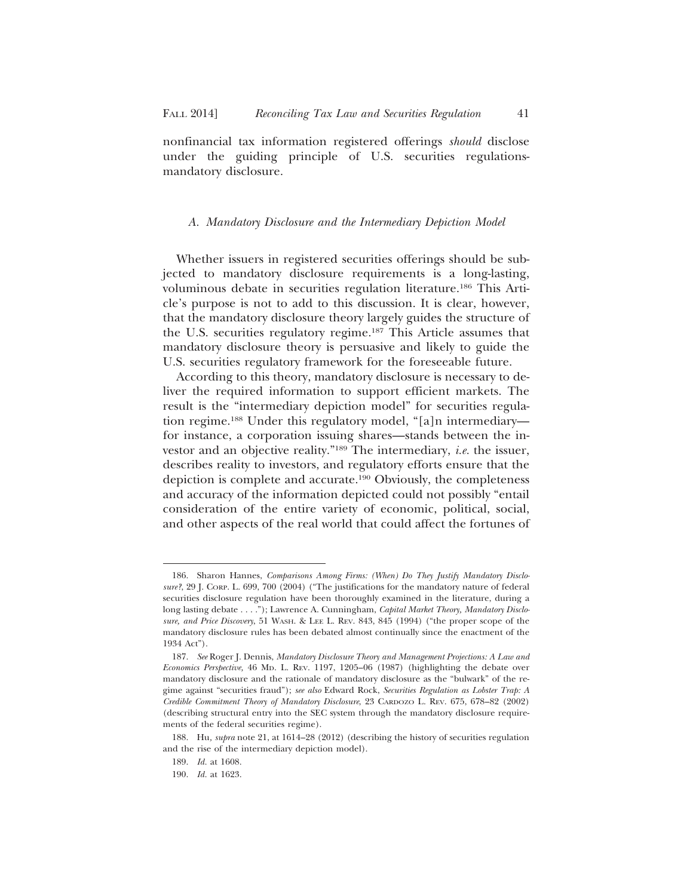nonfinancial tax information registered offerings *should* disclose under the guiding principle of U.S. securities regulationsmandatory disclosure.

#### *A. Mandatory Disclosure and the Intermediary Depiction Model*

Whether issuers in registered securities offerings should be subjected to mandatory disclosure requirements is a long-lasting, voluminous debate in securities regulation literature.186 This Article's purpose is not to add to this discussion. It is clear, however, that the mandatory disclosure theory largely guides the structure of the U.S. securities regulatory regime.187 This Article assumes that mandatory disclosure theory is persuasive and likely to guide the U.S. securities regulatory framework for the foreseeable future.

According to this theory, mandatory disclosure is necessary to deliver the required information to support efficient markets. The result is the "intermediary depiction model" for securities regulation regime.188 Under this regulatory model, "[a]n intermediary for instance, a corporation issuing shares—stands between the investor and an objective reality."189 The intermediary, *i.e.* the issuer, describes reality to investors, and regulatory efforts ensure that the depiction is complete and accurate.190 Obviously, the completeness and accuracy of the information depicted could not possibly "entail consideration of the entire variety of economic, political, social, and other aspects of the real world that could affect the fortunes of

<sup>186.</sup> Sharon Hannes, *Comparisons Among Firms: (When) Do They Justify Mandatory Disclosure?*, 29 J. CORP. L. 699, 700 (2004) ("The justifications for the mandatory nature of federal securities disclosure regulation have been thoroughly examined in the literature, during a long lasting debate . . . ."); Lawrence A. Cunningham, *Capital Market Theory, Mandatory Disclosure, and Price Discovery*, 51 WASH. & LEE L. REV. 843, 845 (1994) ("the proper scope of the mandatory disclosure rules has been debated almost continually since the enactment of the 1934 Act").

<sup>187.</sup> *See* Roger J. Dennis, *Mandatory Disclosure Theory and Management Projections: A Law and Economics Perspective,* 46 MD. L. REV. 1197, 1205–06 (1987) (highlighting the debate over mandatory disclosure and the rationale of mandatory disclosure as the "bulwark" of the regime against "securities fraud"); *see also* Edward Rock, *Securities Regulation as Lobster Trap: A Credible Commitment Theory of Mandatory Disclosure*, 23 CARDOZO L. REV. 675, 678–82 (2002) (describing structural entry into the SEC system through the mandatory disclosure requirements of the federal securities regime).

<sup>188.</sup> Hu*, supra* note 21, at 1614–28 (2012) (describing the history of securities regulation and the rise of the intermediary depiction model).

<sup>189.</sup> *Id.* at 1608.

<sup>190.</sup> *Id.* at 1623.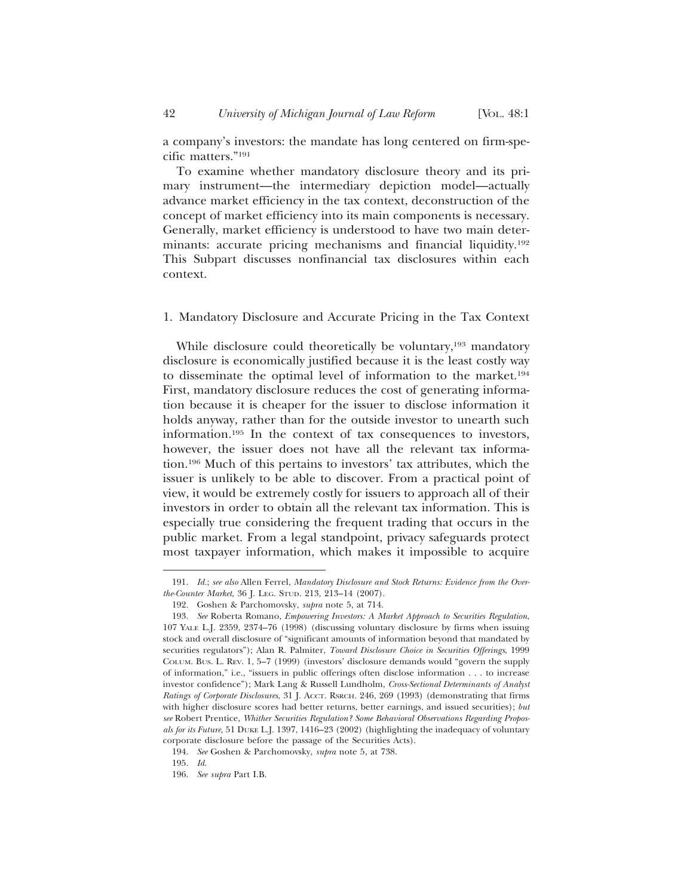a company's investors: the mandate has long centered on firm-specific matters."191

To examine whether mandatory disclosure theory and its primary instrument—the intermediary depiction model—actually advance market efficiency in the tax context, deconstruction of the concept of market efficiency into its main components is necessary. Generally, market efficiency is understood to have two main determinants: accurate pricing mechanisms and financial liquidity.192 This Subpart discusses nonfinancial tax disclosures within each context.

## 1. Mandatory Disclosure and Accurate Pricing in the Tax Context

While disclosure could theoretically be voluntary,<sup>193</sup> mandatory disclosure is economically justified because it is the least costly way to disseminate the optimal level of information to the market.194 First, mandatory disclosure reduces the cost of generating information because it is cheaper for the issuer to disclose information it holds anyway, rather than for the outside investor to unearth such information.195 In the context of tax consequences to investors, however, the issuer does not have all the relevant tax information.196 Much of this pertains to investors' tax attributes, which the issuer is unlikely to be able to discover. From a practical point of view, it would be extremely costly for issuers to approach all of their investors in order to obtain all the relevant tax information. This is especially true considering the frequent trading that occurs in the public market. From a legal standpoint, privacy safeguards protect most taxpayer information, which makes it impossible to acquire

<sup>191.</sup> *Id.*; *see also* Allen Ferrel, *Mandatory Disclosure and Stock Returns: Evidence from the Overthe-Counter Market*, 36 J. LEG. STUD. 213, 213–14 (2007).

<sup>192.</sup> Goshen & Parchomovsky, *supra* note 5, at 714.

<sup>193.</sup> *See* Roberta Romano, *Empowering Investors: A Market Approach to Securities Regulation*, 107 YALE L.J. 2359, 2374–76 (1998) (discussing voluntary disclosure by firms when issuing stock and overall disclosure of "significant amounts of information beyond that mandated by securities regulators"); Alan R. Palmiter, *Toward Disclosure Choice in Securities Offerings*, 1999 COLUM. BUS. L. REV. 1, 5–7 (1999) (investors' disclosure demands would "govern the supply of information," i.e., "issuers in public offerings often disclose information . . . to increase investor confidence"); Mark Lang & Russell Lundholm, *Cross-Sectional Determinants of Analyst Ratings of Corporate Disclosures*, 31 J. ACCT. RSRCH. 246, 269 (1993) (demonstrating that firms with higher disclosure scores had better returns, better earnings, and issued securities); *but see* Robert Prentice, *Whither Securities Regulation? Some Behavioral Observations Regarding Proposals for its Future,* 51 DUKE L.J. 1397, 1416–23 (2002) (highlighting the inadequacy of voluntary corporate disclosure before the passage of the Securities Acts).

<sup>194.</sup> *See* Goshen & Parchomovsky, *supra* note 5, at 738.

<sup>195.</sup> *Id*.

<sup>196.</sup> *See supra* Part I.B.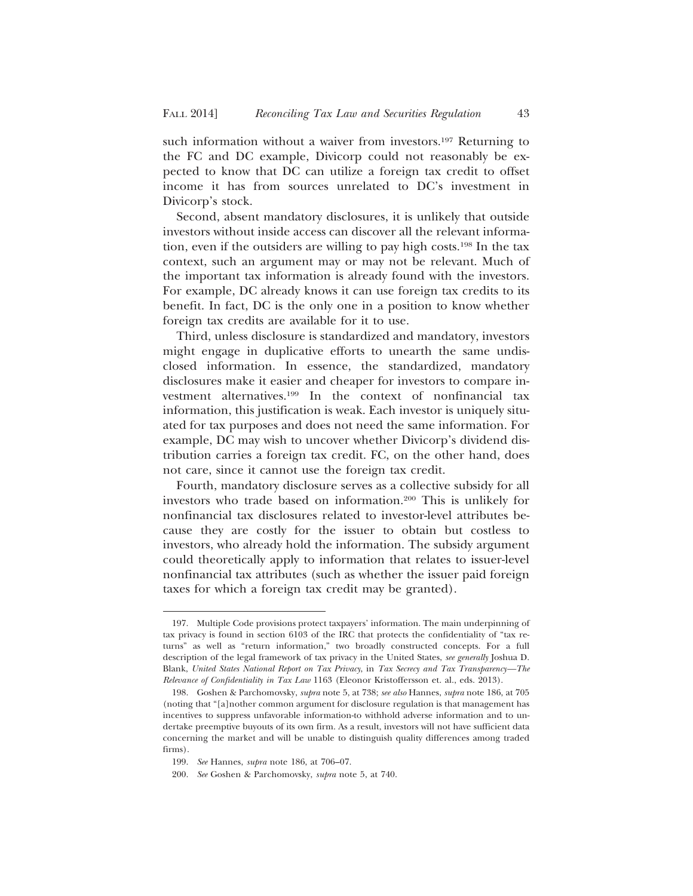such information without a waiver from investors.<sup>197</sup> Returning to the FC and DC example, Divicorp could not reasonably be expected to know that DC can utilize a foreign tax credit to offset income it has from sources unrelated to DC's investment in Divicorp's stock.

Second, absent mandatory disclosures, it is unlikely that outside investors without inside access can discover all the relevant information, even if the outsiders are willing to pay high costs.198 In the tax context, such an argument may or may not be relevant. Much of the important tax information is already found with the investors. For example, DC already knows it can use foreign tax credits to its benefit. In fact, DC is the only one in a position to know whether foreign tax credits are available for it to use.

Third, unless disclosure is standardized and mandatory, investors might engage in duplicative efforts to unearth the same undisclosed information. In essence, the standardized, mandatory disclosures make it easier and cheaper for investors to compare investment alternatives.199 In the context of nonfinancial tax information, this justification is weak. Each investor is uniquely situated for tax purposes and does not need the same information. For example, DC may wish to uncover whether Divicorp's dividend distribution carries a foreign tax credit. FC, on the other hand, does not care, since it cannot use the foreign tax credit.

Fourth, mandatory disclosure serves as a collective subsidy for all investors who trade based on information.200 This is unlikely for nonfinancial tax disclosures related to investor-level attributes because they are costly for the issuer to obtain but costless to investors, who already hold the information. The subsidy argument could theoretically apply to information that relates to issuer-level nonfinancial tax attributes (such as whether the issuer paid foreign taxes for which a foreign tax credit may be granted).

<sup>197.</sup> Multiple Code provisions protect taxpayers' information. The main underpinning of tax privacy is found in section 6103 of the IRC that protects the confidentiality of "tax returns" as well as "return information," two broadly constructed concepts. For a full description of the legal framework of tax privacy in the United States, *see generally* Joshua D. Blank, *United States National Report on Tax Privacy*, in *Tax Secrecy and Tax Transparency—The Relevance of Confidentiality in Tax Law* 1163 (Eleonor Kristoffersson et. al., eds. 2013).

<sup>198.</sup> Goshen & Parchomovsky, *supra* note 5, at 738; *see also* Hannes, *supra* note 186, at 705 (noting that "[a]nother common argument for disclosure regulation is that management has incentives to suppress unfavorable information-to withhold adverse information and to undertake preemptive buyouts of its own firm. As a result, investors will not have sufficient data concerning the market and will be unable to distinguish quality differences among traded firms).

<sup>199.</sup> *See* Hannes, *supra* note 186, at 706–07.

<sup>200.</sup> *See* Goshen & Parchomovsky, *supra* note 5, at 740.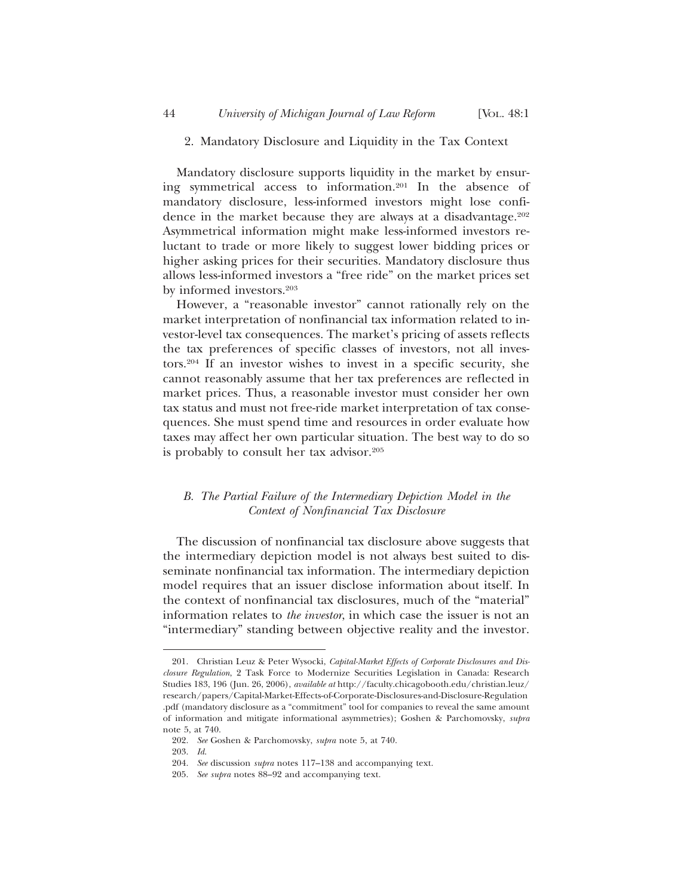## 2. Mandatory Disclosure and Liquidity in the Tax Context

Mandatory disclosure supports liquidity in the market by ensuring symmetrical access to information.201 In the absence of mandatory disclosure, less-informed investors might lose confidence in the market because they are always at a disadvantage.<sup>202</sup> Asymmetrical information might make less-informed investors reluctant to trade or more likely to suggest lower bidding prices or higher asking prices for their securities. Mandatory disclosure thus allows less-informed investors a "free ride" on the market prices set by informed investors.203

However, a "reasonable investor" cannot rationally rely on the market interpretation of nonfinancial tax information related to investor-level tax consequences. The market's pricing of assets reflects the tax preferences of specific classes of investors, not all investors.204 If an investor wishes to invest in a specific security, she cannot reasonably assume that her tax preferences are reflected in market prices. Thus, a reasonable investor must consider her own tax status and must not free-ride market interpretation of tax consequences. She must spend time and resources in order evaluate how taxes may affect her own particular situation. The best way to do so is probably to consult her tax advisor.205

# *B. The Partial Failure of the Intermediary Depiction Model in the Context of Nonfinancial Tax Disclosure*

The discussion of nonfinancial tax disclosure above suggests that the intermediary depiction model is not always best suited to disseminate nonfinancial tax information. The intermediary depiction model requires that an issuer disclose information about itself. In the context of nonfinancial tax disclosures, much of the "material" information relates to *the investor*, in which case the issuer is not an "intermediary" standing between objective reality and the investor.

<sup>201.</sup> Christian Leuz & Peter Wysocki, *Capital-Market Effects of Corporate Disclosures and Disclosure Regulation*, 2 Task Force to Modernize Securities Legislation in Canada: Research Studies 183, 196 (Jun. 26, 2006), *available at* http://faculty.chicagobooth.edu/christian.leuz/ research/papers/Capital-Market-Effects-of-Corporate-Disclosures-and-Disclosure-Regulation .pdf (mandatory disclosure as a "commitment" tool for companies to reveal the same amount of information and mitigate informational asymmetries); Goshen & Parchomovsky, *supra* note 5, at 740.

<sup>202.</sup> *See* Goshen & Parchomovsky, *supra* note 5, at 740.

<sup>203.</sup> *Id*.

<sup>204.</sup> *See* discussion *supra* notes 117–138 and accompanying text.

<sup>205.</sup> *See supra* notes 88–92 and accompanying text.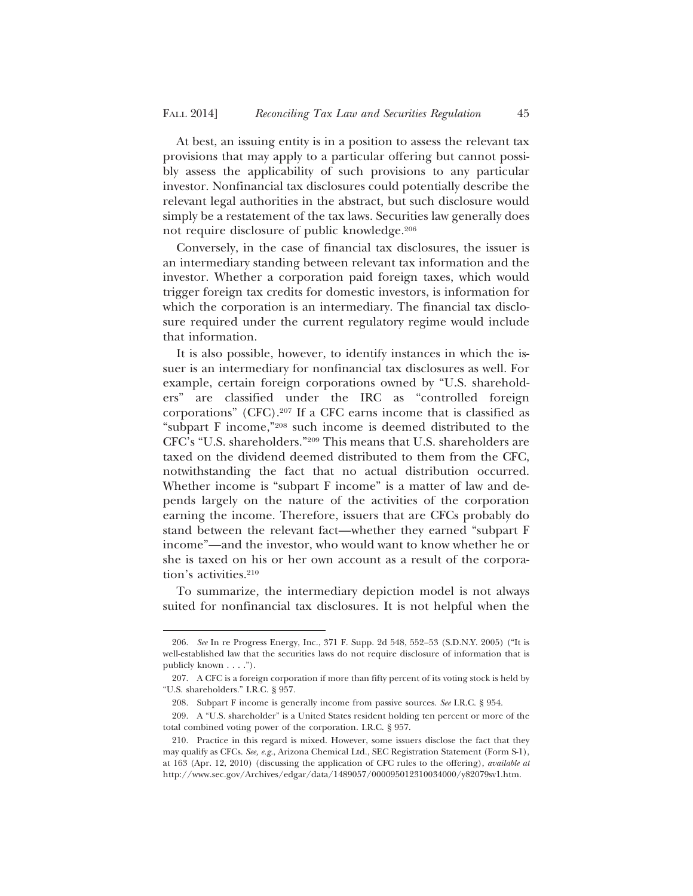At best, an issuing entity is in a position to assess the relevant tax provisions that may apply to a particular offering but cannot possibly assess the applicability of such provisions to any particular investor. Nonfinancial tax disclosures could potentially describe the relevant legal authorities in the abstract, but such disclosure would simply be a restatement of the tax laws. Securities law generally does not require disclosure of public knowledge.206

Conversely, in the case of financial tax disclosures, the issuer is an intermediary standing between relevant tax information and the investor. Whether a corporation paid foreign taxes, which would trigger foreign tax credits for domestic investors, is information for which the corporation is an intermediary. The financial tax disclosure required under the current regulatory regime would include that information.

It is also possible, however, to identify instances in which the issuer is an intermediary for nonfinancial tax disclosures as well. For example, certain foreign corporations owned by "U.S. shareholders" are classified under the IRC as "controlled foreign corporations" (CFC).207 If a CFC earns income that is classified as "subpart F income,"208 such income is deemed distributed to the CFC's "U.S. shareholders."209 This means that U.S. shareholders are taxed on the dividend deemed distributed to them from the CFC, notwithstanding the fact that no actual distribution occurred. Whether income is "subpart F income" is a matter of law and depends largely on the nature of the activities of the corporation earning the income. Therefore, issuers that are CFCs probably do stand between the relevant fact—whether they earned "subpart F income"—and the investor, who would want to know whether he or she is taxed on his or her own account as a result of the corporation's activities.<sup>210</sup>

To summarize, the intermediary depiction model is not always suited for nonfinancial tax disclosures. It is not helpful when the

<sup>206.</sup> *See* In re Progress Energy, Inc., 371 F. Supp. 2d 548, 552–53 (S.D.N.Y. 2005) ("It is well-established law that the securities laws do not require disclosure of information that is publicly known . . . .").

<sup>207.</sup> A CFC is a foreign corporation if more than fifty percent of its voting stock is held by "U.S. shareholders." I.R.C. § 957.

<sup>208.</sup> Subpart F income is generally income from passive sources. *See* I.R.C. § 954.

<sup>209.</sup> A "U.S. shareholder" is a United States resident holding ten percent or more of the total combined voting power of the corporation. I.R.C. § 957.

<sup>210.</sup> Practice in this regard is mixed. However, some issuers disclose the fact that they may qualify as CFCs. *See, e.g.*, Arizona Chemical Ltd., SEC Registration Statement (Form S-1), at 163 (Apr. 12, 2010) (discussing the application of CFC rules to the offering), *available at* http://www.sec.gov/Archives/edgar/data/1489057/000095012310034000/y82079sv1.htm.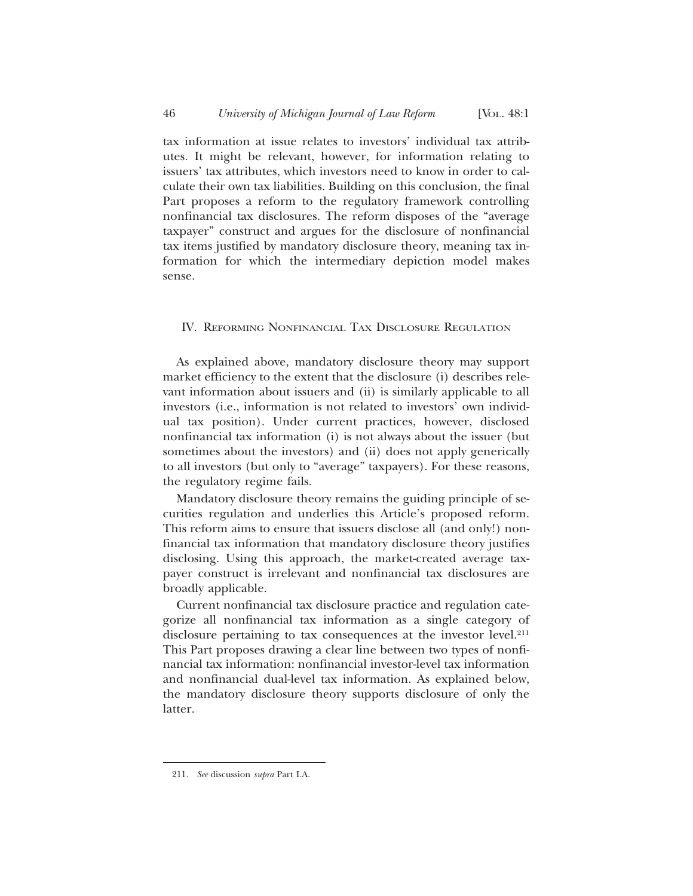tax information at issue relates to investors' individual tax attributes. It might be relevant, however, for information relating to issuers' tax attributes, which investors need to know in order to calculate their own tax liabilities. Building on this conclusion, the final Part proposes a reform to the regulatory framework controlling nonfinancial tax disclosures. The reform disposes of the "average taxpayer" construct and argues for the disclosure of nonfinancial tax items justified by mandatory disclosure theory, meaning tax information for which the intermediary depiction model makes sense.

## IV. REFORMING NONFINANCIAL TAX DISCLOSURE REGULATION

As explained above, mandatory disclosure theory may support market efficiency to the extent that the disclosure (i) describes relevant information about issuers and (ii) is similarly applicable to all investors (i.e., information is not related to investors' own individual tax position). Under current practices, however, disclosed nonfinancial tax information (i) is not always about the issuer (but sometimes about the investors) and (ii) does not apply generically to all investors (but only to "average" taxpayers). For these reasons, the regulatory regime fails.

Mandatory disclosure theory remains the guiding principle of securities regulation and underlies this Article's proposed reform. This reform aims to ensure that issuers disclose all (and only!) nonfinancial tax information that mandatory disclosure theory justifies disclosing. Using this approach, the market-created average taxpayer construct is irrelevant and nonfinancial tax disclosures are broadly applicable.

Current nonfinancial tax disclosure practice and regulation categorize all nonfinancial tax information as a single category of disclosure pertaining to tax consequences at the investor level.<sup>211</sup> This Part proposes drawing a clear line between two types of nonfinancial tax information: nonfinancial investor-level tax information and nonfinancial dual-level tax information. As explained below, the mandatory disclosure theory supports disclosure of only the latter.

<sup>211.</sup> *See* discussion *supra* Part I.A.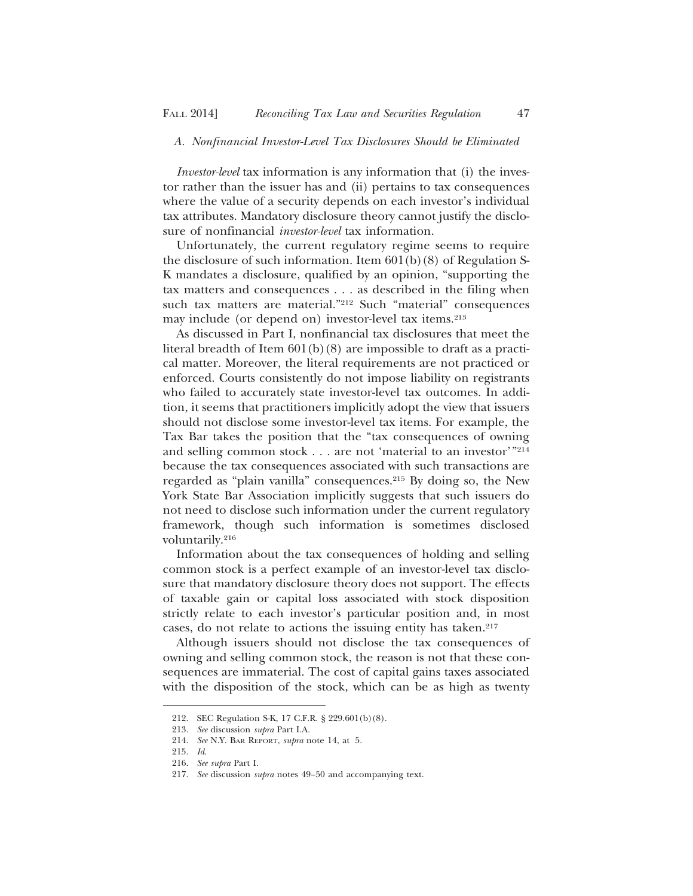# *A. Nonfinancial Investor-Level Tax Disclosures Should be Eliminated*

*Investor-level* tax information is any information that (i) the investor rather than the issuer has and (ii) pertains to tax consequences where the value of a security depends on each investor's individual tax attributes. Mandatory disclosure theory cannot justify the disclosure of nonfinancial *investor-level* tax information.

Unfortunately, the current regulatory regime seems to require the disclosure of such information. Item 601(b)(8) of Regulation S-K mandates a disclosure, qualified by an opinion, "supporting the tax matters and consequences . . . as described in the filing when such tax matters are material."212 Such "material" consequences may include (or depend on) investor-level tax items.213

As discussed in Part I, nonfinancial tax disclosures that meet the literal breadth of Item 601(b)(8) are impossible to draft as a practical matter. Moreover, the literal requirements are not practiced or enforced. Courts consistently do not impose liability on registrants who failed to accurately state investor-level tax outcomes. In addition, it seems that practitioners implicitly adopt the view that issuers should not disclose some investor-level tax items. For example, the Tax Bar takes the position that the "tax consequences of owning and selling common stock . . . are not 'material to an investor'<sup>"214</sup> because the tax consequences associated with such transactions are regarded as "plain vanilla" consequences.215 By doing so, the New York State Bar Association implicitly suggests that such issuers do not need to disclose such information under the current regulatory framework, though such information is sometimes disclosed voluntarily.216

Information about the tax consequences of holding and selling common stock is a perfect example of an investor-level tax disclosure that mandatory disclosure theory does not support. The effects of taxable gain or capital loss associated with stock disposition strictly relate to each investor's particular position and, in most cases, do not relate to actions the issuing entity has taken.<sup>217</sup>

Although issuers should not disclose the tax consequences of owning and selling common stock, the reason is not that these consequences are immaterial. The cost of capital gains taxes associated with the disposition of the stock, which can be as high as twenty

<sup>212.</sup> SEC Regulation S-K, 17 C.F.R. § 229.601(b)(8).

<sup>213.</sup> *See* discussion *supra* Part I.A.

<sup>214.</sup> *See* N.Y. BAR REPORT, *supra* note 14, at 5.

<sup>215.</sup> *Id*.

<sup>216.</sup> *See supra* Part I.

<sup>217.</sup> *See* discussion *supra* notes 49–50 and accompanying text.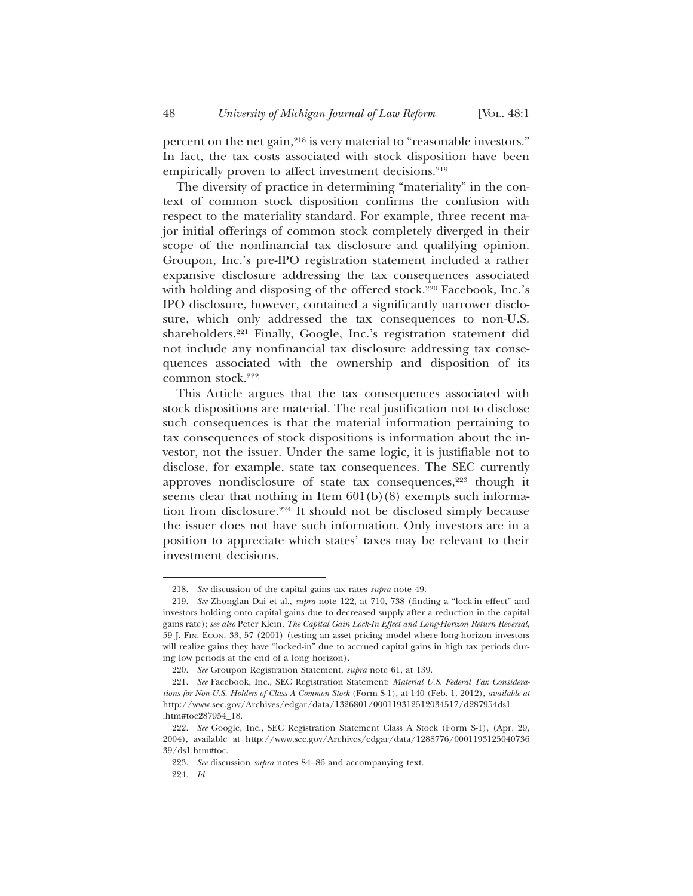percent on the net gain,<sup>218</sup> is very material to "reasonable investors." In fact, the tax costs associated with stock disposition have been empirically proven to affect investment decisions.<sup>219</sup>

The diversity of practice in determining "materiality" in the context of common stock disposition confirms the confusion with respect to the materiality standard. For example, three recent major initial offerings of common stock completely diverged in their scope of the nonfinancial tax disclosure and qualifying opinion. Groupon, Inc.'s pre-IPO registration statement included a rather expansive disclosure addressing the tax consequences associated with holding and disposing of the offered stock.<sup>220</sup> Facebook, Inc.'s IPO disclosure, however, contained a significantly narrower disclosure, which only addressed the tax consequences to non-U.S. shareholders.221 Finally, Google, Inc.'s registration statement did not include any nonfinancial tax disclosure addressing tax consequences associated with the ownership and disposition of its common stock.222

This Article argues that the tax consequences associated with stock dispositions are material. The real justification not to disclose such consequences is that the material information pertaining to tax consequences of stock dispositions is information about the investor, not the issuer. Under the same logic, it is justifiable not to disclose, for example, state tax consequences. The SEC currently approves nondisclosure of state tax consequences,<sup>223</sup> though it seems clear that nothing in Item  $601(b)(8)$  exempts such information from disclosure.224 It should not be disclosed simply because the issuer does not have such information. Only investors are in a position to appreciate which states' taxes may be relevant to their investment decisions.

<sup>218.</sup> *See* discussion of the capital gains tax rates *supra* note 49.

<sup>219.</sup> *See* Zhonglan Dai et al., *supra* note 122, at 710, 738 (finding a "lock-in effect" and investors holding onto capital gains due to decreased supply after a reduction in the capital gains rate); *see also* Peter Klein, *The Capital Gain Lock-In Effect and Long-Horizon Return Reversal*, 59 J. FIN. ECON. 33, 57 (2001) (testing an asset pricing model where long-horizon investors will realize gains they have "locked-in" due to accrued capital gains in high tax periods during low periods at the end of a long horizon).

<sup>220.</sup> *See* Groupon Registration Statement, *supra* note 61, at 139.

<sup>221.</sup> *See* Facebook, Inc., SEC Registration Statement: *Material U.S. Federal Tax Considerations for Non-U.S. Holders of Class A Common Stock* (Form S-1), at 140 (Feb. 1, 2012), *available at* http://www.sec.gov/Archives/edgar/data/1326801/000119312512034517/d287954ds1 .htm#toc287954\_18.

<sup>222.</sup> *See* Google, Inc., SEC Registration Statement Class A Stock (Form S-1), (Apr. 29, 2004), available at http://www.sec.gov/Archives/edgar/data/1288776/0001193125040736 39/ds1.htm#toc.

<sup>223.</sup> *See* discussion *supra* notes 84–86 and accompanying text.

<sup>224.</sup> *Id.*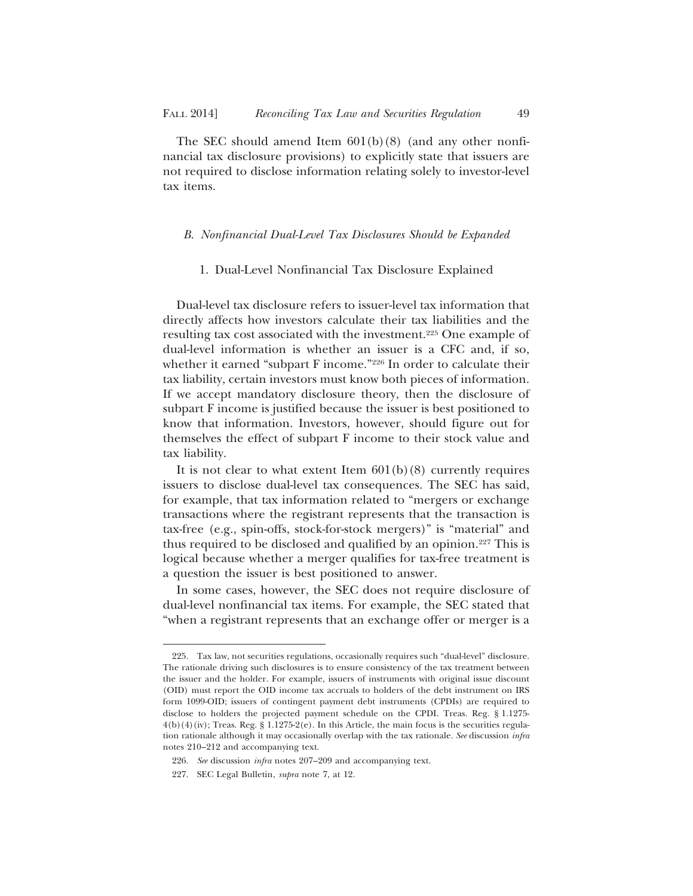The SEC should amend Item  $601(b)(8)$  (and any other nonfinancial tax disclosure provisions) to explicitly state that issuers are not required to disclose information relating solely to investor-level tax items.

### *B. Nonfinancial Dual-Level Tax Disclosures Should be Expanded*

#### 1. Dual-Level Nonfinancial Tax Disclosure Explained

Dual-level tax disclosure refers to issuer-level tax information that directly affects how investors calculate their tax liabilities and the resulting tax cost associated with the investment.225 One example of dual-level information is whether an issuer is a CFC and, if so, whether it earned "subpart F income."226 In order to calculate their tax liability, certain investors must know both pieces of information. If we accept mandatory disclosure theory, then the disclosure of subpart F income is justified because the issuer is best positioned to know that information. Investors, however, should figure out for themselves the effect of subpart F income to their stock value and tax liability.

It is not clear to what extent Item  $601(b)(8)$  currently requires issuers to disclose dual-level tax consequences. The SEC has said, for example, that tax information related to "mergers or exchange transactions where the registrant represents that the transaction is tax-free (e.g., spin-offs, stock-for-stock mergers)" is "material" and thus required to be disclosed and qualified by an opinion.227 This is logical because whether a merger qualifies for tax-free treatment is a question the issuer is best positioned to answer.

In some cases, however, the SEC does not require disclosure of dual-level nonfinancial tax items. For example, the SEC stated that "when a registrant represents that an exchange offer or merger is a

<sup>225.</sup> Tax law, not securities regulations, occasionally requires such "dual-level" disclosure. The rationale driving such disclosures is to ensure consistency of the tax treatment between the issuer and the holder. For example, issuers of instruments with original issue discount (OID) must report the OID income tax accruals to holders of the debt instrument on IRS form 1099-OID; issuers of contingent payment debt instruments (CPDIs) are required to disclose to holders the projected payment schedule on the CPDI. Treas. Reg. § 1.1275-  $4(b)(4)(iv)$ ; Treas. Reg. §  $1.1275-2(e)$ . In this Article, the main focus is the securities regulation rationale although it may occasionally overlap with the tax rationale. *See* discussion *infra* notes 210–212 and accompanying text.

<sup>226.</sup> *See* discussion *infra* notes 207–209 and accompanying text.

<sup>227.</sup> SEC Legal Bulletin, *supra* note 7, at 12.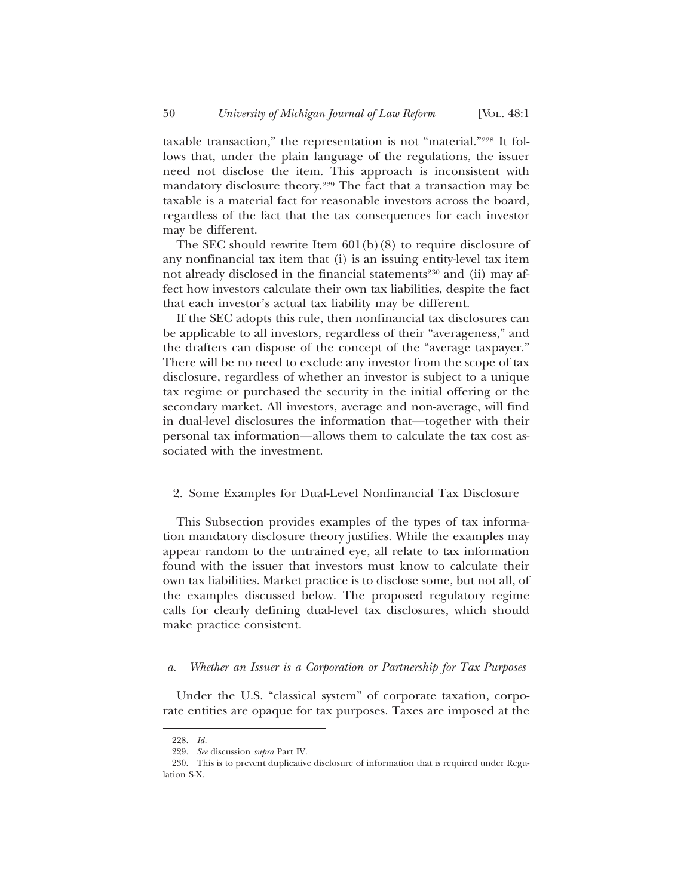taxable transaction," the representation is not "material."228 It follows that, under the plain language of the regulations, the issuer need not disclose the item. This approach is inconsistent with mandatory disclosure theory.229 The fact that a transaction may be taxable is a material fact for reasonable investors across the board, regardless of the fact that the tax consequences for each investor may be different.

The SEC should rewrite Item 601(b)(8) to require disclosure of any nonfinancial tax item that (i) is an issuing entity-level tax item not already disclosed in the financial statements<sup>230</sup> and (ii) may affect how investors calculate their own tax liabilities, despite the fact that each investor's actual tax liability may be different.

If the SEC adopts this rule, then nonfinancial tax disclosures can be applicable to all investors, regardless of their "averageness," and the drafters can dispose of the concept of the "average taxpayer." There will be no need to exclude any investor from the scope of tax disclosure, regardless of whether an investor is subject to a unique tax regime or purchased the security in the initial offering or the secondary market. All investors, average and non-average, will find in dual-level disclosures the information that—together with their personal tax information—allows them to calculate the tax cost associated with the investment.

#### 2. Some Examples for Dual-Level Nonfinancial Tax Disclosure

This Subsection provides examples of the types of tax information mandatory disclosure theory justifies. While the examples may appear random to the untrained eye, all relate to tax information found with the issuer that investors must know to calculate their own tax liabilities. Market practice is to disclose some, but not all, of the examples discussed below. The proposed regulatory regime calls for clearly defining dual-level tax disclosures, which should make practice consistent.

## *a. Whether an Issuer is a Corporation or Partnership for Tax Purposes*

Under the U.S. "classical system" of corporate taxation, corporate entities are opaque for tax purposes. Taxes are imposed at the

<sup>228.</sup> *Id.*

<sup>229.</sup> *See* discussion *supra* Part IV.

<sup>230.</sup> This is to prevent duplicative disclosure of information that is required under Regulation S-X.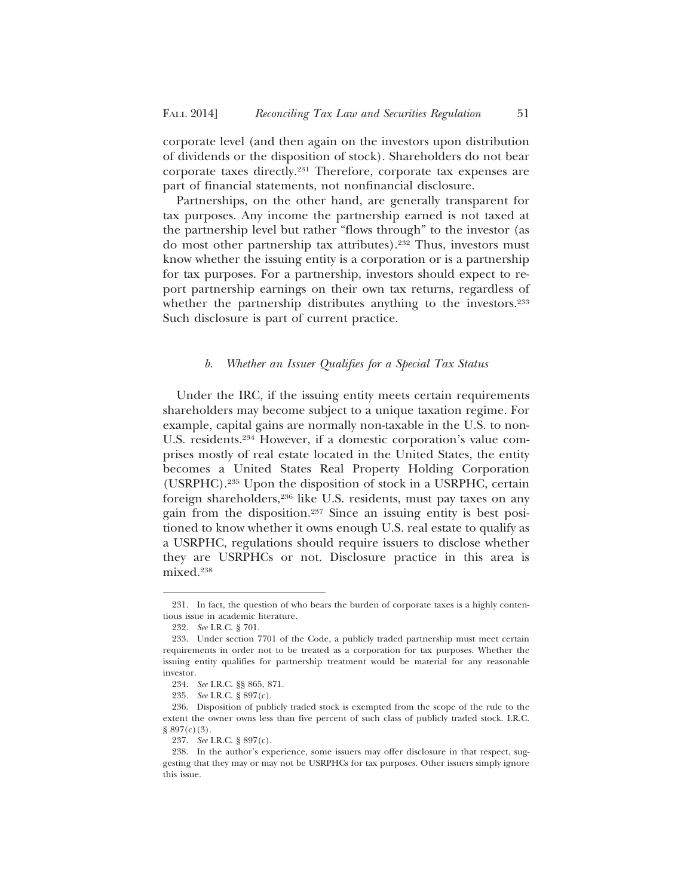corporate level (and then again on the investors upon distribution of dividends or the disposition of stock). Shareholders do not bear corporate taxes directly.231 Therefore, corporate tax expenses are part of financial statements, not nonfinancial disclosure.

Partnerships, on the other hand, are generally transparent for tax purposes. Any income the partnership earned is not taxed at the partnership level but rather "flows through" to the investor (as do most other partnership tax attributes).232 Thus, investors must know whether the issuing entity is a corporation or is a partnership for tax purposes. For a partnership, investors should expect to report partnership earnings on their own tax returns, regardless of whether the partnership distributes anything to the investors.<sup>233</sup> Such disclosure is part of current practice.

### *b. Whether an Issuer Qualifies for a Special Tax Status*

Under the IRC, if the issuing entity meets certain requirements shareholders may become subject to a unique taxation regime. For example, capital gains are normally non-taxable in the U.S. to non-U.S. residents.234 However, if a domestic corporation's value comprises mostly of real estate located in the United States, the entity becomes a United States Real Property Holding Corporation (USRPHC).235 Upon the disposition of stock in a USRPHC, certain foreign shareholders,236 like U.S. residents, must pay taxes on any gain from the disposition.237 Since an issuing entity is best positioned to know whether it owns enough U.S. real estate to qualify as a USRPHC, regulations should require issuers to disclose whether they are USRPHCs or not. Disclosure practice in this area is mixed.238

<sup>231.</sup> In fact, the question of who bears the burden of corporate taxes is a highly contentious issue in academic literature.

<sup>232.</sup> *See* I.R.C. § 701.

<sup>233.</sup> Under section 7701 of the Code, a publicly traded partnership must meet certain requirements in order not to be treated as a corporation for tax purposes. Whether the issuing entity qualifies for partnership treatment would be material for any reasonable investor.

<sup>234.</sup> *See* I.R.C. §§ 865, 871.

<sup>235.</sup> *See* I.R.C. § 897(c).

<sup>236.</sup> Disposition of publicly traded stock is exempted from the scope of the rule to the extent the owner owns less than five percent of such class of publicly traded stock. I.R.C. § 897(c)(3).

<sup>237.</sup> *See* I.R.C. § 897(c).

<sup>238.</sup> In the author's experience, some issuers may offer disclosure in that respect, suggesting that they may or may not be USRPHCs for tax purposes. Other issuers simply ignore this issue.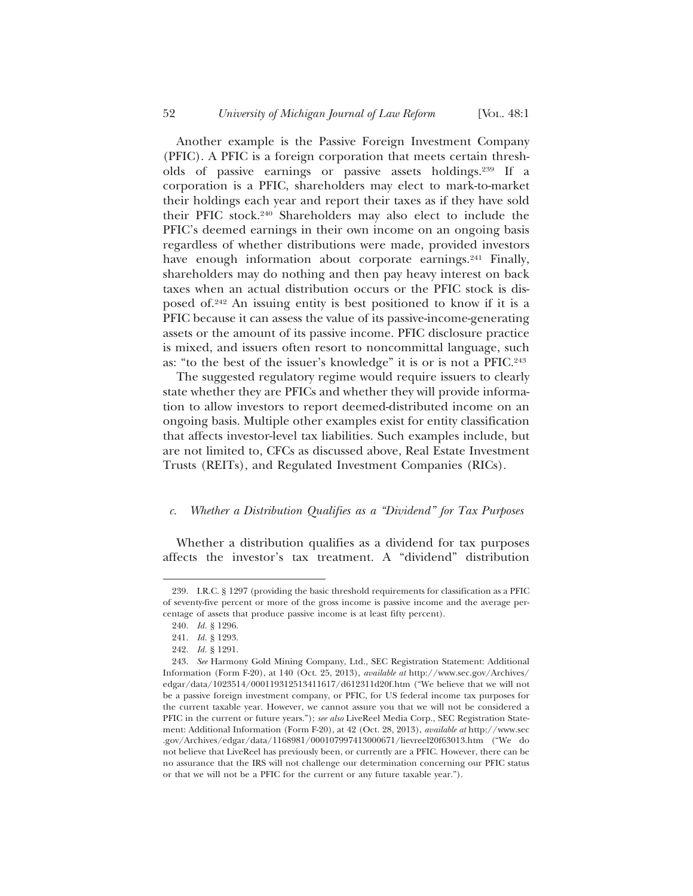Another example is the Passive Foreign Investment Company (PFIC). A PFIC is a foreign corporation that meets certain thresholds of passive earnings or passive assets holdings.239 If a corporation is a PFIC, shareholders may elect to mark-to-market their holdings each year and report their taxes as if they have sold their PFIC stock.240 Shareholders may also elect to include the PFIC's deemed earnings in their own income on an ongoing basis regardless of whether distributions were made, provided investors have enough information about corporate earnings.<sup>241</sup> Finally, shareholders may do nothing and then pay heavy interest on back taxes when an actual distribution occurs or the PFIC stock is disposed of.242 An issuing entity is best positioned to know if it is a PFIC because it can assess the value of its passive-income-generating assets or the amount of its passive income. PFIC disclosure practice is mixed, and issuers often resort to noncommittal language, such as: "to the best of the issuer's knowledge" it is or is not a PFIC.243

The suggested regulatory regime would require issuers to clearly state whether they are PFICs and whether they will provide information to allow investors to report deemed-distributed income on an ongoing basis. Multiple other examples exist for entity classification that affects investor-level tax liabilities. Such examples include, but are not limited to, CFCs as discussed above, Real Estate Investment Trusts (REITs), and Regulated Investment Companies (RICs).

## *c. Whether a Distribution Qualifies as a "Dividend" for Tax Purposes*

Whether a distribution qualifies as a dividend for tax purposes affects the investor's tax treatment. A "dividend" distribution

<sup>239.</sup> I.R.C. § 1297 (providing the basic threshold requirements for classification as a PFIC of seventy-five percent or more of the gross income is passive income and the average percentage of assets that produce passive income is at least fifty percent).

<sup>240.</sup> *Id.* § 1296.

<sup>241.</sup> *Id.* § 1293.

<sup>242.</sup> *Id.* § 1291.

<sup>243.</sup> *See* Harmony Gold Mining Company, Ltd., SEC Registration Statement: Additional Information (Form F-20), at 140 (Oct. 25, 2013), *available at* http://www.sec.gov/Archives/ edgar/data/1023514/000119312513411617/d612311d20f.htm ("We believe that we will not be a passive foreign investment company, or PFIC, for US federal income tax purposes for the current taxable year. However, we cannot assure you that we will not be considered a PFIC in the current or future years."); *see also* LiveReel Media Corp., SEC Registration Statement: Additional Information (Form F-20), at 42 (Oct. 28, 2013), *available at* http://www.sec .gov/Archives/edgar/data/1168981/000107997413000671/lievreel20f63013.htm ("We do not believe that LiveReel has previously been, or currently are a PFIC. However, there can be no assurance that the IRS will not challenge our determination concerning our PFIC status or that we will not be a PFIC for the current or any future taxable year.").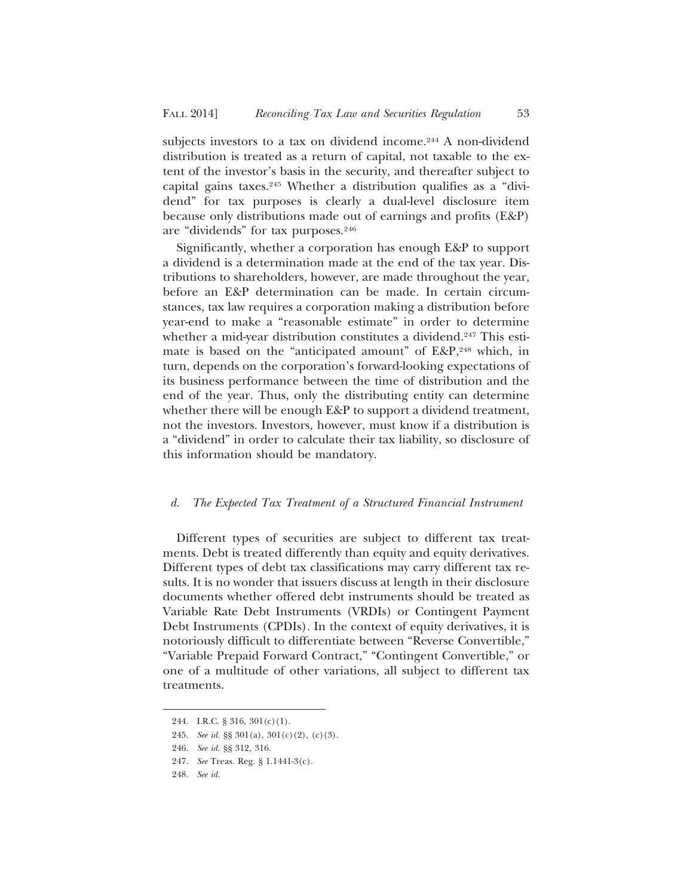subjects investors to a tax on dividend income.<sup>244</sup> A non-dividend distribution is treated as a return of capital, not taxable to the extent of the investor's basis in the security, and thereafter subject to capital gains taxes.245 Whether a distribution qualifies as a "dividend" for tax purposes is clearly a dual-level disclosure item because only distributions made out of earnings and profits (E&P) are "dividends" for tax purposes.246

Significantly, whether a corporation has enough E&P to support a dividend is a determination made at the end of the tax year. Distributions to shareholders, however, are made throughout the year, before an E&P determination can be made. In certain circumstances, tax law requires a corporation making a distribution before year-end to make a "reasonable estimate" in order to determine whether a mid-year distribution constitutes a dividend.<sup>247</sup> This estimate is based on the "anticipated amount" of E&P,<sup>248</sup> which, in turn, depends on the corporation's forward-looking expectations of its business performance between the time of distribution and the end of the year. Thus, only the distributing entity can determine whether there will be enough E&P to support a dividend treatment, not the investors. Investors, however, must know if a distribution is a "dividend" in order to calculate their tax liability, so disclosure of this information should be mandatory.

## *d. The Expected Tax Treatment of a Structured Financial Instrument*

Different types of securities are subject to different tax treatments. Debt is treated differently than equity and equity derivatives. Different types of debt tax classifications may carry different tax results. It is no wonder that issuers discuss at length in their disclosure documents whether offered debt instruments should be treated as Variable Rate Debt Instruments (VRDIs) or Contingent Payment Debt Instruments (CPDIs). In the context of equity derivatives, it is notoriously difficult to differentiate between "Reverse Convertible," "Variable Prepaid Forward Contract," "Contingent Convertible," or one of a multitude of other variations, all subject to different tax treatments.

<sup>244.</sup> I.R.C. § 316, 301(c)(1).

<sup>245.</sup> *See id.* §§ 301(a), 301(c)(2), (c)(3).

<sup>246.</sup> *See id.* §§ 312, 316.

<sup>247.</sup> *See* Treas. Reg. § 1.1441-3(c).

<sup>248.</sup> *See id.*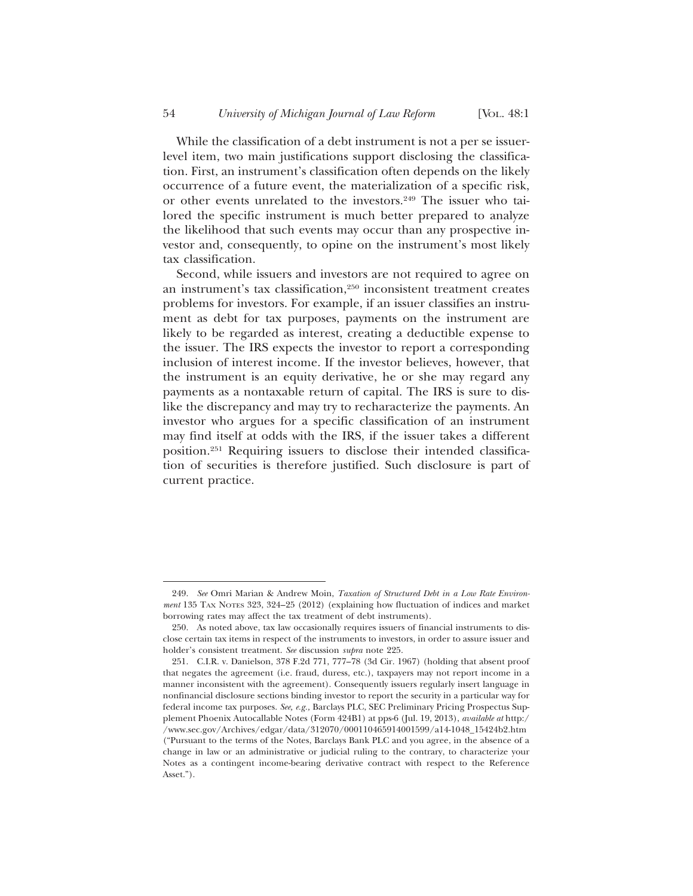While the classification of a debt instrument is not a per se issuerlevel item, two main justifications support disclosing the classification. First, an instrument's classification often depends on the likely occurrence of a future event, the materialization of a specific risk, or other events unrelated to the investors.<sup>249</sup> The issuer who tailored the specific instrument is much better prepared to analyze the likelihood that such events may occur than any prospective investor and, consequently, to opine on the instrument's most likely tax classification.

Second, while issuers and investors are not required to agree on an instrument's tax classification,250 inconsistent treatment creates problems for investors. For example, if an issuer classifies an instrument as debt for tax purposes, payments on the instrument are likely to be regarded as interest, creating a deductible expense to the issuer. The IRS expects the investor to report a corresponding inclusion of interest income. If the investor believes, however, that the instrument is an equity derivative, he or she may regard any payments as a nontaxable return of capital. The IRS is sure to dislike the discrepancy and may try to recharacterize the payments. An investor who argues for a specific classification of an instrument may find itself at odds with the IRS, if the issuer takes a different position.251 Requiring issuers to disclose their intended classification of securities is therefore justified. Such disclosure is part of current practice.

<sup>249.</sup> *See* Omri Marian & Andrew Moin, *Taxation of Structured Debt in a Low Rate Environment* 135 TAX NOTES 323, 324–25 (2012) (explaining how fluctuation of indices and market borrowing rates may affect the tax treatment of debt instruments).

<sup>250.</sup> As noted above, tax law occasionally requires issuers of financial instruments to disclose certain tax items in respect of the instruments to investors, in order to assure issuer and holder's consistent treatment. *See* discussion *supra* note 225.

<sup>251.</sup> C.I.R. v. Danielson, 378 F.2d 771, 777–78 (3d Cir. 1967) (holding that absent proof that negates the agreement (i.e. fraud, duress, etc.), taxpayers may not report income in a manner inconsistent with the agreement). Consequently issuers regularly insert language in nonfinancial disclosure sections binding investor to report the security in a particular way for federal income tax purposes. *See, e.g.,* Barclays PLC, SEC Preliminary Pricing Prospectus Supplement Phoenix Autocallable Notes (Form 424B1) at pps-6 (Jul. 19, 2013), *available at* http:/ /www.sec.gov/Archives/edgar/data/312070/000110465914001599/a14-1048\_15424b2.htm ("Pursuant to the terms of the Notes, Barclays Bank PLC and you agree, in the absence of a change in law or an administrative or judicial ruling to the contrary, to characterize your Notes as a contingent income-bearing derivative contract with respect to the Reference Asset.").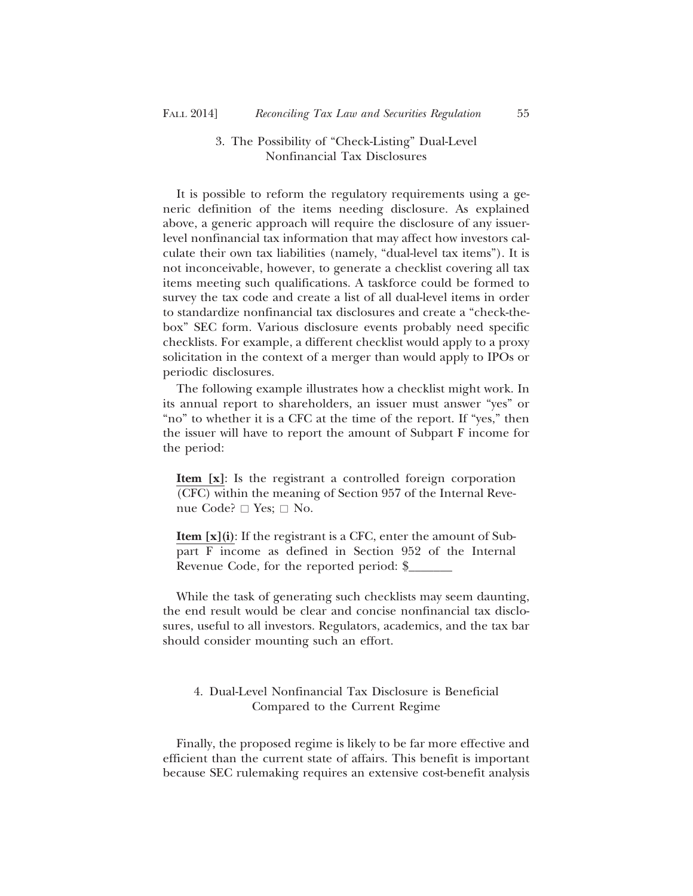# 3. The Possibility of "Check-Listing" Dual-Level Nonfinancial Tax Disclosures

It is possible to reform the regulatory requirements using a generic definition of the items needing disclosure. As explained above, a generic approach will require the disclosure of any issuerlevel nonfinancial tax information that may affect how investors calculate their own tax liabilities (namely, "dual-level tax items"). It is not inconceivable, however, to generate a checklist covering all tax items meeting such qualifications. A taskforce could be formed to survey the tax code and create a list of all dual-level items in order to standardize nonfinancial tax disclosures and create a "check-thebox" SEC form. Various disclosure events probably need specific checklists. For example, a different checklist would apply to a proxy solicitation in the context of a merger than would apply to IPOs or periodic disclosures.

The following example illustrates how a checklist might work. In its annual report to shareholders, an issuer must answer "yes" or "no" to whether it is a CFC at the time of the report. If "yes," then the issuer will have to report the amount of Subpart F income for the period:

**Item [x]**: Is the registrant a controlled foreign corporation (CFC) within the meaning of Section 957 of the Internal Reve-(CFC) within the meanin<br>nue Code?  $\square$  Yes;  $\square$  No.

**Item [x](i)**: If the registrant is a CFC, enter the amount of Subpart F income as defined in Section 952 of the Internal Revenue Code, for the reported period: \$\_\_\_\_\_\_\_

While the task of generating such checklists may seem daunting, the end result would be clear and concise nonfinancial tax disclosures, useful to all investors. Regulators, academics, and the tax bar should consider mounting such an effort.

# 4. Dual-Level Nonfinancial Tax Disclosure is Beneficial Compared to the Current Regime

Finally, the proposed regime is likely to be far more effective and efficient than the current state of affairs. This benefit is important because SEC rulemaking requires an extensive cost-benefit analysis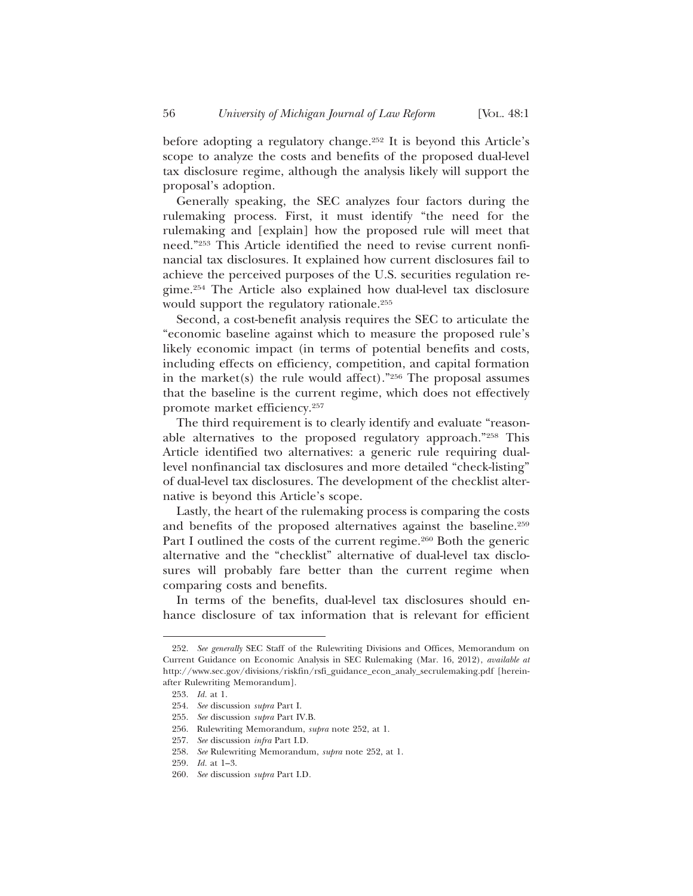before adopting a regulatory change.<sup>252</sup> It is beyond this Article's scope to analyze the costs and benefits of the proposed dual-level tax disclosure regime, although the analysis likely will support the proposal's adoption.

Generally speaking, the SEC analyzes four factors during the rulemaking process. First, it must identify "the need for the rulemaking and [explain] how the proposed rule will meet that need."253 This Article identified the need to revise current nonfinancial tax disclosures. It explained how current disclosures fail to achieve the perceived purposes of the U.S. securities regulation regime.254 The Article also explained how dual-level tax disclosure would support the regulatory rationale.255

Second, a cost-benefit analysis requires the SEC to articulate the "economic baseline against which to measure the proposed rule's likely economic impact (in terms of potential benefits and costs, including effects on efficiency, competition, and capital formation in the market(s) the rule would affect)." $256$  The proposal assumes that the baseline is the current regime, which does not effectively promote market efficiency.257

The third requirement is to clearly identify and evaluate "reasonable alternatives to the proposed regulatory approach."258 This Article identified two alternatives: a generic rule requiring duallevel nonfinancial tax disclosures and more detailed "check-listing" of dual-level tax disclosures. The development of the checklist alternative is beyond this Article's scope.

Lastly, the heart of the rulemaking process is comparing the costs and benefits of the proposed alternatives against the baseline.<sup>259</sup> Part I outlined the costs of the current regime.<sup>260</sup> Both the generic alternative and the "checklist" alternative of dual-level tax disclosures will probably fare better than the current regime when comparing costs and benefits.

In terms of the benefits, dual-level tax disclosures should enhance disclosure of tax information that is relevant for efficient

<sup>252.</sup> *See generally* SEC Staff of the Rulewriting Divisions and Offices, Memorandum on Current Guidance on Economic Analysis in SEC Rulemaking (Mar. 16, 2012), *available at* http://www.sec.gov/divisions/riskfin/rsfi\_guidance\_econ\_analy\_secrulemaking.pdf [hereinafter Rulewriting Memorandum].

<sup>253.</sup> *Id.* at 1.

<sup>254.</sup> *See* discussion *supra* Part I.

<sup>255.</sup> *See* discussion *supra* Part IV.B.

<sup>256.</sup> Rulewriting Memorandum, *supra* note 252, at 1.

<sup>257.</sup> *See* discussion *infra* Part I.D.

<sup>258.</sup> *See* Rulewriting Memorandum, *supra* note 252, at 1.

<sup>259.</sup> *Id.* at 1–3.

<sup>260.</sup> *See* discussion *supra* Part I.D*.*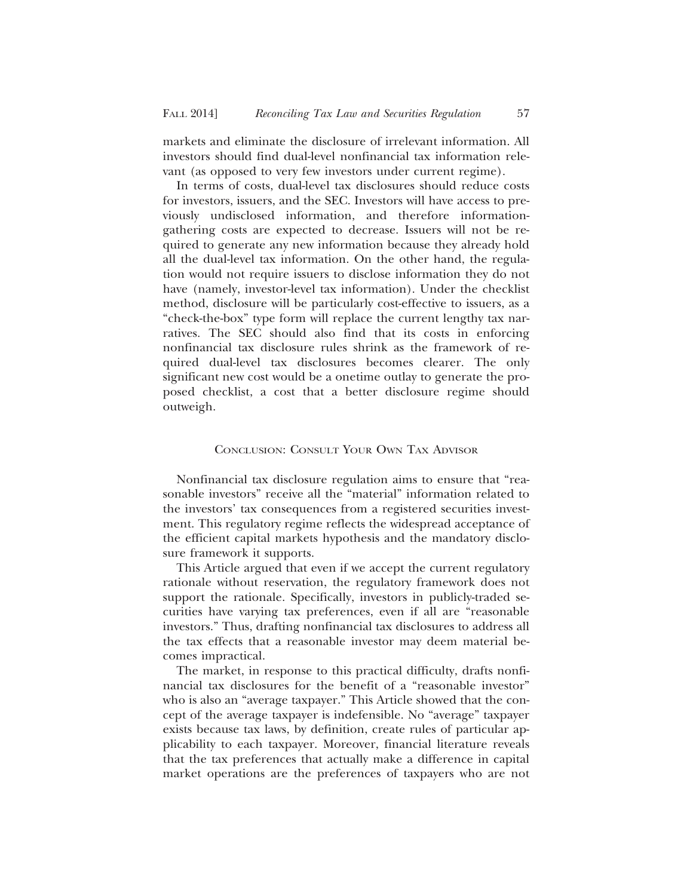markets and eliminate the disclosure of irrelevant information. All investors should find dual-level nonfinancial tax information relevant (as opposed to very few investors under current regime).

In terms of costs, dual-level tax disclosures should reduce costs for investors, issuers, and the SEC. Investors will have access to previously undisclosed information, and therefore informationgathering costs are expected to decrease. Issuers will not be required to generate any new information because they already hold all the dual-level tax information. On the other hand, the regulation would not require issuers to disclose information they do not have (namely, investor-level tax information). Under the checklist method, disclosure will be particularly cost-effective to issuers, as a "check-the-box" type form will replace the current lengthy tax narratives. The SEC should also find that its costs in enforcing nonfinancial tax disclosure rules shrink as the framework of required dual-level tax disclosures becomes clearer. The only significant new cost would be a onetime outlay to generate the proposed checklist, a cost that a better disclosure regime should outweigh.

## CONCLUSION: CONSULT YOUR OWN TAX ADVISOR

Nonfinancial tax disclosure regulation aims to ensure that "reasonable investors" receive all the "material" information related to the investors' tax consequences from a registered securities investment. This regulatory regime reflects the widespread acceptance of the efficient capital markets hypothesis and the mandatory disclosure framework it supports.

This Article argued that even if we accept the current regulatory rationale without reservation, the regulatory framework does not support the rationale. Specifically, investors in publicly-traded securities have varying tax preferences, even if all are "reasonable investors." Thus, drafting nonfinancial tax disclosures to address all the tax effects that a reasonable investor may deem material becomes impractical.

The market, in response to this practical difficulty, drafts nonfinancial tax disclosures for the benefit of a "reasonable investor" who is also an "average taxpayer." This Article showed that the concept of the average taxpayer is indefensible. No "average" taxpayer exists because tax laws, by definition, create rules of particular applicability to each taxpayer. Moreover, financial literature reveals that the tax preferences that actually make a difference in capital market operations are the preferences of taxpayers who are not